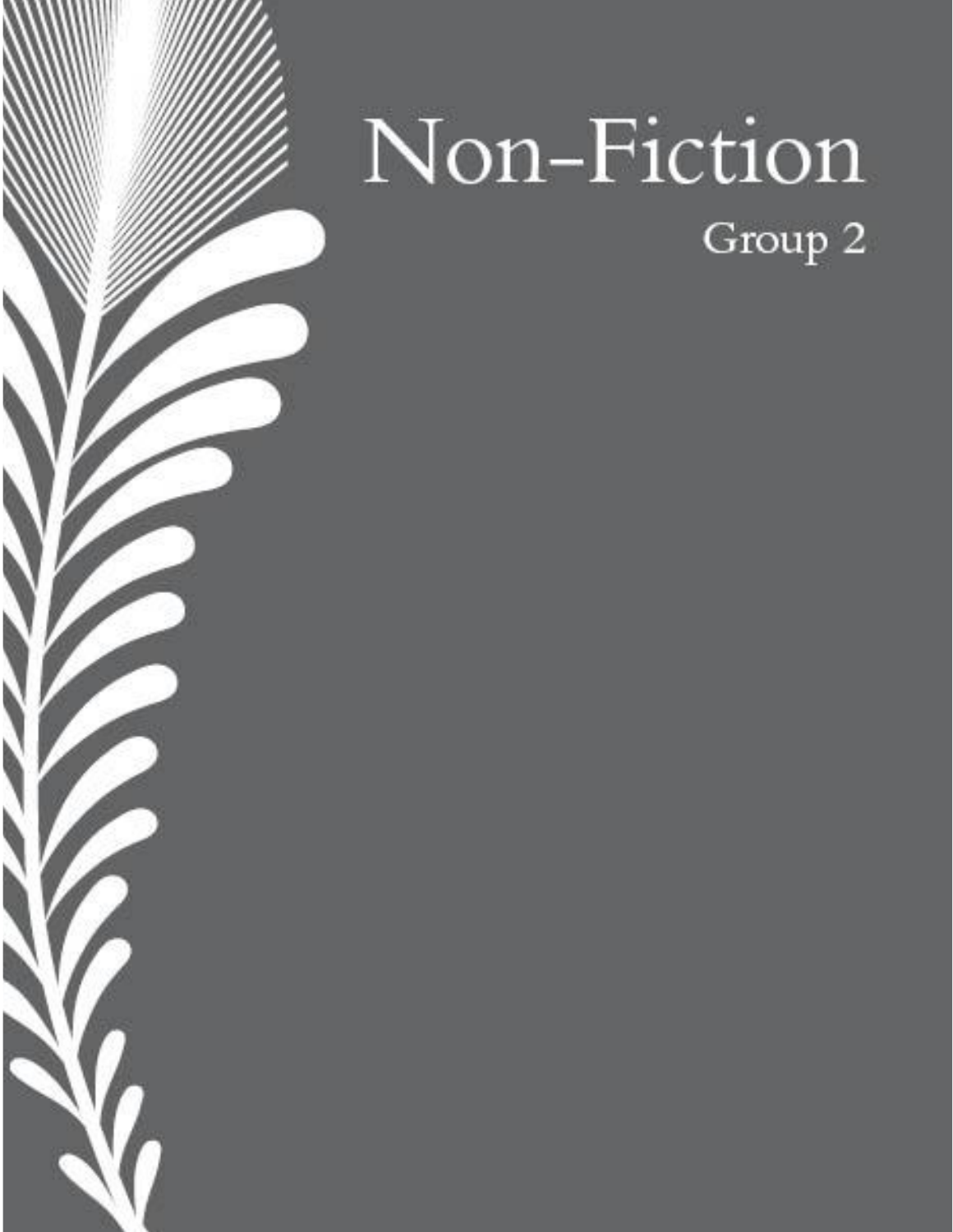

b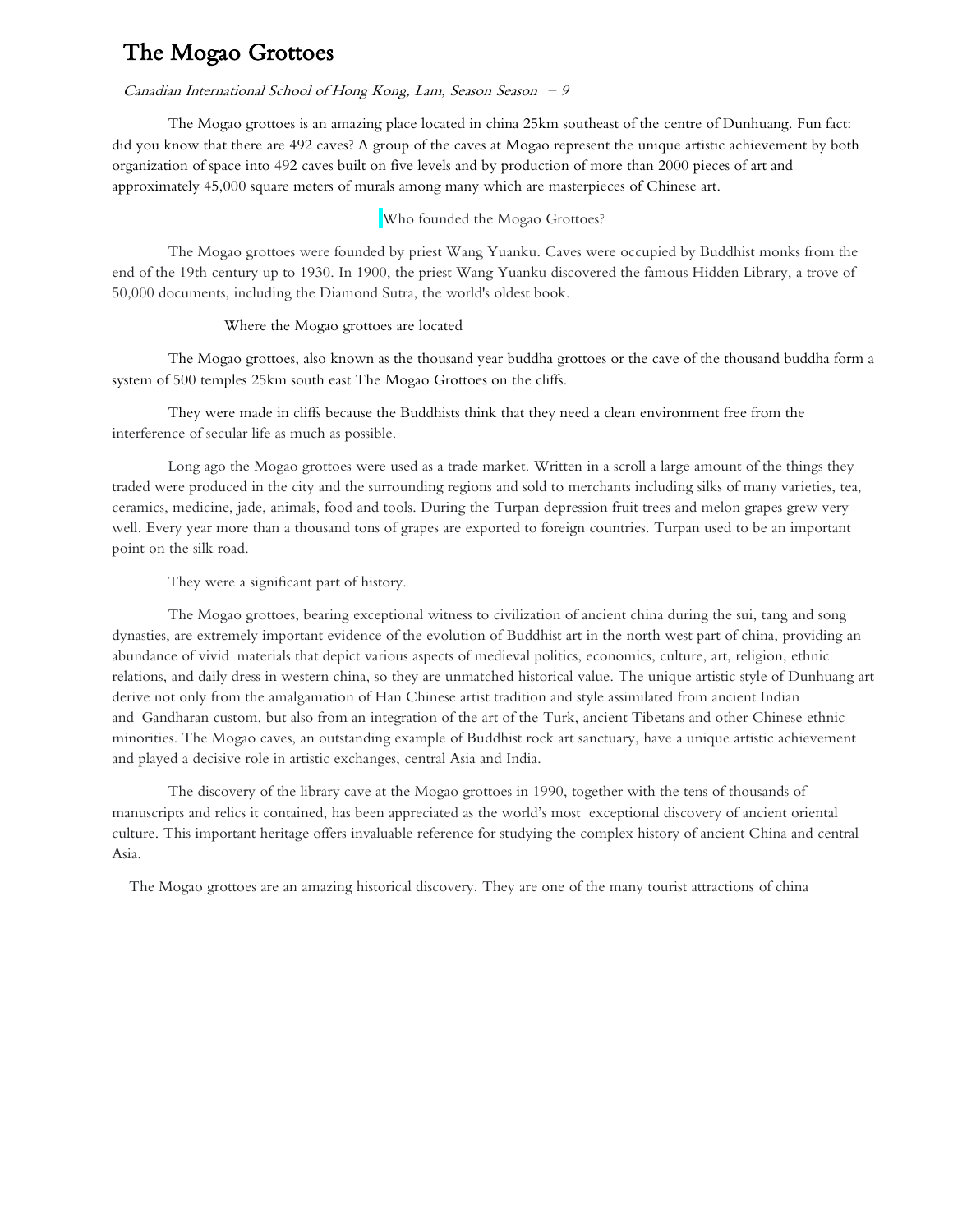## The Mogao Grottoes

#### Canadian International School of Hong Kong, Lam, Season Season  $-9$

The Mogao grottoes is an amazing place located in china 25km southeast of the centre of Dunhuang. Fun fact: did you know that there are 492 caves? A group of the caves at Mogao represent the unique artistic achievement by both organization of space into 492 caves built on five levels and by production of more than 2000 pieces of art and approximately 45,000 square meters of murals among many which are masterpieces of Chinese art.

### Who founded the Mogao Grottoes?

The Mogao grottoes were founded by priest Wang Yuanku. Caves were occupied by Buddhist monks from the end of the 19th century up to 1930. In 1900, the priest Wang Yuanku discovered the famous Hidden Library, a trove of 50,000 documents, including the Diamond Sutra, the world's oldest book.

#### Where the Mogao grottoes are located

The Mogao grottoes, also known as the thousand year buddha grottoes or the cave of the thousand buddha form a system of 500 temples 25km south east The Mogao Grottoes on the cliffs.

They were made in cliffs because the Buddhists think that they need a clean environment free from the interference of secular life as much as possible.

Long ago the Mogao grottoes were used as a trade market. Written in a scroll a large amount of the things they traded were produced in the city and the surrounding regions and sold to merchants including silks of many varieties, tea, ceramics, medicine, jade, animals, food and tools. During the Turpan depression fruit trees and melon grapes grew very well. Every year more than a thousand tons of grapes are exported to foreign countries. Turpan used to be an important point on the silk road.

They were a significant part of history.

The Mogao grottoes, bearing exceptional witness to civilization of ancient china during the sui, tang and song dynasties, are extremely important evidence of the evolution of Buddhist art in the north west part of china, providing an abundance of vivid materials that depict various aspects of medieval politics, economics, culture, art, religion, ethnic relations, and daily dress in western china, so they are unmatched historical value. The unique artistic style of Dunhuang art derive not only from the amalgamation of Han Chinese artist tradition and style assimilated from ancient Indian and Gandharan custom, but also from an integration of the art of the Turk, ancient Tibetans and other Chinese ethnic minorities. The Mogao caves, an outstanding example of Buddhist rock art sanctuary, have a unique artistic achievement and played a decisive role in artistic exchanges, central Asia and India.

The discovery of the library cave at the Mogao grottoes in 1990, together with the tens of thousands of manuscripts and relics it contained, has been appreciated as the world's most exceptional discovery of ancient oriental culture. This important heritage offers invaluable reference for studying the complex history of ancient China and central Asia.

The Mogao grottoes are an amazing historical discovery. They are one of the many tourist attractions of china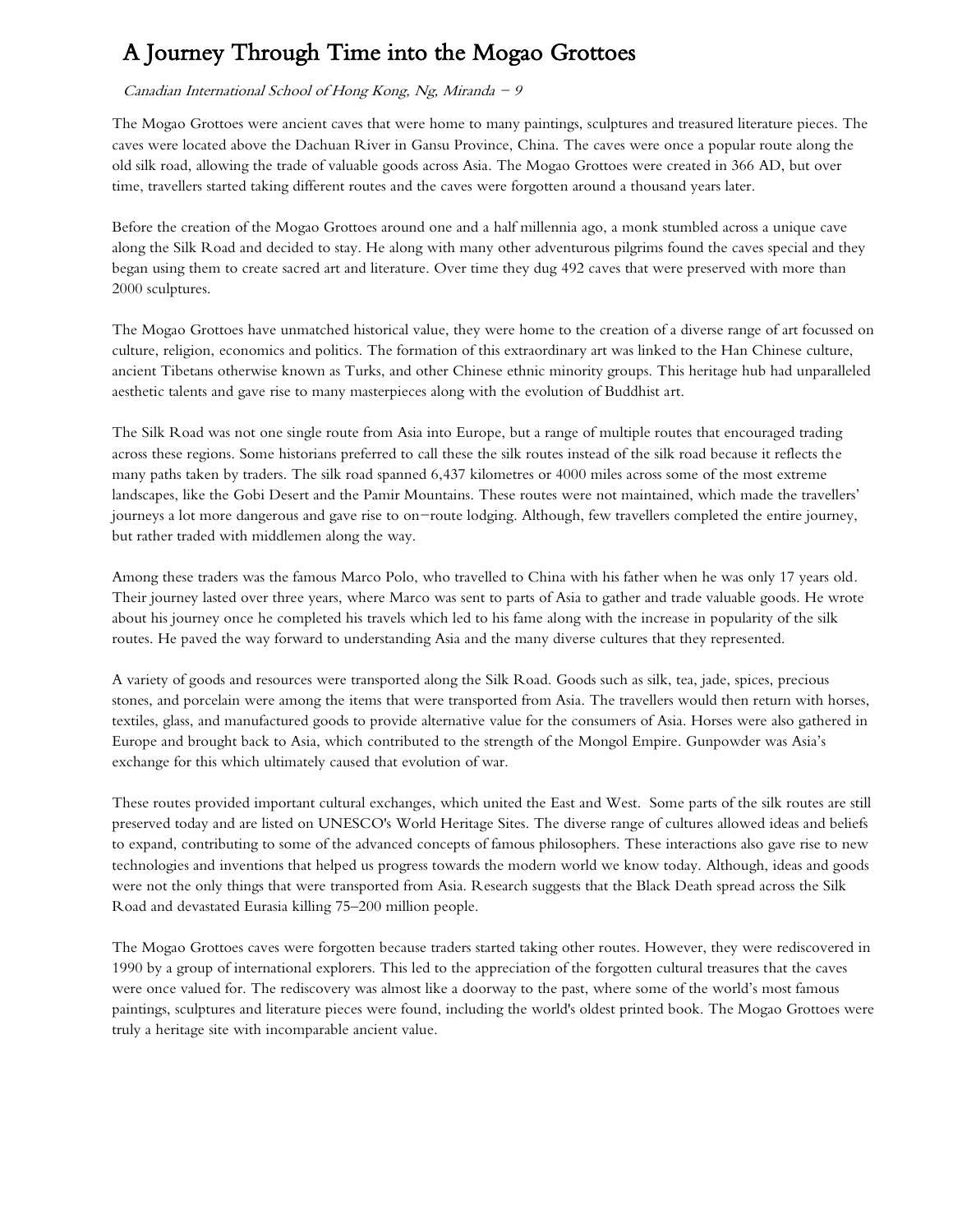# A Journey Through Time into the Mogao Grottoes

## Canadian International School of Hong Kong, Ng, Miranda  $-9$

The Mogao Grottoes were ancient caves that were home to many paintings, sculptures and treasured literature pieces. The caves were located above the Dachuan River in Gansu Province, China. The caves were once a popular route along the old silk road, allowing the trade of valuable goods across Asia. The Mogao Grottoes were created in 366 AD, but over time, travellers started taking different routes and the caves were forgotten around a thousand years later.

Before the creation of the Mogao Grottoes around one and a half millennia ago, a monk stumbled across a unique cave along the Silk Road and decided to stay. He along with many other adventurous pilgrims found the caves special and they began using them to create sacred art and literature. Over time they dug 492 caves that were preserved with more than 2000 sculptures.

The Mogao Grottoes have unmatched historical value, they were home to the creation of a diverse range of art focussed on culture, religion, economics and politics. The formation of this extraordinary art was linked to the Han Chinese culture, ancient Tibetans otherwise known as Turks, and other Chinese ethnic minority groups. This heritage hub had unparalleled aesthetic talents and gave rise to many masterpieces along with the evolution of Buddhist art.

The Silk Road was not one single route from Asia into Europe, but a range of multiple routes that encouraged trading across these regions. Some historians preferred to call these the silk routes instead of the silk road because it reflects the many paths taken by traders. The silk road spanned 6,437 kilometres or 4000 miles across some of the most extreme landscapes, like the Gobi Desert and the Pamir Mountains. These routes were not maintained, which made the travellers' journeys a lot more dangerous and gave rise to on-route lodging. Although, few travellers completed the entire journey, but rather traded with middlemen along the way.

Among these traders was the famous Marco Polo, who travelled to China with his father when he was only 17 years old. Their journey lasted over three years, where Marco was sent to parts of Asia to gather and trade valuable goods. He wrote about his journey once he completed his travels which led to his fame along with the increase in popularity of the silk routes. He paved the way forward to understanding Asia and the many diverse cultures that they represented.

A variety of goods and resources were transported along the Silk Road. Goods such as silk, tea, jade, spices, precious stones, and porcelain were among the items that were transported from Asia. The travellers would then return with horses, textiles, glass, and manufactured goods to provide alternative value for the consumers of Asia. Horses were also gathered in Europe and brought back to Asia, which contributed to the strength of the Mongol Empire. Gunpowder was Asia's exchange for this which ultimately caused that evolution of war.

These routes provided important cultural exchanges, which united the East and West. Some parts of the silk routes are still preserved today and are listed on UNESCO's World Heritage Sites. The diverse range of cultures allowed ideas and beliefs to expand, contributing to some of the advanced concepts of famous philosophers. These interactions also gave rise to new technologies and inventions that helped us progress towards the modern world we know today. Although, ideas and goods were not the only things that were transported from Asia. Research suggests that the Black Death spread across the Silk Road and devastated Eurasia killing 75–200 million people.

The Mogao Grottoes caves were forgotten because traders started taking other routes. However, they were rediscovered in 1990 by a group of international explorers. This led to the appreciation of the forgotten cultural treasures that the caves were once valued for. The rediscovery was almost like a doorway to the past, where some of the world's most famous paintings, sculptures and literature pieces were found, including the world's oldest printed book. The Mogao Grottoes were truly a heritage site with incomparable ancient value.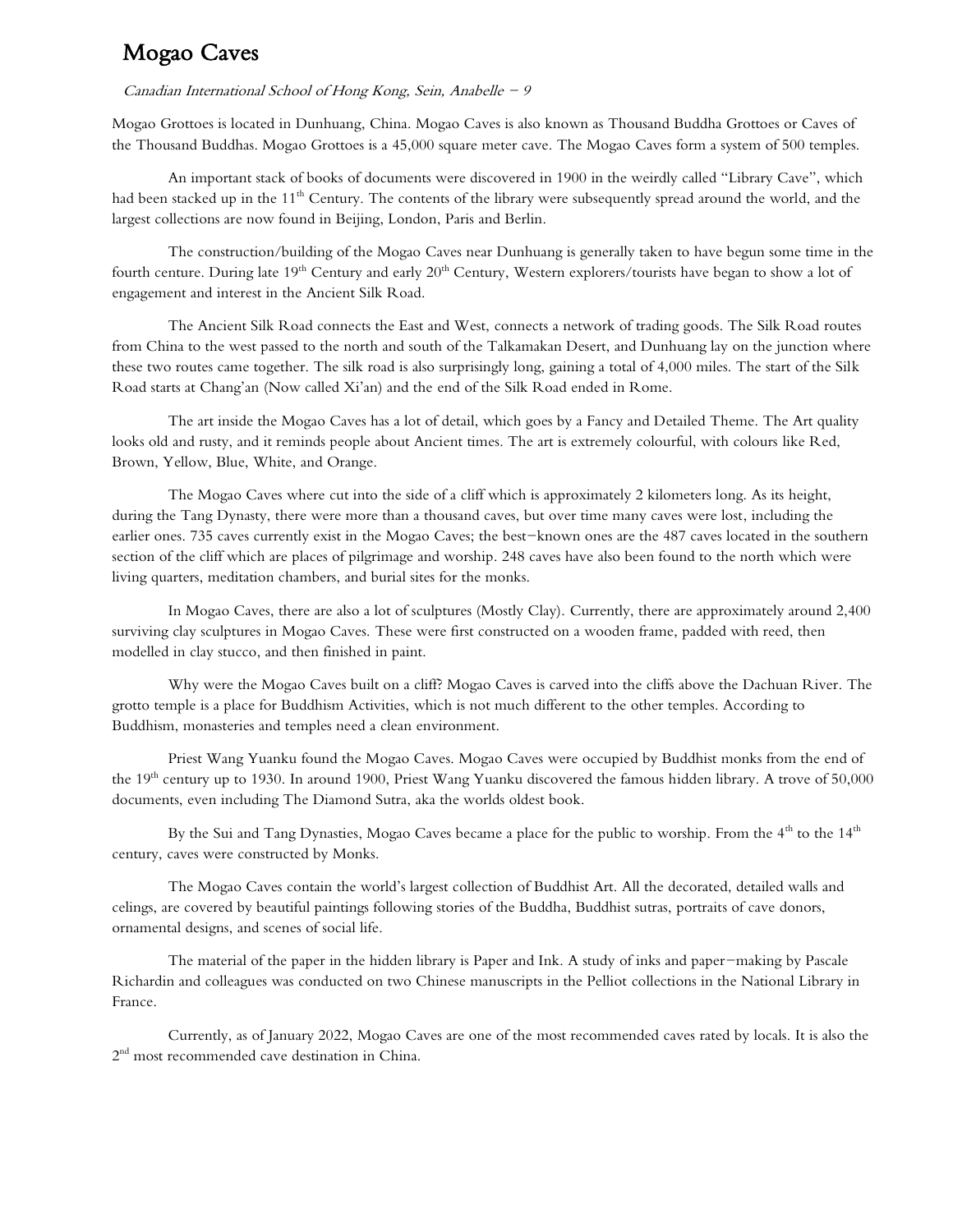## Mogao Caves

#### Canadian International School of Hong Kong, Sein, Anabelle  $-9$

Mogao Grottoes is located in Dunhuang, China. Mogao Caves is also known as Thousand Buddha Grottoes or Caves of the Thousand Buddhas. Mogao Grottoes is a 45,000 square meter cave. The Mogao Caves form a system of 500 temples.

An important stack of books of documents were discovered in 1900 in the weirdly called "Library Cave", which had been stacked up in the 11<sup>th</sup> Century. The contents of the library were subsequently spread around the world, and the largest collections are now found in Beijing, London, Paris and Berlin.

The construction/building of the Mogao Caves near Dunhuang is generally taken to have begun some time in the fourth centure. During late 19<sup>th</sup> Century and early 20<sup>th</sup> Century, Western explorers/tourists have began to show a lot of engagement and interest in the Ancient Silk Road.

The Ancient Silk Road connects the East and West, connects a network of trading goods. The Silk Road routes from China to the west passed to the north and south of the Talkamakan Desert, and Dunhuang lay on the junction where these two routes came together. The silk road is also surprisingly long, gaining a total of 4,000 miles. The start of the Silk Road starts at Chang'an (Now called Xi'an) and the end of the Silk Road ended in Rome.

The art inside the Mogao Caves has a lot of detail, which goes by a Fancy and Detailed Theme. The Art quality looks old and rusty, and it reminds people about Ancient times. The art is extremely colourful, with colours like Red, Brown, Yellow, Blue, White, and Orange.

The Mogao Caves where cut into the side of a cliff which is approximately 2 kilometers long. As its height, during the Tang Dynasty, there were more than a thousand caves, but over time many caves were lost, including the earlier ones. 735 caves currently exist in the Mogao Caves; the best-known ones are the 487 caves located in the southern section of the cliff which are places of pilgrimage and worship. 248 caves have also been found to the north which were living quarters, meditation chambers, and burial sites for the monks.

In Mogao Caves, there are also a lot of sculptures (Mostly Clay). Currently, there are approximately around 2,400 surviving clay sculptures in Mogao Caves. These were first constructed on a wooden frame, padded with reed, then modelled in clay stucco, and then finished in paint.

Why were the Mogao Caves built on a cliff? Mogao Caves is carved into the cliffs above the Dachuan River. The grotto temple is a place for Buddhism Activities, which is not much different to the other temples. According to Buddhism, monasteries and temples need a clean environment.

Priest Wang Yuanku found the Mogao Caves. Mogao Caves were occupied by Buddhist monks from the end of the 19<sup>th</sup> century up to 1930. In around 1900, Priest Wang Yuanku discovered the famous hidden library. A trove of 50,000 documents, even including The Diamond Sutra, aka the worlds oldest book.

By the Sui and Tang Dynasties, Mogao Caves became a place for the public to worship. From the 4<sup>th</sup> to the 14<sup>th</sup> century, caves were constructed by Monks.

The Mogao Caves contain the world's largest collection of Buddhist Art. All the decorated, detailed walls and celings, are covered by beautiful paintings following stories of the Buddha, Buddhist sutras, portraits of cave donors, ornamental designs, and scenes of social life.

The material of the paper in the hidden library is Paper and Ink. A study of inks and paper-making by Pascale Richardin and colleagues was conducted on two Chinese manuscripts in the Pelliot collections in the National Library in France.

Currently, as of January 2022, Mogao Caves are one of the most recommended caves rated by locals. It is also the  $2<sup>nd</sup>$  most recommended cave destination in China.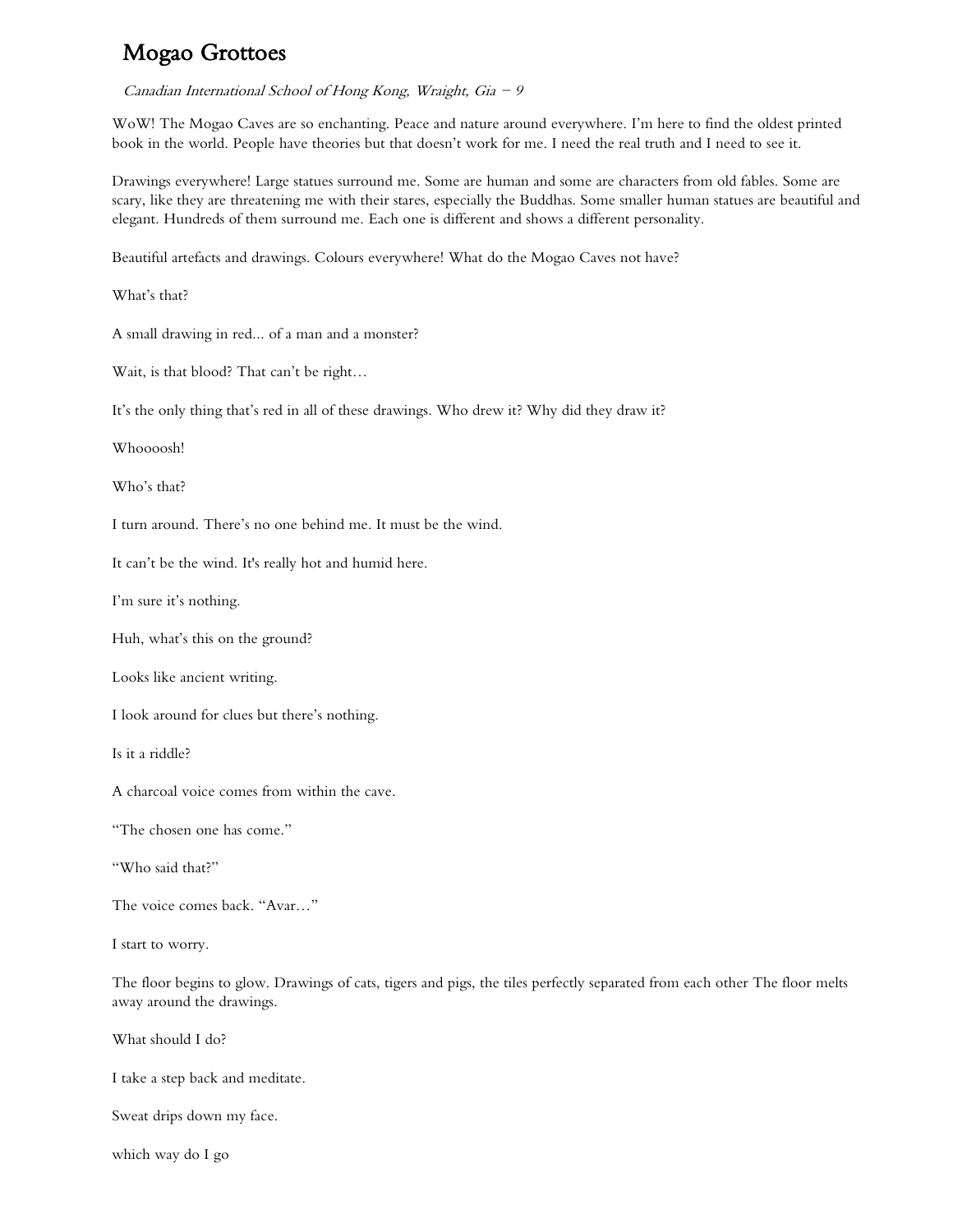## Mogao Grottoes

Canadian International School of Hong Kong, Wraight, Gia  $-9$ 

WoW! The Mogao Caves are so enchanting. Peace and nature around everywhere. I'm here to find the oldest printed book in the world. People have theories but that doesn't work for me. I need the real truth and I need to see it.

Drawings everywhere! Large statues surround me. Some are human and some are characters from old fables. Some are scary, like they are threatening me with their stares, especially the Buddhas. Some smaller human statues are beautiful and elegant. Hundreds of them surround me. Each one is different and shows a different personality.

Beautiful artefacts and drawings. Colours everywhere! What do the Mogao Caves not have?

What's that?

A small drawing in red... of a man and a monster?

Wait, is that blood? That can't be right…

It's the only thing that's red in all of these drawings. Who drew it? Why did they draw it?

Whoooosh!

Who's that?

I turn around. There's no one behind me. It must be the wind.

It can't be the wind. It's really hot and humid here.

I'm sure it's nothing.

Huh, what's this on the ground?

Looks like ancient writing.

I look around for clues but there's nothing.

Is it a riddle?

A charcoal voice comes from within the cave.

"The chosen one has come."

"Who said that?"

The voice comes back. "Avar…"

I start to worry.

The floor begins to glow. Drawings of cats, tigers and pigs, the tiles perfectly separated from each other The floor melts away around the drawings.

What should I do?

I take a step back and meditate.

Sweat drips down my face.

which way do I go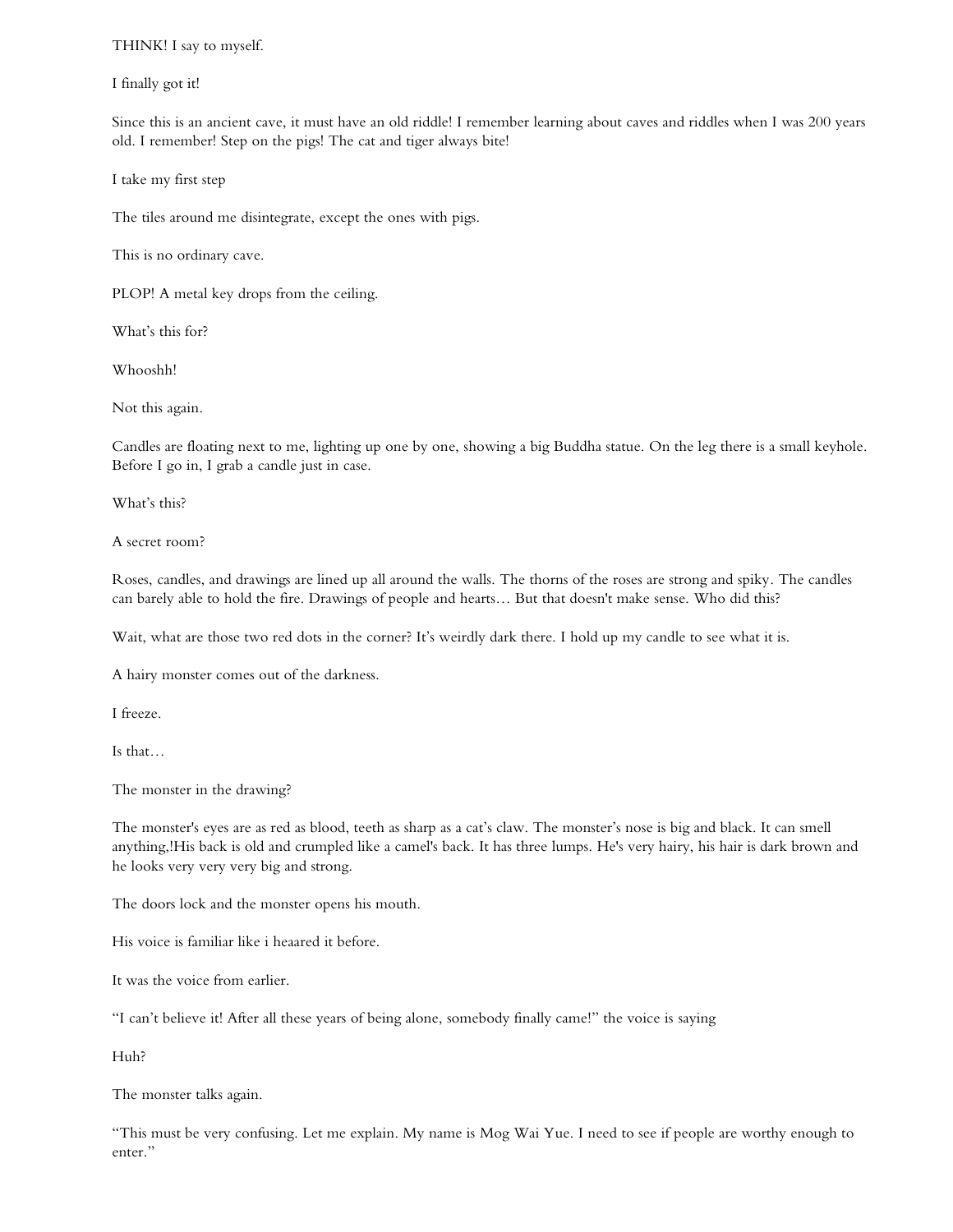### THINK! I say to myself.

#### I finally got it!

Since this is an ancient cave, it must have an old riddle! I remember learning about caves and riddles when I was 200 years old. I remember! Step on the pigs! The cat and tiger always bite!

I take my first step

The tiles around me disintegrate, except the ones with pigs.

This is no ordinary cave.

PLOP! A metal key drops from the ceiling.

What's this for?

Whooshh!

Not this again.

Candles are floating next to me, lighting up one by one, showing a big Buddha statue. On the leg there is a small keyhole. Before I go in, I grab a candle just in case.

What's this?

A secret room?

Roses, candles, and drawings are lined up all around the walls. The thorns of the roses are strong and spiky. The candles can barely able to hold the fire. Drawings of people and hearts… But that doesn't make sense. Who did this?

Wait, what are those two red dots in the corner? It's weirdly dark there. I hold up my candle to see what it is.

A hairy monster comes out of the darkness.

I freeze.

Is that…

The monster in the drawing?

The monster's eyes are as red as blood, teeth as sharp as a cat's claw. The monster's nose is big and black. It can smell anything,!His back is old and crumpled like a camel's back. It has three lumps. He's very hairy, his hair is dark brown and he looks very very very big and strong.

The doors lock and the monster opens his mouth.

His voice is familiar like i heaared it before.

It was the voice from earlier.

"I can't believe it! After all these years of being alone, somebody finally came!" the voice is saying

Huh?

The monster talks again.

"This must be very confusing. Let me explain. My name is Mog Wai Yue. I need to see if people are worthy enough to enter."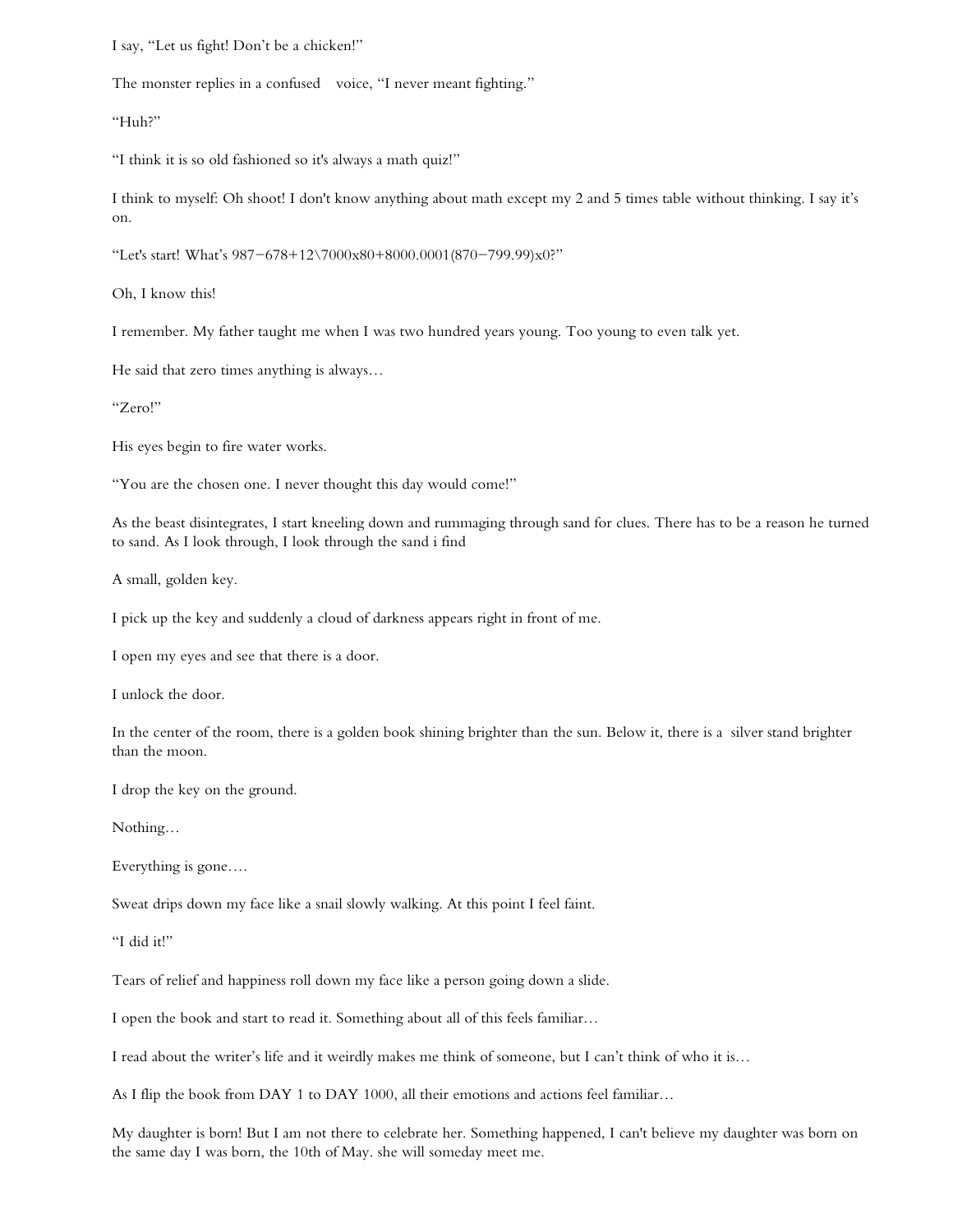I say, "Let us fight! Don't be a chicken!"

The monster replies in a confused voice, "I never meant fighting."

"Huh?"

"I think it is so old fashioned so it's always a math quiz!"

I think to myself: Oh shoot! I don't know anything about math except my 2 and 5 times table without thinking. I say it's on.

"Let's start! What's 987-678+12\7000x80+8000.0001(870-799.99)x0?"

Oh, I know this!

I remember. My father taught me when I was two hundred years young. Too young to even talk yet.

He said that zero times anything is always…

"Zero!"

His eyes begin to fire water works.

"You are the chosen one. I never thought this day would come!"

As the beast disintegrates, I start kneeling down and rummaging through sand for clues. There has to be a reason he turned to sand. As I look through, I look through the sand i find

A small, golden key.

I pick up the key and suddenly a cloud of darkness appears right in front of me.

I open my eyes and see that there is a door.

I unlock the door.

In the center of the room, there is a golden book shining brighter than the sun. Below it, there is a silver stand brighter than the moon.

I drop the key on the ground.

Nothing…

Everything is gone….

Sweat drips down my face like a snail slowly walking. At this point I feel faint.

"I did it!"

Tears of relief and happiness roll down my face like a person going down a slide.

I open the book and start to read it. Something about all of this feels familiar…

I read about the writer's life and it weirdly makes me think of someone, but I can't think of who it is…

As I flip the book from DAY 1 to DAY 1000, all their emotions and actions feel familiar…

My daughter is born! But I am not there to celebrate her. Something happened, I can't believe my daughter was born on the same day I was born, the 10th of May. she will someday meet me.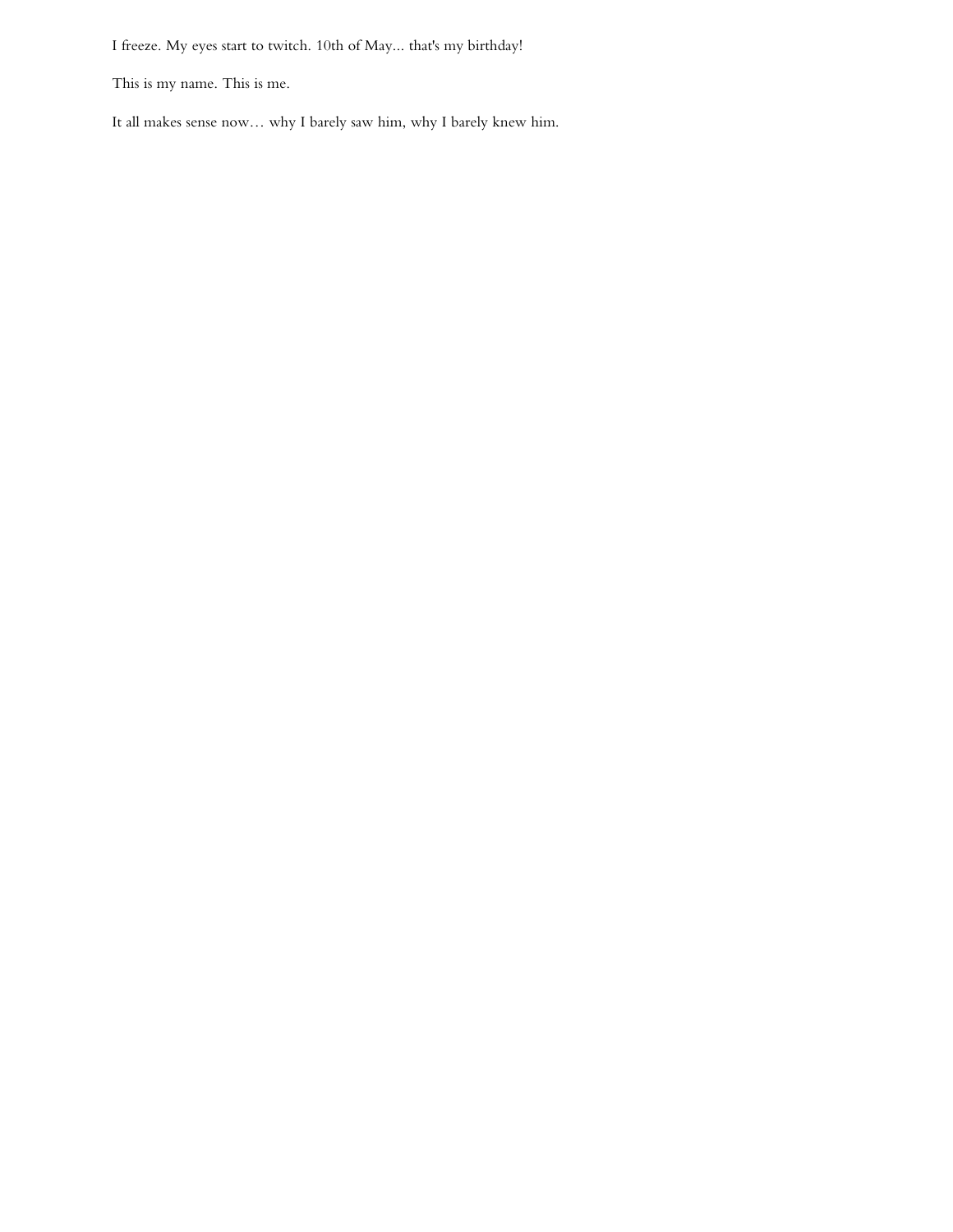I freeze. My eyes start to twitch. 10th of May... that's my birthday!

This is my name. This is me.

It all makes sense now… why I barely saw him, why I barely knew him.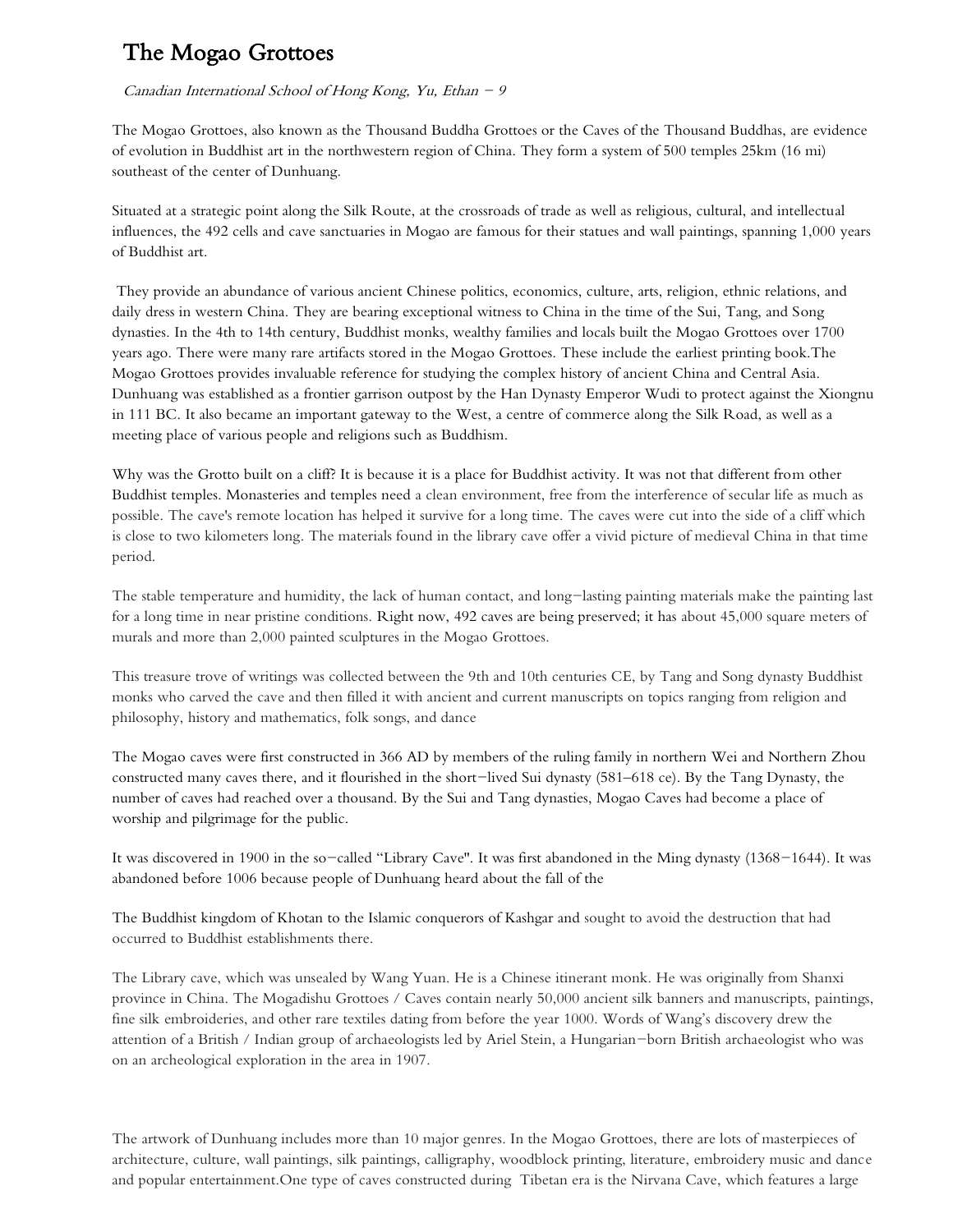## The Mogao Grottoes

#### Canadian International School of Hong Kong, Yu, Ethan  $-9$

The Mogao Grottoes, also known as the Thousand Buddha Grottoes or the Caves of the Thousand Buddhas, are evidence of evolution in Buddhist art in the northwestern region of China. They form a system of 500 temples 25km (16 mi) southeast of the center of Dunhuang.

Situated at a strategic point along the Silk Route, at the crossroads of trade as well as religious, cultural, and intellectual influences, the 492 cells and cave sanctuaries in Mogao are famous for their statues and wall paintings, spanning 1,000 years of Buddhist art.

They provide an abundance of various ancient Chinese politics, economics, culture, arts, religion, ethnic relations, and daily dress in western China. They are bearing exceptional witness to China in the time of the Sui, Tang, and Song dynasties. In the 4th to 14th century, Buddhist monks, wealthy families and locals built the Mogao Grottoes over 1700 years ago. There were many rare artifacts stored in the Mogao Grottoes. These include the earliest printing book.The Mogao Grottoes provides invaluable reference for studying the complex history of ancient China and Central Asia. Dunhuang was established as a frontier garrison outpost by the Han Dynasty Emperor Wudi to protect against the Xiongnu in 111 BC. It also became an important gateway to the West, a centre of commerce along the Silk Road, as well as a meeting place of various people and religions such as Buddhism.

Why was the Grotto built on a cliff? It is because it is a place for Buddhist activity. It was not that different from other Buddhist temples. Monasteries and temples need a clean environment, free from the interference of secular life as much as possible. The cave's remote location has helped it survive for a long time. The caves were cut into the side of a cliff which is close to two kilometers long. The materials found in the library cave offer a vivid picture of medieval China in that time period.

The stable temperature and humidity, the lack of human contact, and long-lasting painting materials make the painting last for a long time in near pristine conditions. Right now, 492 caves are being preserved; it has about 45,000 square meters of murals and more than 2,000 painted sculptures in the Mogao Grottoes.

This treasure trove of writings was collected between the 9th and 10th centuries CE, by Tang and Song dynasty Buddhist monks who carved the cave and then filled it with ancient and current manuscripts on topics ranging from religion and philosophy, history and mathematics, folk songs, and dance

The Mogao caves were first constructed in 366 AD by members of the ruling family in northern Wei and Northern Zhou constructed many caves there, and it flourished in the short-lived Sui dynasty (581–618 ce). By the Tang Dynasty, the number of caves had reached over a thousand. By the Sui and Tang dynasties, Mogao Caves had become a place of worship and pilgrimage for the public.

It was discovered in 1900 in the so-called "Library Cave''. It was first abandoned in the Ming dynasty (1368-1644). It was abandoned before 1006 because people of Dunhuang heard about the fall of the

The Buddhist kingdom of Khotan to the Islamic conquerors of Kashgar and sought to avoid the destruction that had occurred to Buddhist establishments there.

The Library cave, which was unsealed by Wang Yuan. He is a Chinese itinerant monk. He was originally from Shanxi province in China. The Mogadishu Grottoes / Caves contain nearly 50,000 ancient silk banners and manuscripts, paintings, fine silk embroideries, and other rare textiles dating from before the year 1000. Words of Wang's discovery drew the attention of a British / Indian group of archaeologists led by Ariel Stein, a Hungarian-born British archaeologist who was on an archeological exploration in the area in 1907.

The artwork of Dunhuang includes more than 10 major genres. In the Mogao Grottoes, there are lots of masterpieces of architecture, culture, wall paintings, silk paintings, calligraphy, woodblock printing, literature, embroidery music and dance and popular entertainment.One type of caves constructed during Tibetan era is the Nirvana Cave, which features a large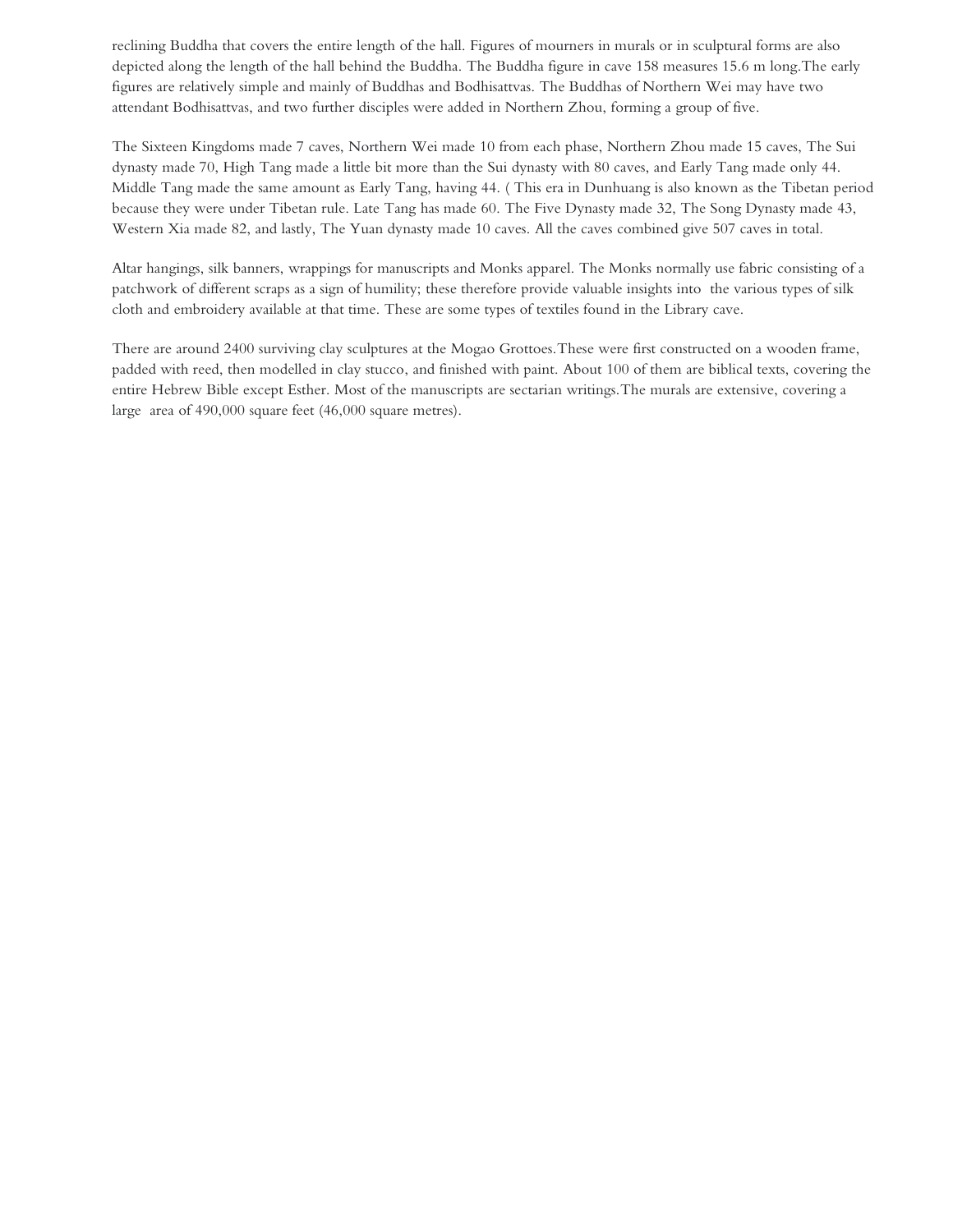reclining Buddha that covers the entire length of the hall. Figures of mourners in murals or in sculptural forms are also depicted along the length of the hall behind the Buddha. The Buddha figure in cave 158 measures 15.6 m long.The early figures are relatively simple and mainly of Buddhas and Bodhisattvas. The Buddhas of Northern Wei may have two attendant Bodhisattvas, and two further disciples were added in Northern Zhou, forming a group of five.

The Sixteen Kingdoms made 7 caves, Northern Wei made 10 from each phase, Northern Zhou made 15 caves, The Sui dynasty made 70, High Tang made a little bit more than the Sui dynasty with 80 caves, and Early Tang made only 44. Middle Tang made the same amount as Early Tang, having 44. ( This era in Dunhuang is also known as the Tibetan period because they were under Tibetan rule. Late Tang has made 60. The Five Dynasty made 32, The Song Dynasty made 43, Western Xia made 82, and lastly, The Yuan dynasty made 10 caves. All the caves combined give 507 caves in total.

Altar hangings, silk banners, wrappings for manuscripts and Monks apparel. The Monks normally use fabric consisting of a patchwork of different scraps as a sign of humility; these therefore provide valuable insights into the various types of silk cloth and embroidery available at that time. These are some types of textiles found in the Library cave.

There are around 2400 surviving clay sculptures at the Mogao Grottoes.These were first constructed on a wooden frame, padded with reed, then modelled in clay stucco, and finished with paint. About 100 of them are biblical texts, covering the entire Hebrew Bible except Esther. Most of the manuscripts are sectarian writings.The murals are extensive, covering a large area of 490,000 square feet (46,000 square metres).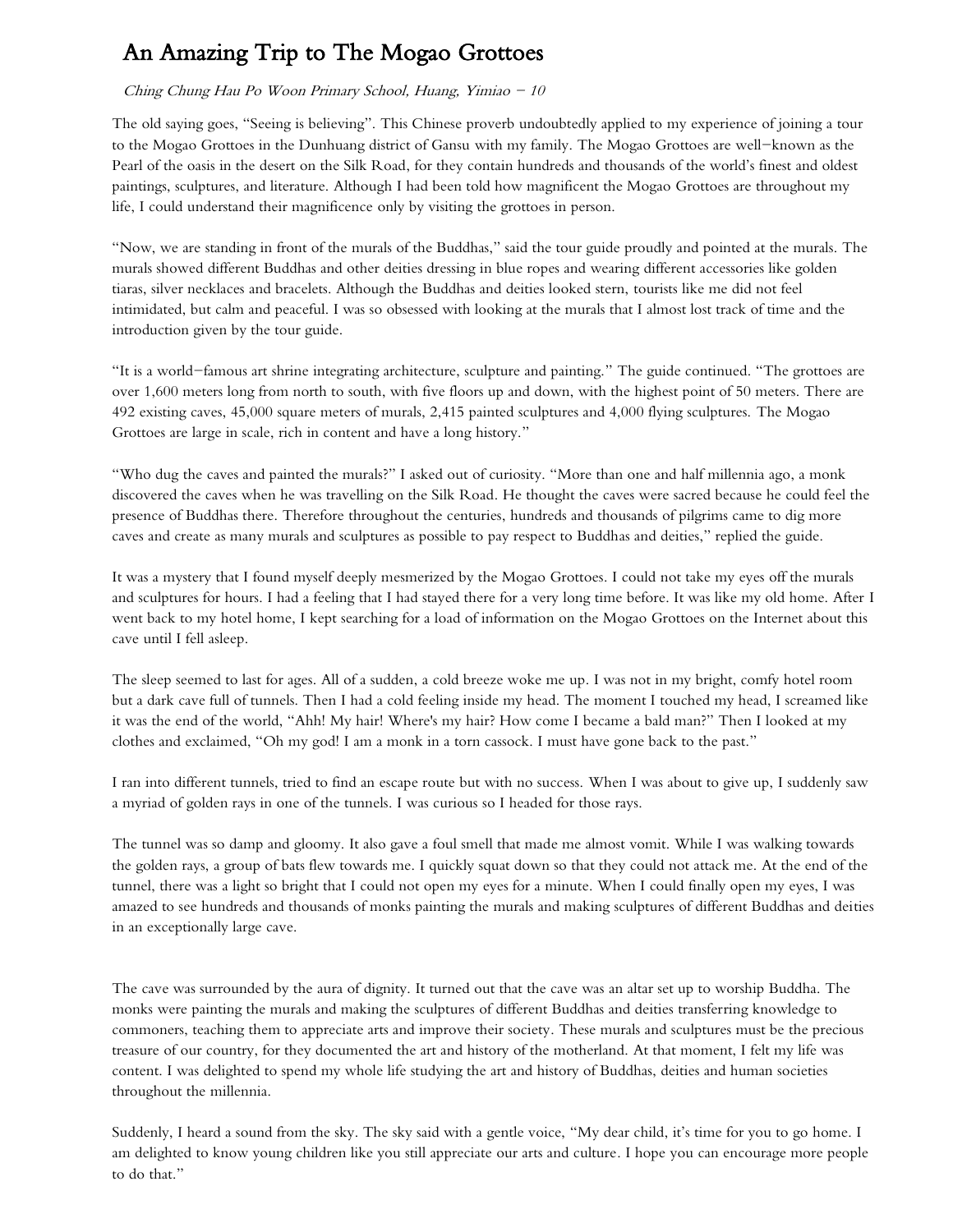# An Amazing Trip to The Mogao Grottoes

## Ching Chung Hau Po Woon Primary School, Huang, Yimiao  $-10$

The old saying goes, "Seeing is believing". This Chinese proverb undoubtedly applied to my experience of joining a tour to the Mogao Grottoes in the Dunhuang district of Gansu with my family. The Mogao Grottoes are well-known as the Pearl of the oasis in the desert on the Silk Road, for they contain hundreds and thousands of the world's finest and oldest paintings, sculptures, and literature. Although I had been told how magnificent the Mogao Grottoes are throughout my life, I could understand their magnificence only by visiting the grottoes in person.

"Now, we are standing in front of the murals of the Buddhas," said the tour guide proudly and pointed at the murals. The murals showed different Buddhas and other deities dressing in blue ropes and wearing different accessories like golden tiaras, silver necklaces and bracelets. Although the Buddhas and deities looked stern, tourists like me did not feel intimidated, but calm and peaceful. I was so obsessed with looking at the murals that I almost lost track of time and the introduction given by the tour guide.

"It is a world-famous art shrine integrating architecture, sculpture and painting." The guide continued. "The grottoes are over 1,600 meters long from north to south, with five floors up and down, with the highest point of 50 meters. There are 492 existing caves, 45,000 square meters of murals, 2,415 painted sculptures and 4,000 flying sculptures. The Mogao Grottoes are large in scale, rich in content and have a long history."

"Who dug the caves and painted the murals?" I asked out of curiosity. "More than one and half millennia ago, a monk discovered the caves when he was travelling on the Silk Road. He thought the caves were sacred because he could feel the presence of Buddhas there. Therefore throughout the centuries, hundreds and thousands of pilgrims came to dig more caves and create as many murals and sculptures as possible to pay respect to Buddhas and deities," replied the guide.

It was a mystery that I found myself deeply mesmerized by the Mogao Grottoes. I could not take my eyes off the murals and sculptures for hours. I had a feeling that I had stayed there for a very long time before. It was like my old home. After I went back to my hotel home, I kept searching for a load of information on the Mogao Grottoes on the Internet about this cave until I fell asleep.

The sleep seemed to last for ages. All of a sudden, a cold breeze woke me up. I was not in my bright, comfy hotel room but a dark cave full of tunnels. Then I had a cold feeling inside my head. The moment I touched my head, I screamed like it was the end of the world, "Ahh! My hair! Where's my hair? How come I became a bald man?" Then I looked at my clothes and exclaimed, "Oh my god! I am a monk in a torn cassock. I must have gone back to the past."

I ran into different tunnels, tried to find an escape route but with no success. When I was about to give up, I suddenly saw a myriad of golden rays in one of the tunnels. I was curious so I headed for those rays.

The tunnel was so damp and gloomy. It also gave a foul smell that made me almost vomit. While I was walking towards the golden rays, a group of bats flew towards me. I quickly squat down so that they could not attack me. At the end of the tunnel, there was a light so bright that I could not open my eyes for a minute. When I could finally open my eyes, I was amazed to see hundreds and thousands of monks painting the murals and making sculptures of different Buddhas and deities in an exceptionally large cave.

The cave was surrounded by the aura of dignity. It turned out that the cave was an altar set up to worship Buddha. The monks were painting the murals and making the sculptures of different Buddhas and deities transferring knowledge to commoners, teaching them to appreciate arts and improve their society. These murals and sculptures must be the precious treasure of our country, for they documented the art and history of the motherland. At that moment, I felt my life was content. I was delighted to spend my whole life studying the art and history of Buddhas, deities and human societies throughout the millennia.

Suddenly, I heard a sound from the sky. The sky said with a gentle voice, "My dear child, it's time for you to go home. I am delighted to know young children like you still appreciate our arts and culture. I hope you can encourage more people to do that."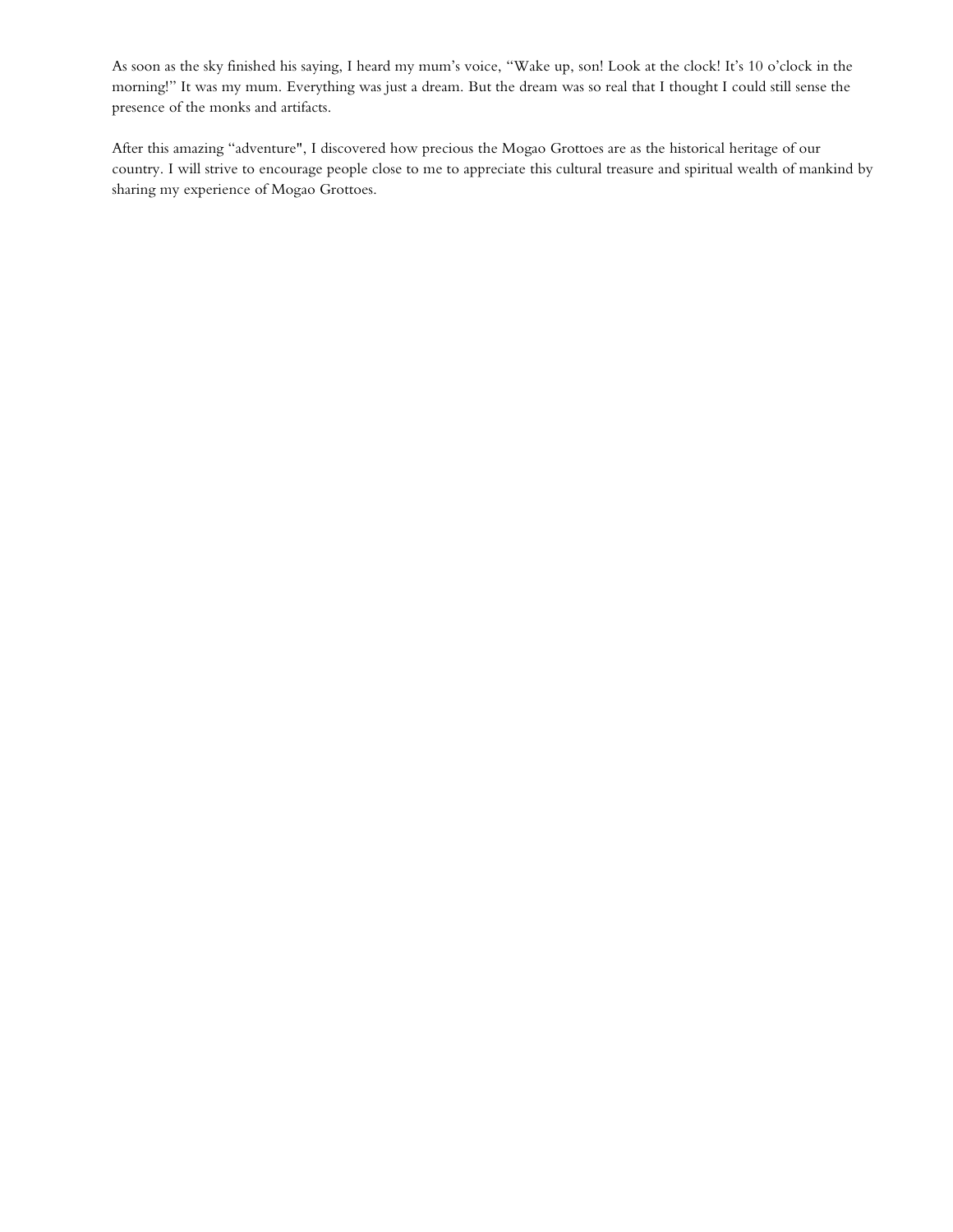As soon as the sky finished his saying, I heard my mum's voice, "Wake up, son! Look at the clock! It's 10 o'clock in the morning!" It was my mum. Everything was just a dream. But the dream was so real that I thought I could still sense the presence of the monks and artifacts.

After this amazing "adventure", I discovered how precious the Mogao Grottoes are as the historical heritage of our country. I will strive to encourage people close to me to appreciate this cultural treasure and spiritual wealth of mankind by sharing my experience of Mogao Grottoes.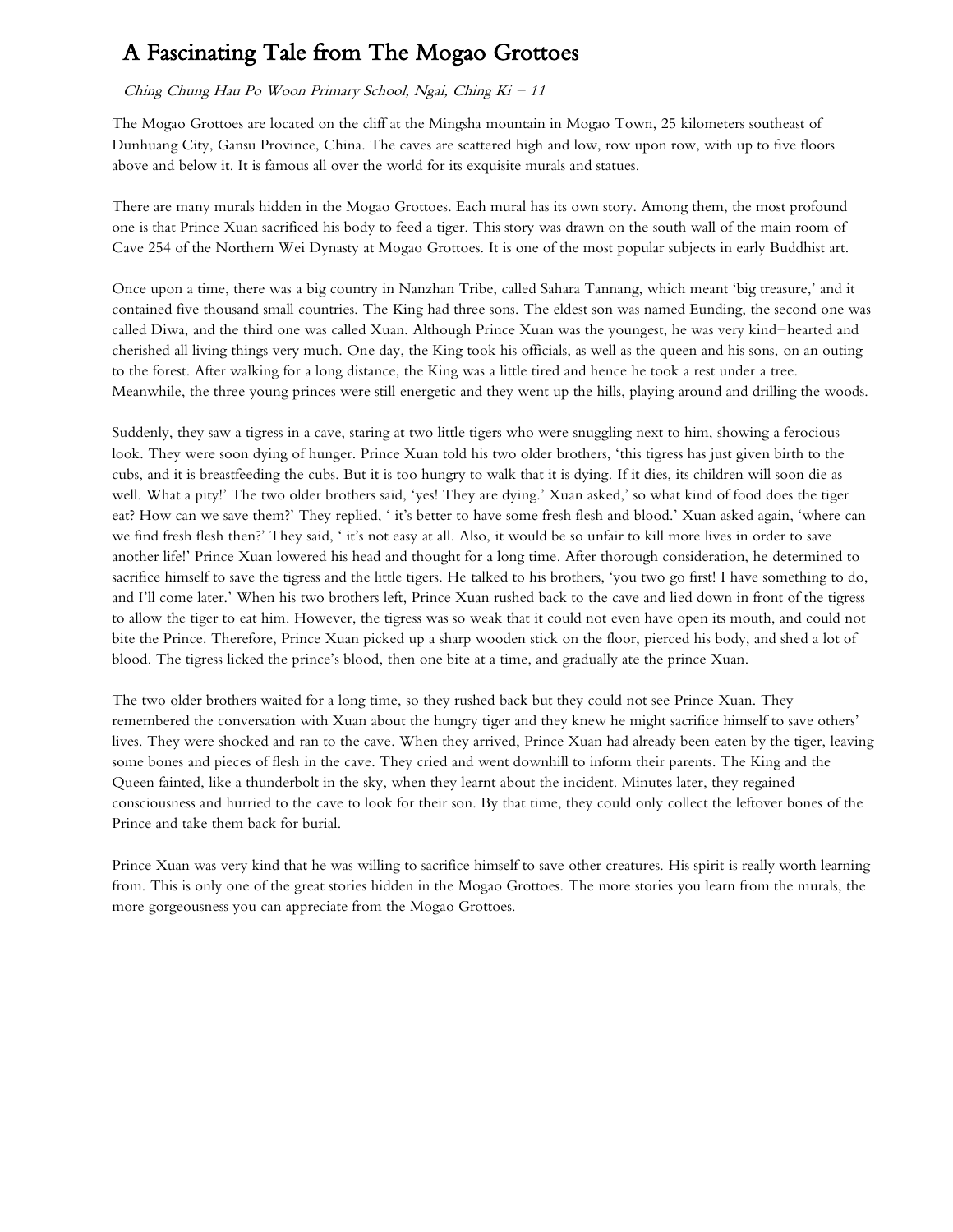# A Fascinating Tale from The Mogao Grottoes

### Ching Chung Hau Po Woon Primary School, Ngai, Ching  $Ki - 11$

The Mogao Grottoes are located on the cliff at the Mingsha mountain in Mogao Town, 25 kilometers southeast of Dunhuang City, Gansu Province, China. The caves are scattered high and low, row upon row, with up to five floors above and below it. It is famous all over the world for its exquisite murals and statues.

There are many murals hidden in the Mogao Grottoes. Each mural has its own story. Among them, the most profound one is that Prince Xuan sacrificed his body to feed a tiger. This story was drawn on the south wall of the main room of Cave 254 of the Northern Wei Dynasty at Mogao Grottoes. It is one of the most popular subjects in early Buddhist art.

Once upon a time, there was a big country in Nanzhan Tribe, called Sahara Tannang, which meant 'big treasure,' and it contained five thousand small countries. The King had three sons. The eldest son was named Eunding, the second one was called Diwa, and the third one was called Xuan. Although Prince Xuan was the youngest, he was very kind-hearted and cherished all living things very much. One day, the King took his officials, as well as the queen and his sons, on an outing to the forest. After walking for a long distance, the King was a little tired and hence he took a rest under a tree. Meanwhile, the three young princes were still energetic and they went up the hills, playing around and drilling the woods.

Suddenly, they saw a tigress in a cave, staring at two little tigers who were snuggling next to him, showing a ferocious look. They were soon dying of hunger. Prince Xuan told his two older brothers, 'this tigress has just given birth to the cubs, and it is breastfeeding the cubs. But it is too hungry to walk that it is dying. If it dies, its children will soon die as well. What a pity!' The two older brothers said, 'yes! They are dying.' Xuan asked,' so what kind of food does the tiger eat? How can we save them?' They replied, ' it's better to have some fresh flesh and blood.' Xuan asked again, 'where can we find fresh flesh then?' They said, ' it's not easy at all. Also, it would be so unfair to kill more lives in order to save another life!' Prince Xuan lowered his head and thought for a long time. After thorough consideration, he determined to sacrifice himself to save the tigress and the little tigers. He talked to his brothers, 'you two go first! I have something to do, and I'll come later.' When his two brothers left, Prince Xuan rushed back to the cave and lied down in front of the tigress to allow the tiger to eat him. However, the tigress was so weak that it could not even have open its mouth, and could not bite the Prince. Therefore, Prince Xuan picked up a sharp wooden stick on the floor, pierced his body, and shed a lot of blood. The tigress licked the prince's blood, then one bite at a time, and gradually ate the prince Xuan.

The two older brothers waited for a long time, so they rushed back but they could not see Prince Xuan. They remembered the conversation with Xuan about the hungry tiger and they knew he might sacrifice himself to save others' lives. They were shocked and ran to the cave. When they arrived, Prince Xuan had already been eaten by the tiger, leaving some bones and pieces of flesh in the cave. They cried and went downhill to inform their parents. The King and the Queen fainted, like a thunderbolt in the sky, when they learnt about the incident. Minutes later, they regained consciousness and hurried to the cave to look for their son. By that time, they could only collect the leftover bones of the Prince and take them back for burial.

Prince Xuan was very kind that he was willing to sacrifice himself to save other creatures. His spirit is really worth learning from. This is only one of the great stories hidden in the Mogao Grottoes. The more stories you learn from the murals, the more gorgeousness you can appreciate from the Mogao Grottoes.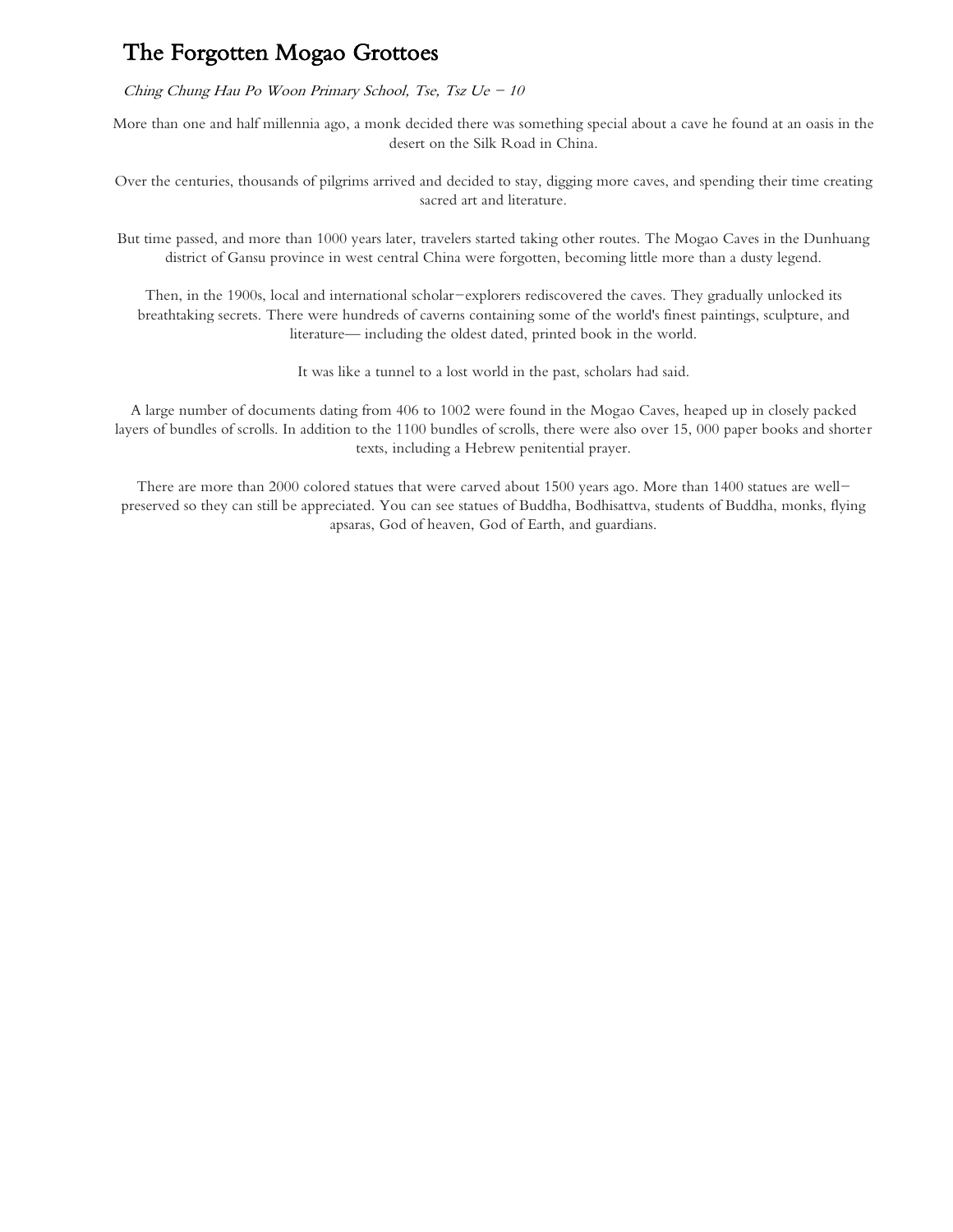## The Forgotten Mogao Grottoes

Ching Chung Hau Po Woon Primary School, Tse, Tsz Ue  $-10$ 

More than one and half millennia ago, a monk decided there was something special about a cave he found at an oasis in the desert on the Silk Road in China.

Over the centuries, thousands of pilgrims arrived and decided to stay, digging more caves, and spending their time creating sacred art and literature.

But time passed, and more than 1000 years later, travelers started taking other routes. The Mogao Caves in the Dunhuang district of Gansu province in west central China were forgotten, becoming little more than a dusty legend.

Then, in the 1900s, local and international scholar-explorers rediscovered the caves. They gradually unlocked its breathtaking secrets. There were hundreds of caverns containing some of the world's finest paintings, sculpture, and literature— including the oldest dated, printed book in the world.

It was like a tunnel to a lost world in the past, scholars had said.

A large number of documents dating from 406 to 1002 were found in the Mogao Caves, heaped up in closely packed layers of bundles of scrolls. In addition to the 1100 bundles of scrolls, there were also over 15, 000 paper books and shorter texts, including a Hebrew penitential prayer.

There are more than 2000 colored statues that were carved about 1500 years ago. More than 1400 statues are wellpreserved so they can still be appreciated. You can see statues of Buddha, Bodhisattva, students of Buddha, monks, flying apsaras, God of heaven, God of Earth, and guardians.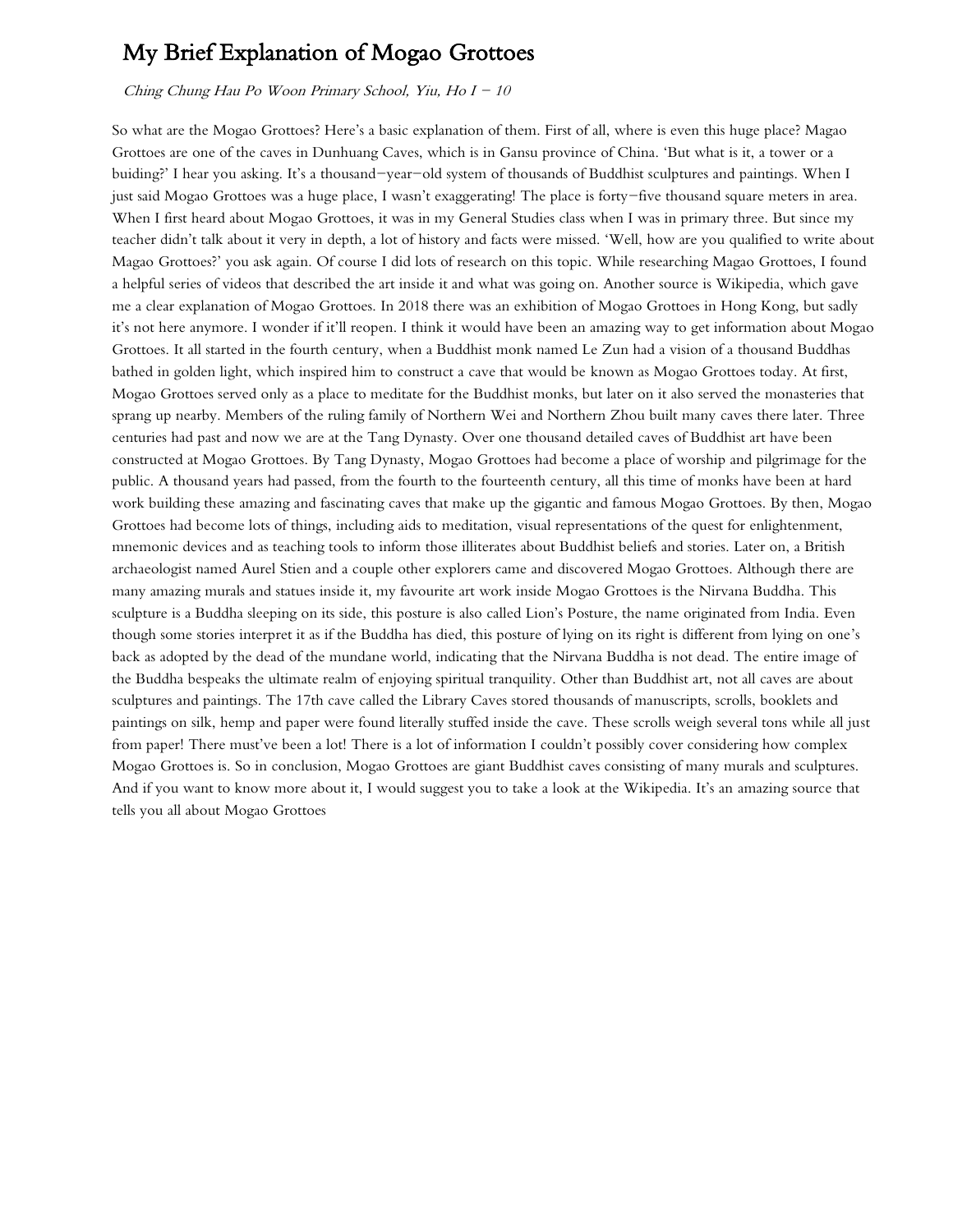## My Brief Explanation of Mogao Grottoes

Ching Chung Hau Po Woon Primary School, Yiu, Ho  $I - 10$ 

So what are the Mogao Grottoes? Here's a basic explanation of them. First of all, where is even this huge place? Magao Grottoes are one of the caves in Dunhuang Caves, which is in Gansu province of China. 'But what is it, a tower or a buiding?' I hear you asking. It's a thousand-year-old system of thousands of Buddhist sculptures and paintings. When I just said Mogao Grottoes was a huge place, I wasn't exaggerating! The place is forty-five thousand square meters in area. When I first heard about Mogao Grottoes, it was in my General Studies class when I was in primary three. But since my teacher didn't talk about it very in depth, a lot of history and facts were missed. 'Well, how are you qualified to write about Magao Grottoes?' you ask again. Of course I did lots of research on this topic. While researching Magao Grottoes, I found a helpful series of videos that described the art inside it and what was going on. Another source is Wikipedia, which gave me a clear explanation of Mogao Grottoes. In 2018 there was an exhibition of Mogao Grottoes in Hong Kong, but sadly it's not here anymore. I wonder if it'll reopen. I think it would have been an amazing way to get information about Mogao Grottoes. It all started in the fourth century, when a Buddhist monk named Le Zun had a vision of a thousand Buddhas bathed in golden light, which inspired him to construct a cave that would be known as Mogao Grottoes today. At first, Mogao Grottoes served only as a place to meditate for the Buddhist monks, but later on it also served the monasteries that sprang up nearby. Members of the ruling family of Northern Wei and Northern Zhou built many caves there later. Three centuries had past and now we are at the Tang Dynasty. Over one thousand detailed caves of Buddhist art have been constructed at Mogao Grottoes. By Tang Dynasty, Mogao Grottoes had become a place of worship and pilgrimage for the public. A thousand years had passed, from the fourth to the fourteenth century, all this time of monks have been at hard work building these amazing and fascinating caves that make up the gigantic and famous Mogao Grottoes. By then, Mogao Grottoes had become lots of things, including aids to meditation, visual representations of the quest for enlightenment, mnemonic devices and as teaching tools to inform those illiterates about Buddhist beliefs and stories. Later on, a British archaeologist named Aurel Stien and a couple other explorers came and discovered Mogao Grottoes. Although there are many amazing murals and statues inside it, my favourite art work inside Mogao Grottoes is the Nirvana Buddha. This sculpture is a Buddha sleeping on its side, this posture is also called Lion's Posture, the name originated from India. Even though some stories interpret it as if the Buddha has died, this posture of lying on its right is different from lying on one's back as adopted by the dead of the mundane world, indicating that the Nirvana Buddha is not dead. The entire image of the Buddha bespeaks the ultimate realm of enjoying spiritual tranquility. Other than Buddhist art, not all caves are about sculptures and paintings. The 17th cave called the Library Caves stored thousands of manuscripts, scrolls, booklets and paintings on silk, hemp and paper were found literally stuffed inside the cave. These scrolls weigh several tons while all just from paper! There must've been a lot! There is a lot of information I couldn't possibly cover considering how complex Mogao Grottoes is. So in conclusion, Mogao Grottoes are giant Buddhist caves consisting of many murals and sculptures. And if you want to know more about it, I would suggest you to take a look at the Wikipedia. It's an amazing source that tells you all about Mogao Grottoes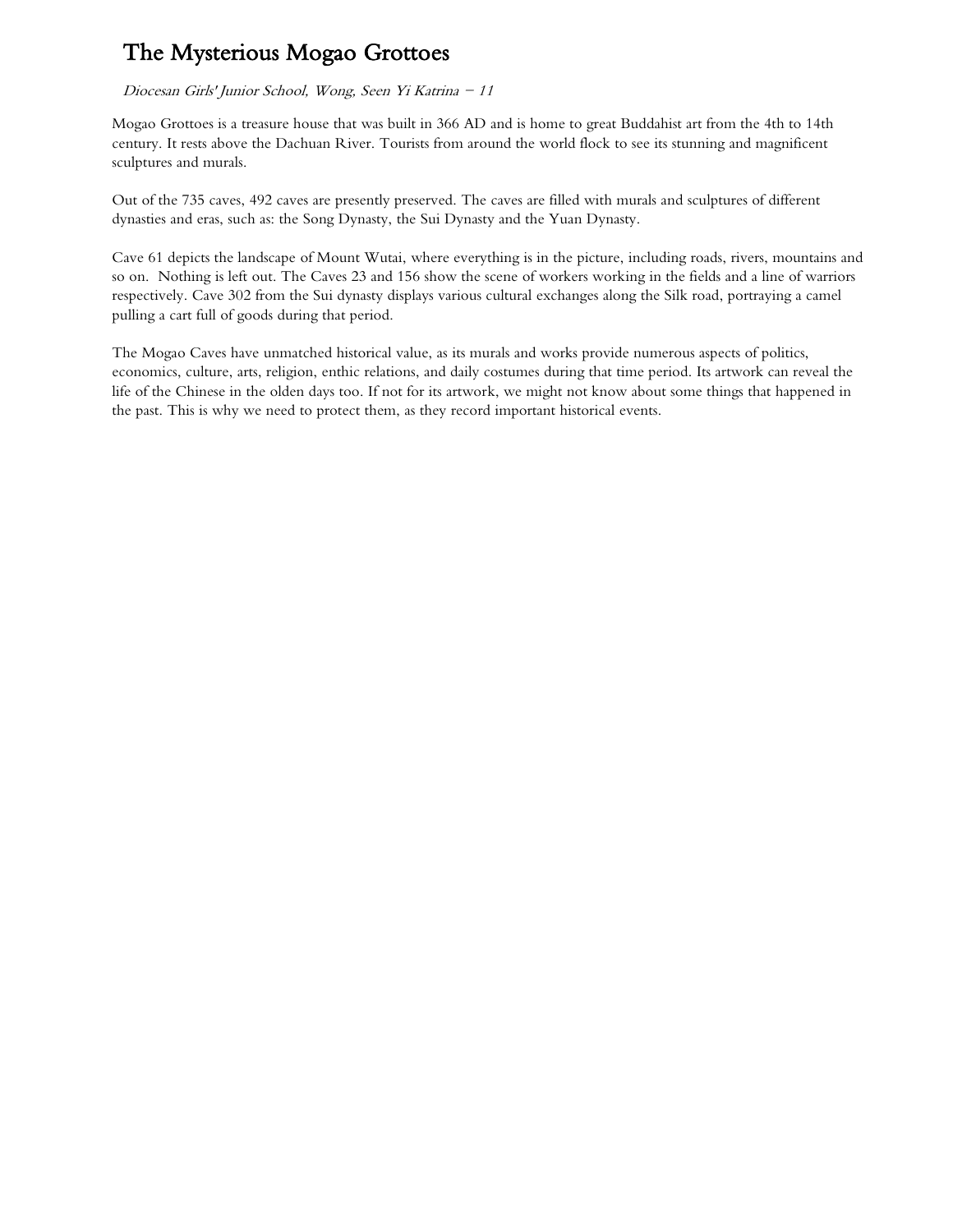# The Mysterious Mogao Grottoes

Diocesan Girls' Junior School, Wong, Seen Yi Katrina - 11

Mogao Grottoes is a treasure house that was built in 366 AD and is home to great Buddahist art from the 4th to 14th century. It rests above the Dachuan River. Tourists from around the world flock to see its stunning and magnificent sculptures and murals.

Out of the 735 caves, 492 caves are presently preserved. The caves are filled with murals and sculptures of different dynasties and eras, such as: the Song Dynasty, the Sui Dynasty and the Yuan Dynasty.

Cave 61 depicts the landscape of Mount Wutai, where everything is in the picture, including roads, rivers, mountains and so on. Nothing is left out. The Caves 23 and 156 show the scene of workers working in the fields and a line of warriors respectively. Cave 302 from the Sui dynasty displays various cultural exchanges along the Silk road, portraying a camel pulling a cart full of goods during that period.

The Mogao Caves have unmatched historical value, as its murals and works provide numerous aspects of politics, economics, culture, arts, religion, enthic relations, and daily costumes during that time period. Its artwork can reveal the life of the Chinese in the olden days too. If not for its artwork, we might not know about some things that happened in the past. This is why we need to protect them, as they record important historical events.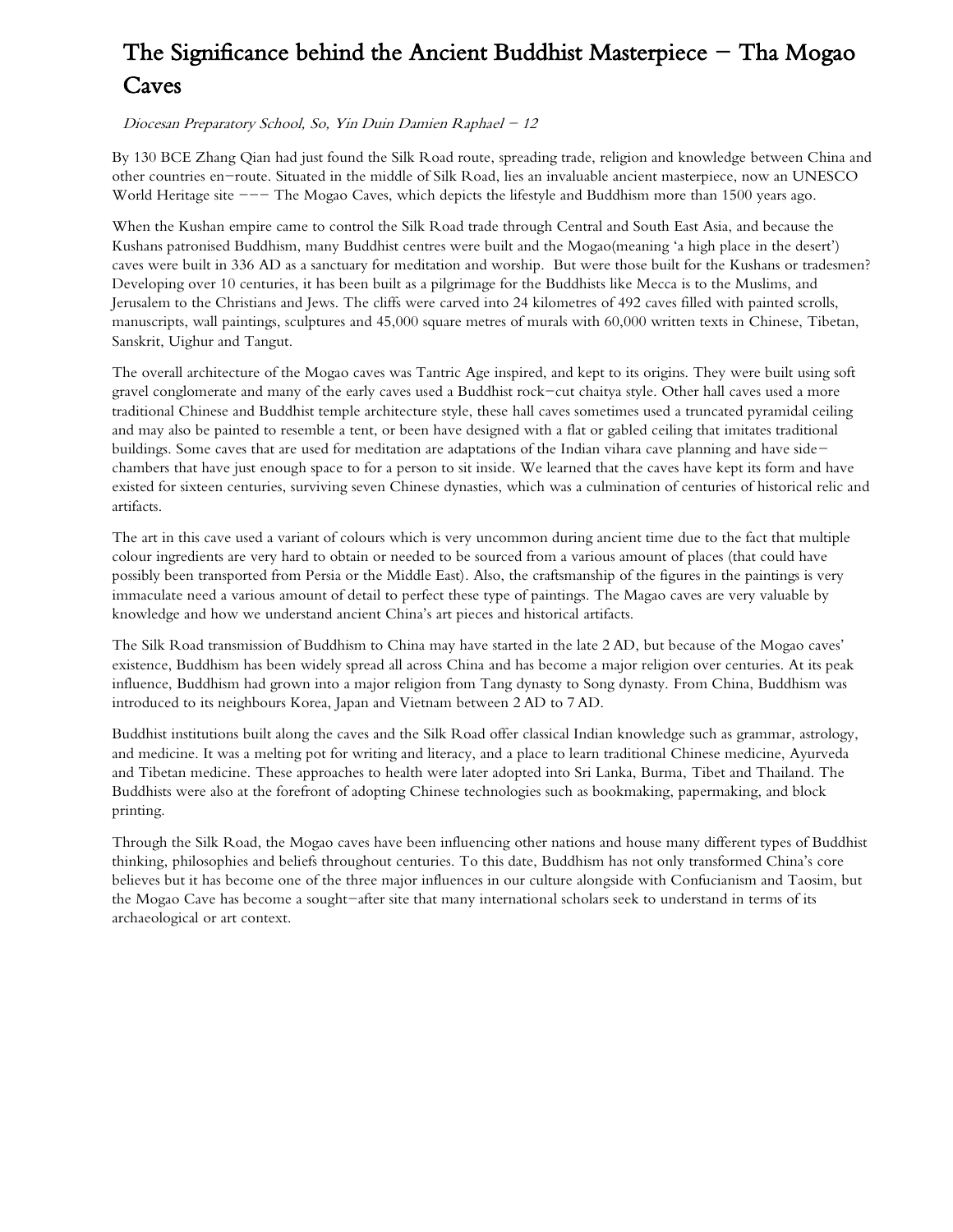# The Significance behind the Ancient Buddhist Masterpiece  $-$  Tha Mogao Caves

## Diocesan Preparatory School, So, Yin Duin Damien Raphael - 12

By 130 BCE Zhang Qian had just found the Silk Road route, spreading trade, religion and knowledge between China and other countries en-route. Situated in the middle of Silk Road, lies an invaluable ancient masterpiece, now an UNESCO World Heritage site --- The Mogao Caves, which depicts the lifestyle and Buddhism more than 1500 years ago.

When the Kushan empire came to control the Silk Road trade through Central and South East Asia, and because the Kushans patronised Buddhism, many Buddhist centres were built and the Mogao(meaning 'a high place in the desert') caves were built in 336 AD as a sanctuary for meditation and worship. But were those built for the Kushans or tradesmen? Developing over 10 centuries, it has been built as a pilgrimage for the Buddhists like Mecca is to the Muslims, and Jerusalem to the Christians and Jews. The cliffs were carved into 24 kilometres of 492 caves filled with painted scrolls, manuscripts, wall paintings, sculptures and 45,000 square metres of murals with 60,000 written texts in Chinese, Tibetan, Sanskrit, Uighur and Tangut.

The overall architecture of the Mogao caves was Tantric Age inspired, and kept to its origins. They were built using soft gravel conglomerate and many of the early caves used a Buddhist rock-cut chaitya style. Other hall caves used a more traditional Chinese and Buddhist temple architecture style, these hall caves sometimes used a truncated pyramidal ceiling and may also be painted to resemble a tent, or been have designed with a flat or gabled ceiling that imitates traditional buildings. Some caves that are used for meditation are adaptations of the Indian vihara cave planning and have sidechambers that have just enough space to for a person to sit inside. We learned that the caves have kept its form and have existed for sixteen centuries, surviving seven Chinese dynasties, which was a culmination of centuries of historical relic and artifacts.

The art in this cave used a variant of colours which is very uncommon during ancient time due to the fact that multiple colour ingredients are very hard to obtain or needed to be sourced from a various amount of places (that could have possibly been transported from Persia or the Middle East). Also, the craftsmanship of the figures in the paintings is very immaculate need a various amount of detail to perfect these type of paintings. The Magao caves are very valuable by knowledge and how we understand ancient China's art pieces and historical artifacts.

The Silk Road transmission of Buddhism to China may have started in the late 2 AD, but because of the Mogao caves' existence, Buddhism has been widely spread all across China and has become a major religion over centuries. At its peak influence, Buddhism had grown into a major religion from Tang dynasty to Song dynasty. From China, Buddhism was introduced to its neighbours Korea, Japan and Vietnam between 2 AD to 7 AD.

Buddhist institutions built along the caves and the Silk Road offer classical Indian knowledge such as grammar, astrology, and medicine. It was a melting pot for writing and literacy, and a place to learn traditional Chinese medicine, Ayurveda and Tibetan medicine. These approaches to health were later adopted into Sri Lanka, Burma, Tibet and Thailand. The Buddhists were also at the forefront of adopting Chinese technologies such as bookmaking, papermaking, and block printing.

Through the Silk Road, the Mogao caves have been influencing other nations and house many different types of Buddhist thinking, philosophies and beliefs throughout centuries. To this date, Buddhism has not only transformed China's core believes but it has become one of the three major influences in our culture alongside with Confucianism and Taosim, but the Mogao Cave has become a sought-after site that many international scholars seek to understand in terms of its archaeological or art context.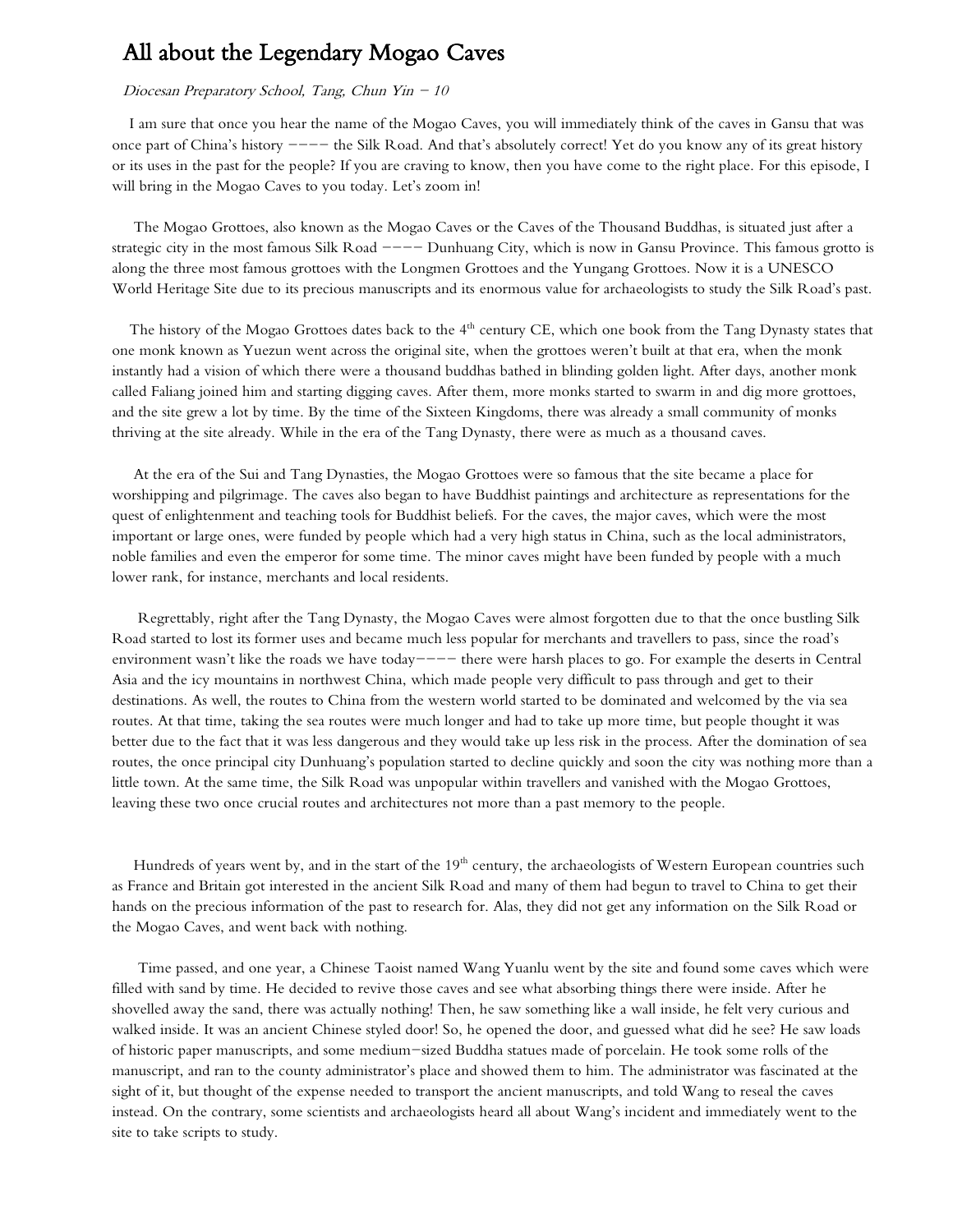## All about the Legendary Mogao Caves

#### Diocesan Preparatory School, Tang, Chun Yin  $-10$

 I am sure that once you hear the name of the Mogao Caves, you will immediately think of the caves in Gansu that was once part of China's history  $---$  the Silk Road. And that's absolutely correct! Yet do you know any of its great history or its uses in the past for the people? If you are craving to know, then you have come to the right place. For this episode, I will bring in the Mogao Caves to you today. Let's zoom in!

 The Mogao Grottoes, also known as the Mogao Caves or the Caves of the Thousand Buddhas, is situated just after a strategic city in the most famous Silk Road ---- Dunhuang City, which is now in Gansu Province. This famous grotto is along the three most famous grottoes with the Longmen Grottoes and the Yungang Grottoes. Now it is a UNESCO World Heritage Site due to its precious manuscripts and its enormous value for archaeologists to study the Silk Road's past.

The history of the Mogao Grottoes dates back to the 4<sup>th</sup> century CE, which one book from the Tang Dynasty states that one monk known as Yuezun went across the original site, when the grottoes weren't built at that era, when the monk instantly had a vision of which there were a thousand buddhas bathed in blinding golden light. After days, another monk called Faliang joined him and starting digging caves. After them, more monks started to swarm in and dig more grottoes, and the site grew a lot by time. By the time of the Sixteen Kingdoms, there was already a small community of monks thriving at the site already. While in the era of the Tang Dynasty, there were as much as a thousand caves.

 At the era of the Sui and Tang Dynasties, the Mogao Grottoes were so famous that the site became a place for worshipping and pilgrimage. The caves also began to have Buddhist paintings and architecture as representations for the quest of enlightenment and teaching tools for Buddhist beliefs. For the caves, the major caves, which were the most important or large ones, were funded by people which had a very high status in China, such as the local administrators, noble families and even the emperor for some time. The minor caves might have been funded by people with a much lower rank, for instance, merchants and local residents.

 Regrettably, right after the Tang Dynasty, the Mogao Caves were almost forgotten due to that the once bustling Silk Road started to lost its former uses and became much less popular for merchants and travellers to pass, since the road's environment wasn't like the roads we have today---- there were harsh places to go. For example the deserts in Central Asia and the icy mountains in northwest China, which made people very difficult to pass through and get to their destinations. As well, the routes to China from the western world started to be dominated and welcomed by the via sea routes. At that time, taking the sea routes were much longer and had to take up more time, but people thought it was better due to the fact that it was less dangerous and they would take up less risk in the process. After the domination of sea routes, the once principal city Dunhuang's population started to decline quickly and soon the city was nothing more than a little town. At the same time, the Silk Road was unpopular within travellers and vanished with the Mogao Grottoes, leaving these two once crucial routes and architectures not more than a past memory to the people.

Hundreds of years went by, and in the start of the 19<sup>th</sup> century, the archaeologists of Western European countries such as France and Britain got interested in the ancient Silk Road and many of them had begun to travel to China to get their hands on the precious information of the past to research for. Alas, they did not get any information on the Silk Road or the Mogao Caves, and went back with nothing.

 Time passed, and one year, a Chinese Taoist named Wang Yuanlu went by the site and found some caves which were filled with sand by time. He decided to revive those caves and see what absorbing things there were inside. After he shovelled away the sand, there was actually nothing! Then, he saw something like a wall inside, he felt very curious and walked inside. It was an ancient Chinese styled door! So, he opened the door, and guessed what did he see? He saw loads of historic paper manuscripts, and some medium-sized Buddha statues made of porcelain. He took some rolls of the manuscript, and ran to the county administrator's place and showed them to him. The administrator was fascinated at the sight of it, but thought of the expense needed to transport the ancient manuscripts, and told Wang to reseal the caves instead. On the contrary, some scientists and archaeologists heard all about Wang's incident and immediately went to the site to take scripts to study.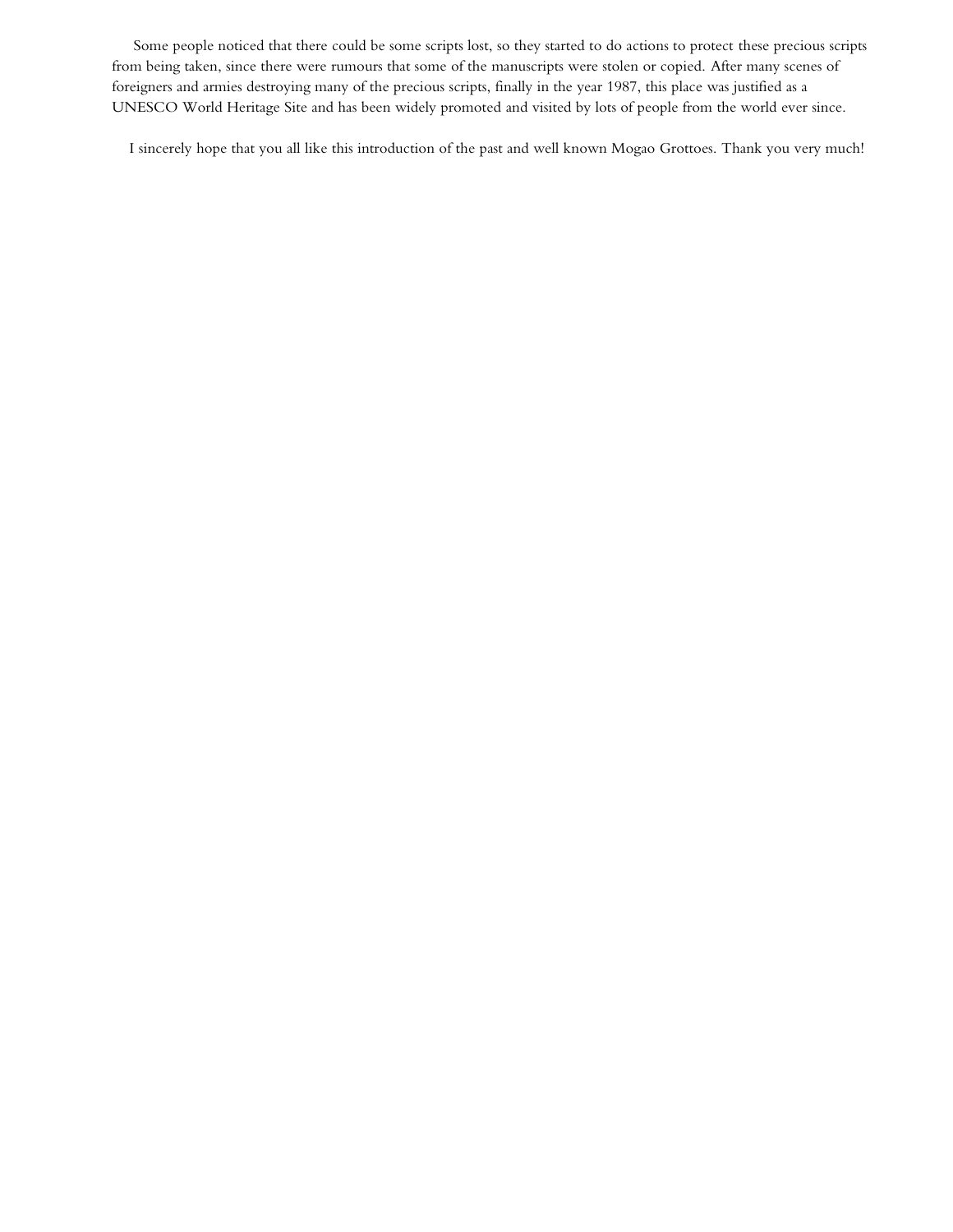Some people noticed that there could be some scripts lost, so they started to do actions to protect these precious scripts from being taken, since there were rumours that some of the manuscripts were stolen or copied. After many scenes of foreigners and armies destroying many of the precious scripts, finally in the year 1987, this place was justified as a UNESCO World Heritage Site and has been widely promoted and visited by lots of people from the world ever since.

I sincerely hope that you all like this introduction of the past and well known Mogao Grottoes. Thank you very much!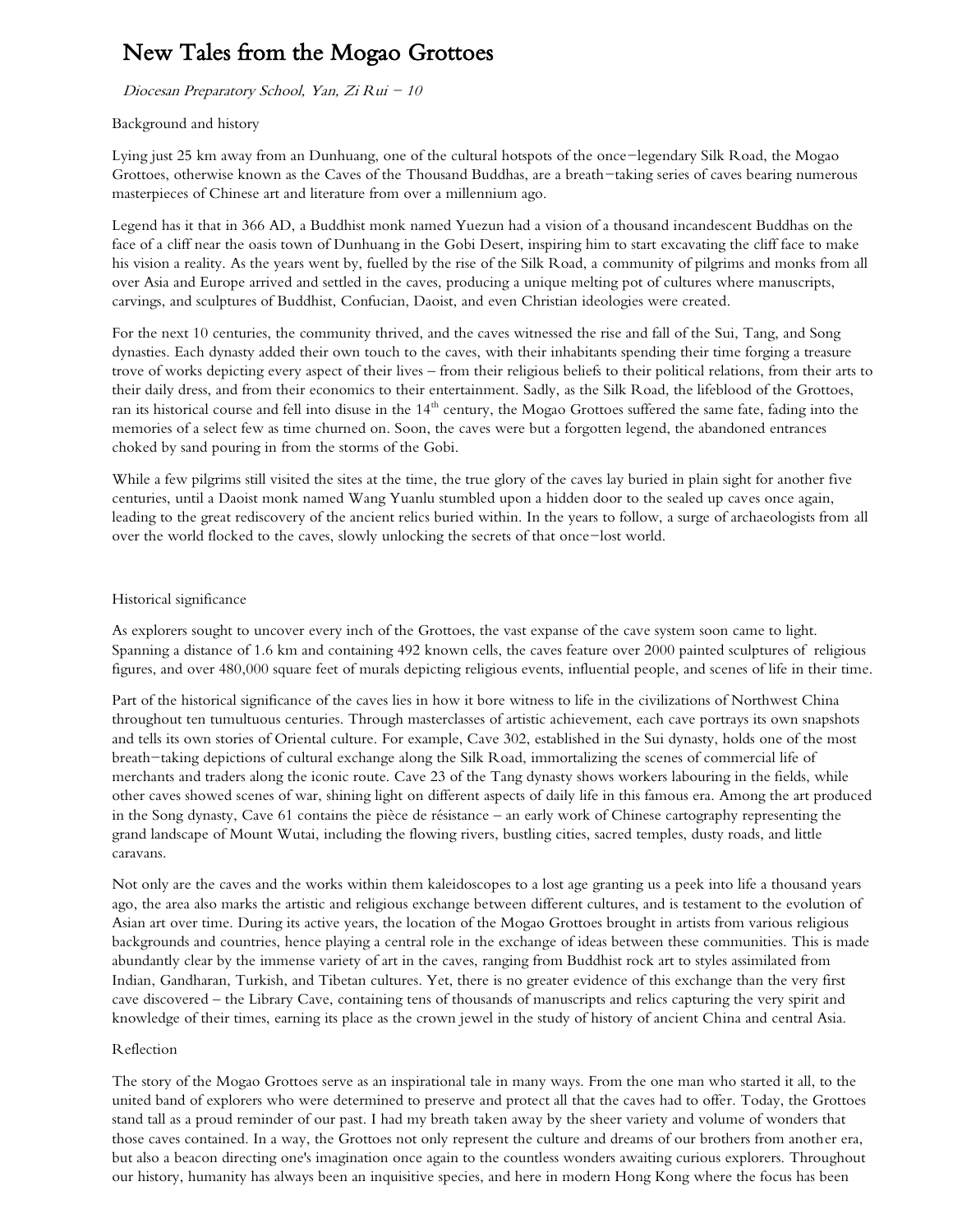# New Tales from the Mogao Grottoes

Diocesan Preparatory School, Yan, Zi Rui - 10

### Background and history

Lying just 25 km away from an Dunhuang, one of the cultural hotspots of the once-legendary Silk Road, the Mogao Grottoes, otherwise known as the Caves of the Thousand Buddhas, are a breath-taking series of caves bearing numerous masterpieces of Chinese art and literature from over a millennium ago.

Legend has it that in 366 AD, a Buddhist monk named Yuezun had a vision of a thousand incandescent Buddhas on the face of a cliff near the oasis town of Dunhuang in the Gobi Desert, inspiring him to start excavating the cliff face to make his vision a reality. As the years went by, fuelled by the rise of the Silk Road, a community of pilgrims and monks from all over Asia and Europe arrived and settled in the caves, producing a unique melting pot of cultures where manuscripts, carvings, and sculptures of Buddhist, Confucian, Daoist, and even Christian ideologies were created.

For the next 10 centuries, the community thrived, and the caves witnessed the rise and fall of the Sui, Tang, and Song dynasties. Each dynasty added their own touch to the caves, with their inhabitants spending their time forging a treasure trove of works depicting every aspect of their lives – from their religious beliefs to their political relations, from their arts to their daily dress, and from their economics to their entertainment. Sadly, as the Silk Road, the lifeblood of the Grottoes, ran its historical course and fell into disuse in the  $14<sup>th</sup>$  century, the Mogao Grottoes suffered the same fate, fading into the memories of a select few as time churned on. Soon, the caves were but a forgotten legend, the abandoned entrances choked by sand pouring in from the storms of the Gobi.

While a few pilgrims still visited the sites at the time, the true glory of the caves lay buried in plain sight for another five centuries, until a Daoist monk named Wang Yuanlu stumbled upon a hidden door to the sealed up caves once again, leading to the great rediscovery of the ancient relics buried within. In the years to follow, a surge of archaeologists from all over the world flocked to the caves, slowly unlocking the secrets of that once-lost world.

### Historical significance

As explorers sought to uncover every inch of the Grottoes, the vast expanse of the cave system soon came to light. Spanning a distance of 1.6 km and containing 492 known cells, the caves feature over 2000 painted sculptures of religious figures, and over 480,000 square feet of murals depicting religious events, influential people, and scenes of life in their time.

Part of the historical significance of the caves lies in how it bore witness to life in the civilizations of Northwest China throughout ten tumultuous centuries. Through masterclasses of artistic achievement, each cave portrays its own snapshots and tells its own stories of Oriental culture. For example, Cave 302, established in the Sui dynasty, holds one of the most breath-taking depictions of cultural exchange along the Silk Road, immortalizing the scenes of commercial life of merchants and traders along the iconic route. Cave 23 of the Tang dynasty shows workers labouring in the fields, while other caves showed scenes of war, shining light on different aspects of daily life in this famous era. Among the art produced in the Song dynasty, Cave 61 contains the pièce de résistance – an early work of Chinese cartography representing the grand landscape of Mount Wutai, including the flowing rivers, bustling cities, sacred temples, dusty roads, and little caravans.

Not only are the caves and the works within them kaleidoscopes to a lost age granting us a peek into life a thousand years ago, the area also marks the artistic and religious exchange between different cultures, and is testament to the evolution of Asian art over time. During its active years, the location of the Mogao Grottoes brought in artists from various religious backgrounds and countries, hence playing a central role in the exchange of ideas between these communities. This is made abundantly clear by the immense variety of art in the caves, ranging from Buddhist rock art to styles assimilated from Indian, Gandharan, Turkish, and Tibetan cultures. Yet, there is no greater evidence of this exchange than the very first cave discovered – the Library Cave, containing tens of thousands of manuscripts and relics capturing the very spirit and knowledge of their times, earning its place as the crown jewel in the study of history of ancient China and central Asia.

#### Reflection

The story of the Mogao Grottoes serve as an inspirational tale in many ways. From the one man who started it all, to the united band of explorers who were determined to preserve and protect all that the caves had to offer. Today, the Grottoes stand tall as a proud reminder of our past. I had my breath taken away by the sheer variety and volume of wonders that those caves contained. In a way, the Grottoes not only represent the culture and dreams of our brothers from another era, but also a beacon directing one's imagination once again to the countless wonders awaiting curious explorers. Throughout our history, humanity has always been an inquisitive species, and here in modern Hong Kong where the focus has been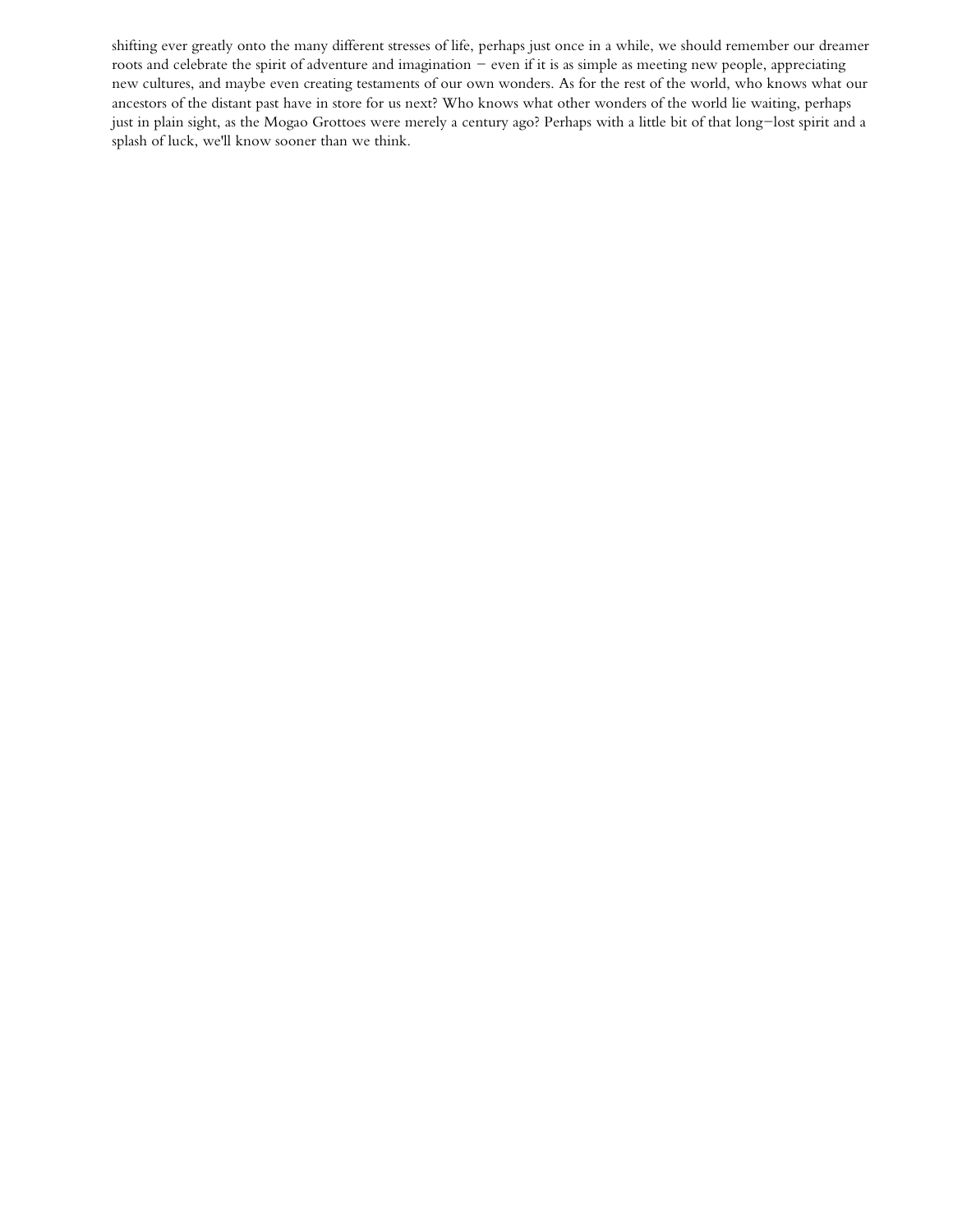shifting ever greatly onto the many different stresses of life, perhaps just once in a while, we should remember our dreamer roots and celebrate the spirit of adventure and imagination - even if it is as simple as meeting new people, appreciating new cultures, and maybe even creating testaments of our own wonders. As for the rest of the world, who knows what our ancestors of the distant past have in store for us next? Who knows what other wonders of the world lie waiting, perhaps just in plain sight, as the Mogao Grottoes were merely a century ago? Perhaps with a little bit of that long-lost spirit and a splash of luck, we'll know sooner than we think.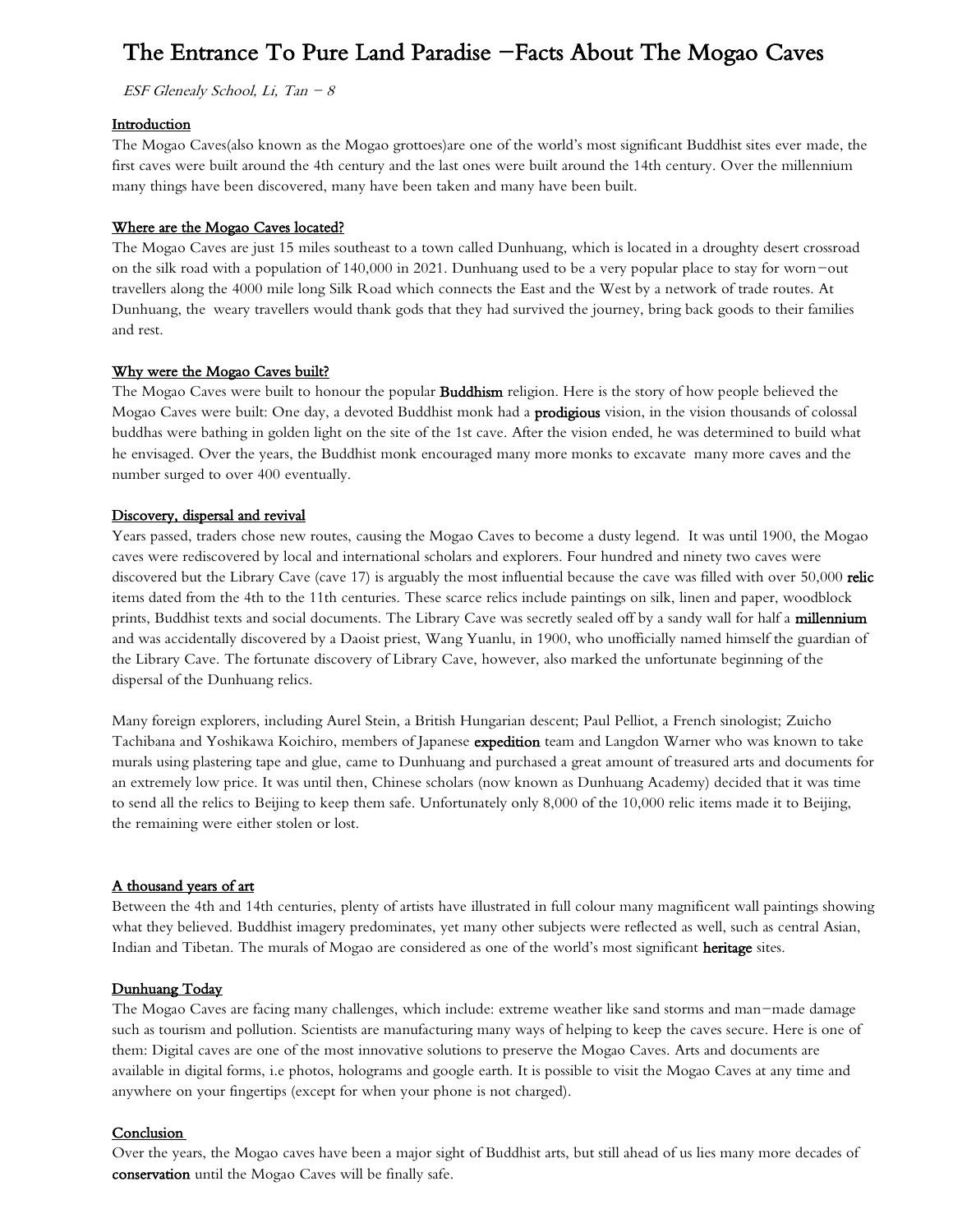## The Entrance To Pure Land Paradise -Facts About The Mogao Caves

ESF Glenealy School, Li, Tan  $-8$ 

#### **Introduction**

The Mogao Caves(also known as the Mogao grottoes)are one of the world's most significant Buddhist sites ever made, the first caves were built around the 4th century and the last ones were built around the 14th century. Over the millennium many things have been discovered, many have been taken and many have been built.

#### Where are the Mogao Caves located?

The Mogao Caves are just 15 miles southeast to a town called Dunhuang, which is located in a droughty desert crossroad on the silk road with a population of 140,000 in 2021. Dunhuang used to be a very popular place to stay for worn-out travellers along the 4000 mile long Silk Road which connects the East and the West by a network of trade routes. At Dunhuang, the weary travellers would thank gods that they had survived the journey, bring back goods to their families and rest.

#### Why were the Mogao Caves built?

The Mogao Caves were built to honour the popular Buddhism religion. Here is the story of how people believed the Mogao Caves were built: One day, a devoted Buddhist monk had a **prodigious** vision, in the vision thousands of colossal buddhas were bathing in golden light on the site of the 1st cave. After the vision ended, he was determined to build what he envisaged. Over the years, the Buddhist monk encouraged many more monks to excavate many more caves and the number surged to over 400 eventually.

#### Discovery, dispersal and revival

Years passed, traders chose new routes, causing the Mogao Caves to become a dusty legend. It was until 1900, the Mogao caves were rediscovered by local and international scholars and explorers. Four hundred and ninety two caves were discovered but the Library Cave (cave 17) is arguably the most influential because the cave was filled with over 50,000 relic items dated from the 4th to the 11th centuries. These scarce relics include paintings on silk, linen and paper, woodblock prints, Buddhist texts and social documents. The Library Cave was secretly sealed off by a sandy wall for half a millennium and was accidentally discovered by a Daoist priest, Wang Yuanlu, in 1900, who unofficially named himself the guardian of the Library Cave. The fortunate discovery of Library Cave, however, also marked the unfortunate beginning of the dispersal of the Dunhuang relics.

Many foreign explorers, including Aurel Stein, a British Hungarian descent; Paul Pelliot, a French sinologist; Zuicho Tachibana and Yoshikawa Koichiro, members of Japanese expedition team and Langdon Warner who was known to take murals using plastering tape and glue, came to Dunhuang and purchased a great amount of treasured arts and documents for an extremely low price. It was until then, Chinese scholars (now known as Dunhuang Academy) decided that it was time to send all the relics to Beijing to keep them safe. Unfortunately only 8,000 of the 10,000 relic items made it to Beijing, the remaining were either stolen or lost.

#### A thousand years of art

Between the 4th and 14th centuries, plenty of artists have illustrated in full colour many magnificent wall paintings showing what they believed. Buddhist imagery predominates, yet many other subjects were reflected as well, such as central Asian, Indian and Tibetan. The murals of Mogao are considered as one of the world's most significant heritage sites.

#### Dunhuang Today

The Mogao Caves are facing many challenges, which include: extreme weather like sand storms and man-made damage such as tourism and pollution. Scientists are manufacturing many ways of helping to keep the caves secure. Here is one of them: Digital caves are one of the most innovative solutions to preserve the Mogao Caves. Arts and documents are available in digital forms, i.e photos, holograms and google earth. It is possible to visit the Mogao Caves at any time and anywhere on your fingertips (except for when your phone is not charged).

#### Conclusion

Over the years, the Mogao caves have been a major sight of Buddhist arts, but still ahead of us lies many more decades of conservation until the Mogao Caves will be finally safe.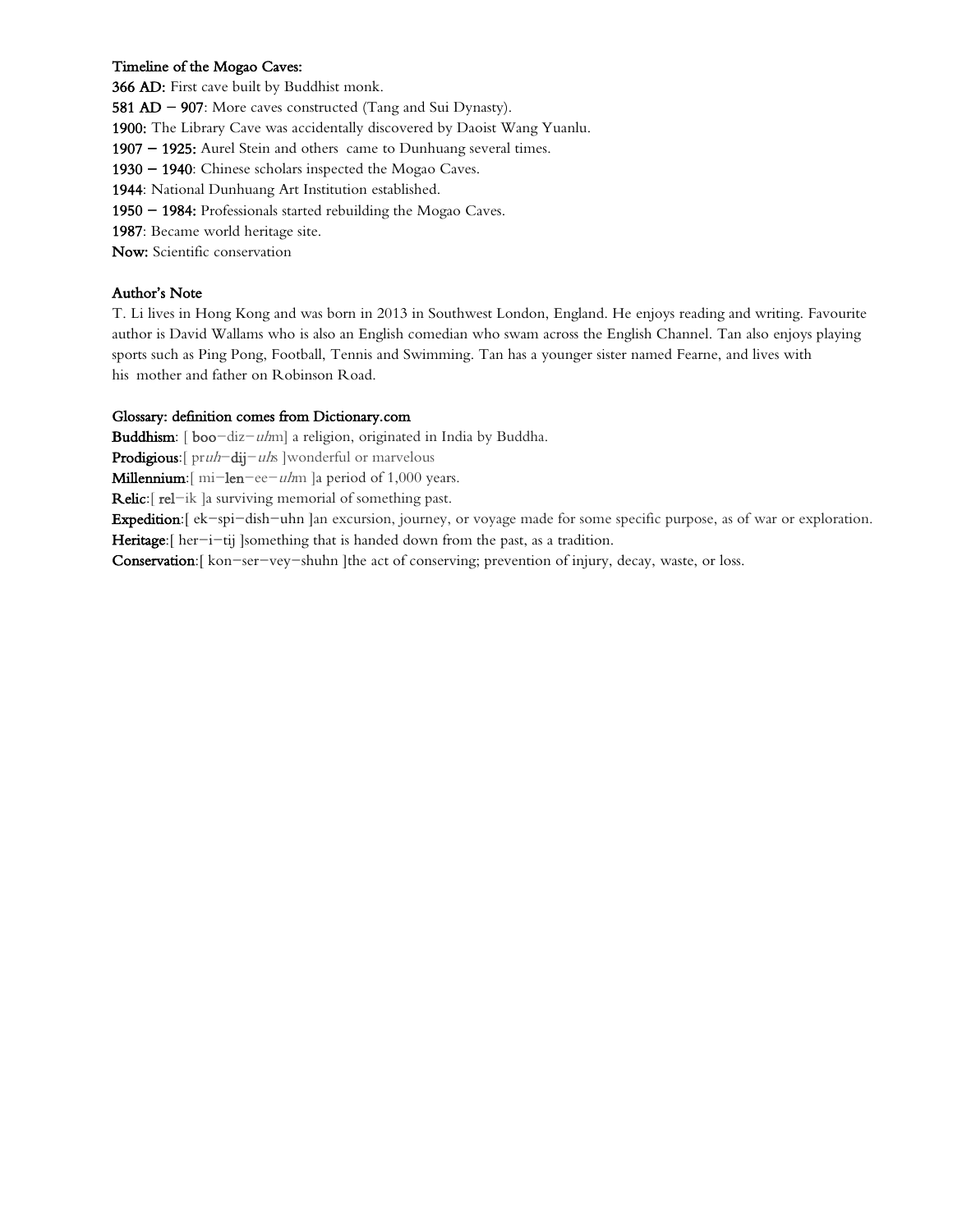## Timeline of the Mogao Caves:

366 AD: First cave built by Buddhist monk.

581  $AD - 907$ : More caves constructed (Tang and Sui Dynasty).

1900: The Library Cave was accidentally discovered by Daoist Wang Yuanlu.

1907 - 1925: Aurel Stein and others came to Dunhuang several times.

1930 - 1940: Chinese scholars inspected the Mogao Caves.

1944: National Dunhuang Art Institution established.

1950 - 1984: Professionals started rebuilding the Mogao Caves.

1987: Became world heritage site.

Now: Scientific conservation

## Author's Note

T. Li lives in Hong Kong and was born in 2013 in Southwest London, England. He enjoys reading and writing. Favourite author is David Wallams who is also an English comedian who swam across the English Channel. Tan also enjoys playing sports such as Ping Pong, Football, Tennis and Swimming. Tan has a younger sister named Fearne, and lives with his mother and father on Robinson Road.

#### Glossary: definition comes from Dictionary.com

**Buddhism**:  $\lceil \text{boo}-\text{diz}-\text{u/m} \rceil$  a religion, originated in India by Buddha.

Prodigious: [ pruh-dij-uhs ] wonderful or marvelous

**Millennium**:  $\left[\text{mi-len-ee}-\text{u/m}\right]$  a period of 1,000 years.

Relic: [rel-ik ] a surviving memorial of something past.

Expedition:[ ek-spi-dish-uhn ]an excursion, journey, or voyage made for some specific purpose, as of war or exploration. Heritage:[ her-i-tij ]something that is handed down from the past, as a tradition.

Conservation:[ kon-ser-vey-shuhn ]the act of conserving; prevention of injury, decay, waste, or loss.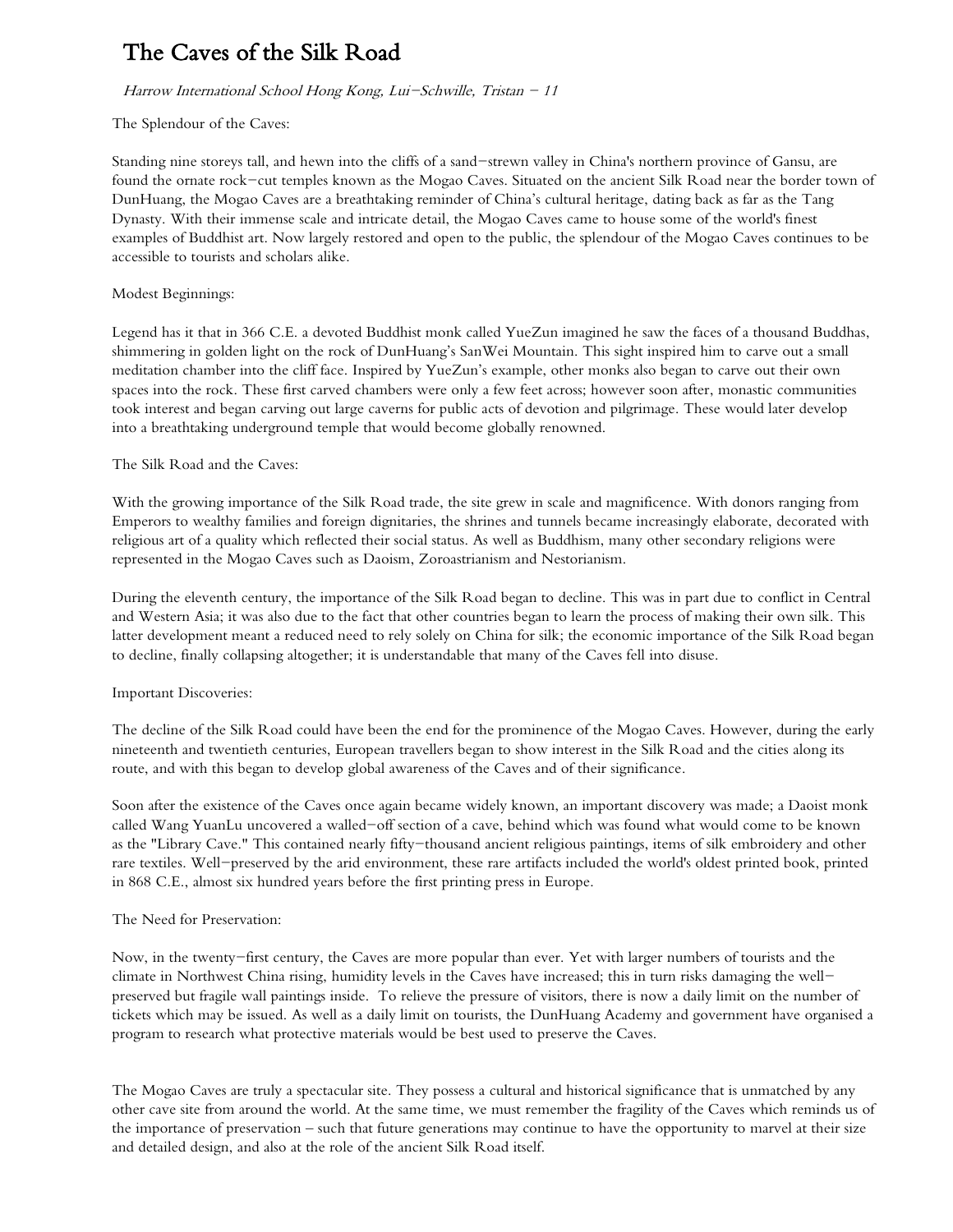# The Caves of the Silk Road

### Harrow International School Hong Kong, Lui-Schwille, Tristan - 11

#### The Splendour of the Caves:

Standing nine storeys tall, and hewn into the cliffs of a sand-strewn valley in China's northern province of Gansu, are found the ornate rock-cut temples known as the Mogao Caves. Situated on the ancient Silk Road near the border town of DunHuang, the Mogao Caves are a breathtaking reminder of China's cultural heritage, dating back as far as the Tang Dynasty. With their immense scale and intricate detail, the Mogao Caves came to house some of the world's finest examples of Buddhist art. Now largely restored and open to the public, the splendour of the Mogao Caves continues to be accessible to tourists and scholars alike.

#### Modest Beginnings:

Legend has it that in 366 C.E. a devoted Buddhist monk called YueZun imagined he saw the faces of a thousand Buddhas, shimmering in golden light on the rock of DunHuang's SanWei Mountain. This sight inspired him to carve out a small meditation chamber into the cliff face. Inspired by YueZun's example, other monks also began to carve out their own spaces into the rock. These first carved chambers were only a few feet across; however soon after, monastic communities took interest and began carving out large caverns for public acts of devotion and pilgrimage. These would later develop into a breathtaking underground temple that would become globally renowned.

### The Silk Road and the Caves:

With the growing importance of the Silk Road trade, the site grew in scale and magnificence. With donors ranging from Emperors to wealthy families and foreign dignitaries, the shrines and tunnels became increasingly elaborate, decorated with religious art of a quality which reflected their social status. As well as Buddhism, many other secondary religions were represented in the Mogao Caves such as Daoism, Zoroastrianism and Nestorianism.

During the eleventh century, the importance of the Silk Road began to decline. This was in part due to conflict in Central and Western Asia; it was also due to the fact that other countries began to learn the process of making their own silk. This latter development meant a reduced need to rely solely on China for silk; the economic importance of the Silk Road began to decline, finally collapsing altogether; it is understandable that many of the Caves fell into disuse.

## Important Discoveries:

The decline of the Silk Road could have been the end for the prominence of the Mogao Caves. However, during the early nineteenth and twentieth centuries, European travellers began to show interest in the Silk Road and the cities along its route, and with this began to develop global awareness of the Caves and of their significance.

Soon after the existence of the Caves once again became widely known, an important discovery was made; a Daoist monk called Wang YuanLu uncovered a walled-off section of a cave, behind which was found what would come to be known as the "Library Cave." This contained nearly fifty-thousand ancient religious paintings, items of silk embroidery and other rare textiles. Well-preserved by the arid environment, these rare artifacts included the world's oldest printed book, printed in 868 C.E., almost six hundred years before the first printing press in Europe.

#### The Need for Preservation:

Now, in the twenty-first century, the Caves are more popular than ever. Yet with larger numbers of tourists and the climate in Northwest China rising, humidity levels in the Caves have increased; this in turn risks damaging the wellpreserved but fragile wall paintings inside. To relieve the pressure of visitors, there is now a daily limit on the number of tickets which may be issued. As well as a daily limit on tourists, the DunHuang Academy and government have organised a program to research what protective materials would be best used to preserve the Caves.

The Mogao Caves are truly a spectacular site. They possess a cultural and historical significance that is unmatched by any other cave site from around the world. At the same time, we must remember the fragility of the Caves which reminds us of the importance of preservation – such that future generations may continue to have the opportunity to marvel at their size and detailed design, and also at the role of the ancient Silk Road itself.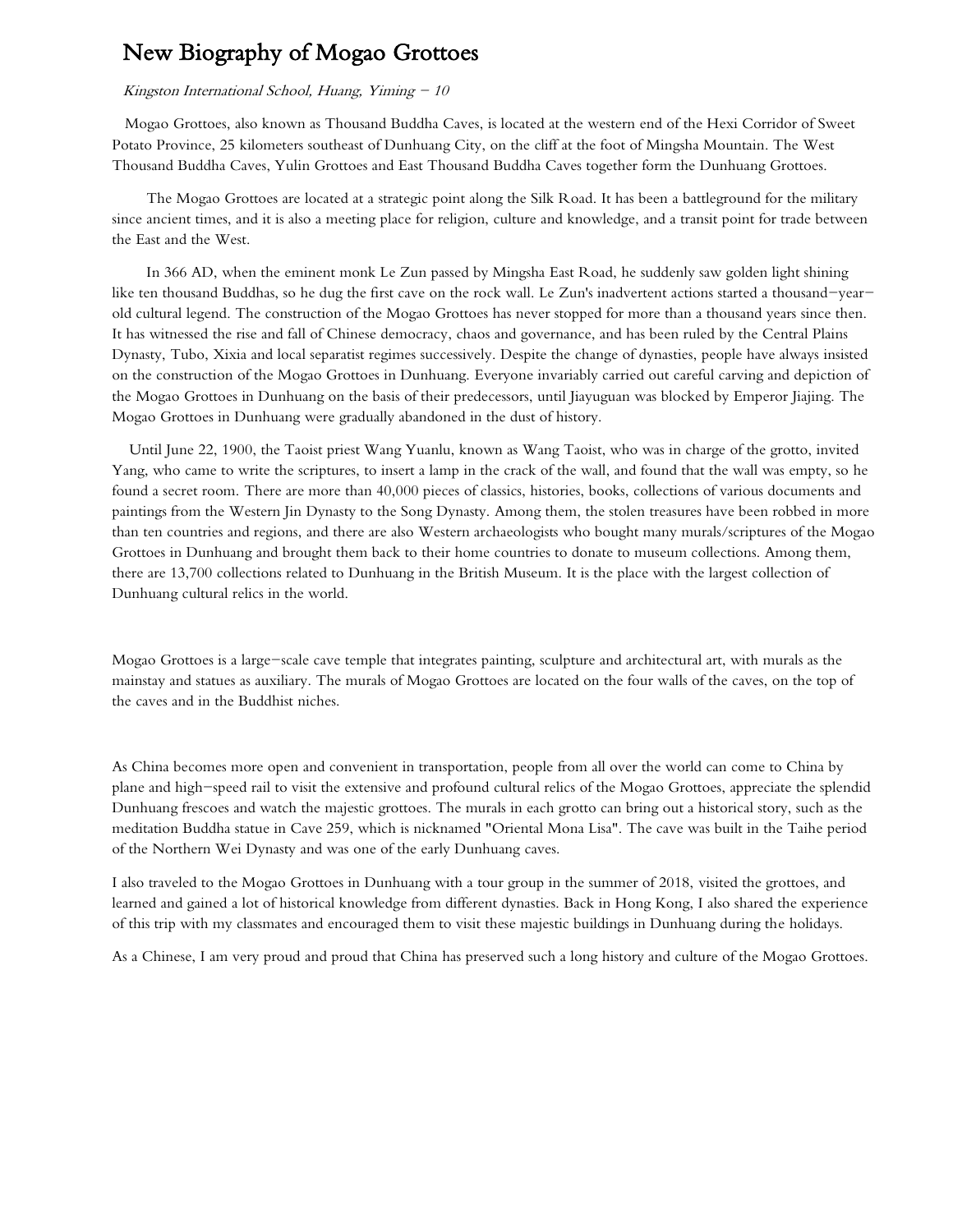## New Biography of Mogao Grottoes

#### Kingston International School, Huang, Yiming  $-10$

 Mogao Grottoes, also known as Thousand Buddha Caves, is located at the western end of the Hexi Corridor of Sweet Potato Province, 25 kilometers southeast of Dunhuang City, on the cliff at the foot of Mingsha Mountain. The West Thousand Buddha Caves, Yulin Grottoes and East Thousand Buddha Caves together form the Dunhuang Grottoes.

 The Mogao Grottoes are located at a strategic point along the Silk Road. It has been a battleground for the military since ancient times, and it is also a meeting place for religion, culture and knowledge, and a transit point for trade between the East and the West.

 In 366 AD, when the eminent monk Le Zun passed by Mingsha East Road, he suddenly saw golden light shining like ten thousand Buddhas, so he dug the first cave on the rock wall. Le Zun's inadvertent actions started a thousand-yearold cultural legend. The construction of the Mogao Grottoes has never stopped for more than a thousand years since then. It has witnessed the rise and fall of Chinese democracy, chaos and governance, and has been ruled by the Central Plains Dynasty, Tubo, Xixia and local separatist regimes successively. Despite the change of dynasties, people have always insisted on the construction of the Mogao Grottoes in Dunhuang. Everyone invariably carried out careful carving and depiction of the Mogao Grottoes in Dunhuang on the basis of their predecessors, until Jiayuguan was blocked by Emperor Jiajing. The Mogao Grottoes in Dunhuang were gradually abandoned in the dust of history.

 Until June 22, 1900, the Taoist priest Wang Yuanlu, known as Wang Taoist, who was in charge of the grotto, invited Yang, who came to write the scriptures, to insert a lamp in the crack of the wall, and found that the wall was empty, so he found a secret room. There are more than 40,000 pieces of classics, histories, books, collections of various documents and paintings from the Western Jin Dynasty to the Song Dynasty. Among them, the stolen treasures have been robbed in more than ten countries and regions, and there are also Western archaeologists who bought many murals/scriptures of the Mogao Grottoes in Dunhuang and brought them back to their home countries to donate to museum collections. Among them, there are 13,700 collections related to Dunhuang in the British Museum. It is the place with the largest collection of Dunhuang cultural relics in the world.

Mogao Grottoes is a large-scale cave temple that integrates painting, sculpture and architectural art, with murals as the mainstay and statues as auxiliary. The murals of Mogao Grottoes are located on the four walls of the caves, on the top of the caves and in the Buddhist niches.

As China becomes more open and convenient in transportation, people from all over the world can come to China by plane and high-speed rail to visit the extensive and profound cultural relics of the Mogao Grottoes, appreciate the splendid Dunhuang frescoes and watch the majestic grottoes. The murals in each grotto can bring out a historical story, such as the meditation Buddha statue in Cave 259, which is nicknamed "Oriental Mona Lisa". The cave was built in the Taihe period of the Northern Wei Dynasty and was one of the early Dunhuang caves.

I also traveled to the Mogao Grottoes in Dunhuang with a tour group in the summer of 2018, visited the grottoes, and learned and gained a lot of historical knowledge from different dynasties. Back in Hong Kong, I also shared the experience of this trip with my classmates and encouraged them to visit these majestic buildings in Dunhuang during the holidays.

As a Chinese, I am very proud and proud that China has preserved such a long history and culture of the Mogao Grottoes.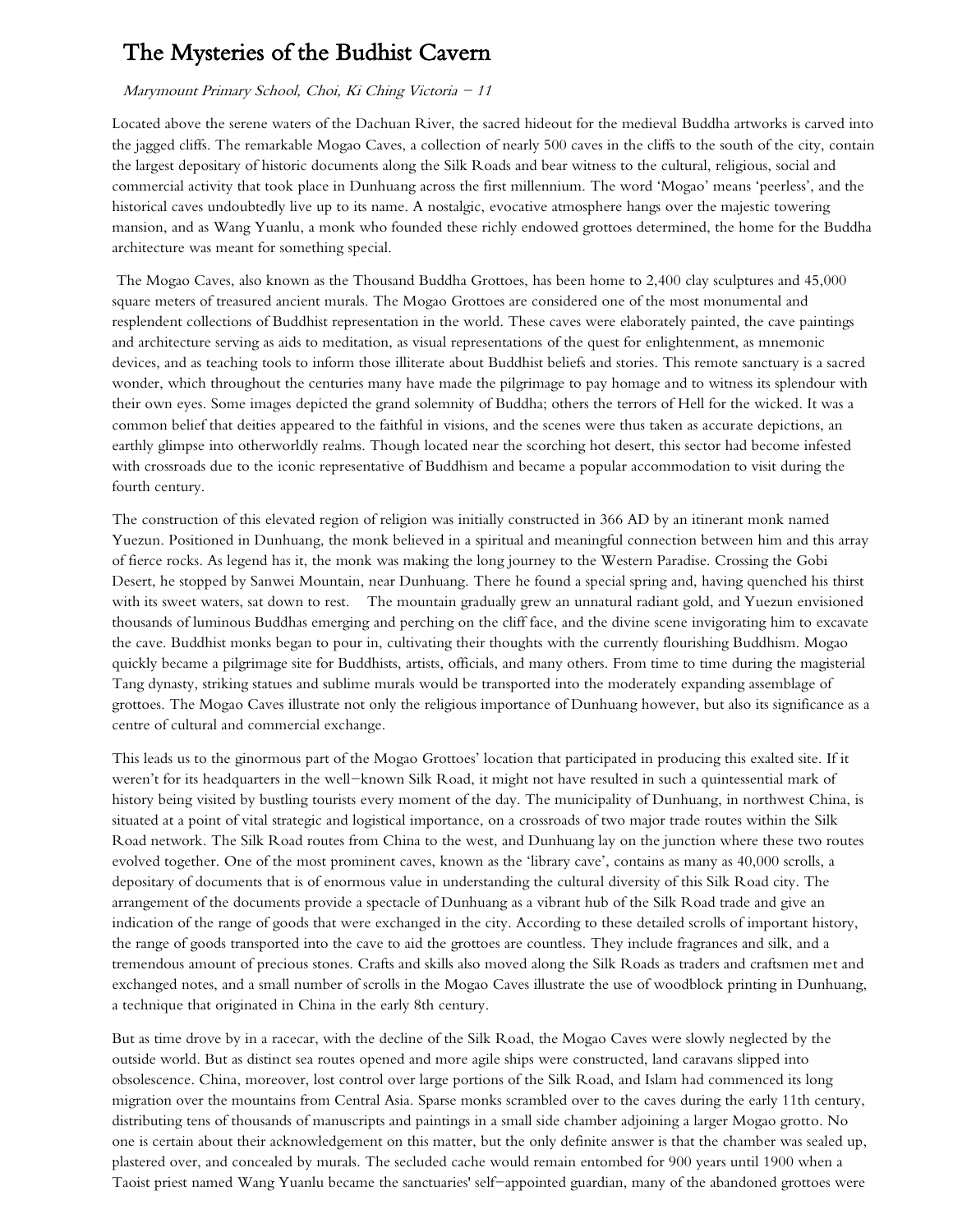## The Mysteries of the Budhist Cavern

#### Marymount Primary School, Choi, Ki Ching Victoria - 11

Located above the serene waters of the Dachuan River, the sacred hideout for the medieval Buddha artworks is carved into the jagged cliffs. The remarkable Mogao Caves, a collection of nearly 500 caves in the cliffs to the south of the city, contain the largest depositary of historic documents along the Silk Roads and bear witness to the cultural, religious, social and commercial activity that took place in Dunhuang across the first millennium. The word 'Mogao' means 'peerless', and the historical caves undoubtedly live up to its name. A nostalgic, evocative atmosphere hangs over the majestic towering mansion, and as Wang Yuanlu, a monk who founded these richly endowed grottoes determined, the home for the Buddha architecture was meant for something special.

The Mogao Caves, also known as the Thousand Buddha Grottoes, has been home to 2,400 clay sculptures and 45,000 square meters of treasured ancient murals. The Mogao Grottoes are considered one of the most monumental and resplendent collections of Buddhist representation in the world. These caves were elaborately painted, the cave paintings and architecture serving as aids to meditation, as visual representations of the quest for enlightenment, as mnemonic devices, and as teaching tools to inform those illiterate about Buddhist beliefs and stories. This remote sanctuary is a sacred wonder, which throughout the centuries many have made the pilgrimage to pay homage and to witness its splendour with their own eyes. Some images depicted the grand solemnity of Buddha; others the terrors of Hell for the wicked. It was a common belief that deities appeared to the faithful in visions, and the scenes were thus taken as accurate depictions, an earthly glimpse into otherworldly realms. Though located near the scorching hot desert, this sector had become infested with crossroads due to the iconic representative of Buddhism and became a popular accommodation to visit during the fourth century.

The construction of this elevated region of religion was initially constructed in 366 AD by an itinerant monk named Yuezun. Positioned in Dunhuang, the monk believed in a spiritual and meaningful connection between him and this array of fierce rocks. As legend has it, the monk was making the long journey to the Western Paradise. Crossing the Gobi Desert, he stopped by Sanwei Mountain, near Dunhuang. There he found a special spring and, having quenched his thirst with its sweet waters, sat down to rest. The mountain gradually grew an unnatural radiant gold, and Yuezun envisioned thousands of luminous Buddhas emerging and perching on the cliff face, and the divine scene invigorating him to excavate the cave. Buddhist monks began to pour in, cultivating their thoughts with the currently flourishing Buddhism. Mogao quickly became a pilgrimage site for Buddhists, artists, officials, and many others. From time to time during the magisterial Tang dynasty, striking statues and sublime murals would be transported into the moderately expanding assemblage of grottoes. The Mogao Caves illustrate not only the religious importance of Dunhuang however, but also its significance as a centre of cultural and commercial exchange.

This leads us to the ginormous part of the Mogao Grottoes' location that participated in producing this exalted site. If it weren't for its headquarters in the well-known Silk Road, it might not have resulted in such a quintessential mark of history being visited by bustling tourists every moment of the day. The municipality of Dunhuang, in northwest China, is situated at a point of vital strategic and logistical importance, on a crossroads of two major trade routes within the Silk Road network. The Silk Road routes from China to the west, and Dunhuang lay on the junction where these two routes evolved together. One of the most prominent caves, known as the 'library cave', contains as many as 40,000 scrolls, a depositary of documents that is of enormous value in understanding the cultural diversity of this Silk Road city. The arrangement of the documents provide a spectacle of Dunhuang as a vibrant hub of the Silk Road trade and give an indication of the range of goods that were exchanged in the city. According to these detailed scrolls of important history, the range of goods transported into the cave to aid the grottoes are countless. They include fragrances and silk, and a tremendous amount of precious stones. Crafts and skills also moved along the Silk Roads as traders and craftsmen met and exchanged notes, and a small number of scrolls in the Mogao Caves illustrate the use of woodblock printing in Dunhuang, a technique that originated in China in the early 8th century.

But as time drove by in a racecar, with the decline of the Silk Road, the Mogao Caves were slowly neglected by the outside world. But as distinct sea routes opened and more agile ships were constructed, land caravans slipped into obsolescence. China, moreover, lost control over large portions of the Silk Road, and Islam had commenced its long migration over the mountains from Central Asia. Sparse monks scrambled over to the caves during the early 11th century, distributing tens of thousands of manuscripts and paintings in a small side chamber adjoining a larger Mogao grotto. No one is certain about their acknowledgement on this matter, but the only definite answer is that the chamber was sealed up, plastered over, and concealed by murals. The secluded cache would remain entombed for 900 years until 1900 when a Taoist priest named Wang Yuanlu became the sanctuaries' self-appointed guardian, many of the abandoned grottoes were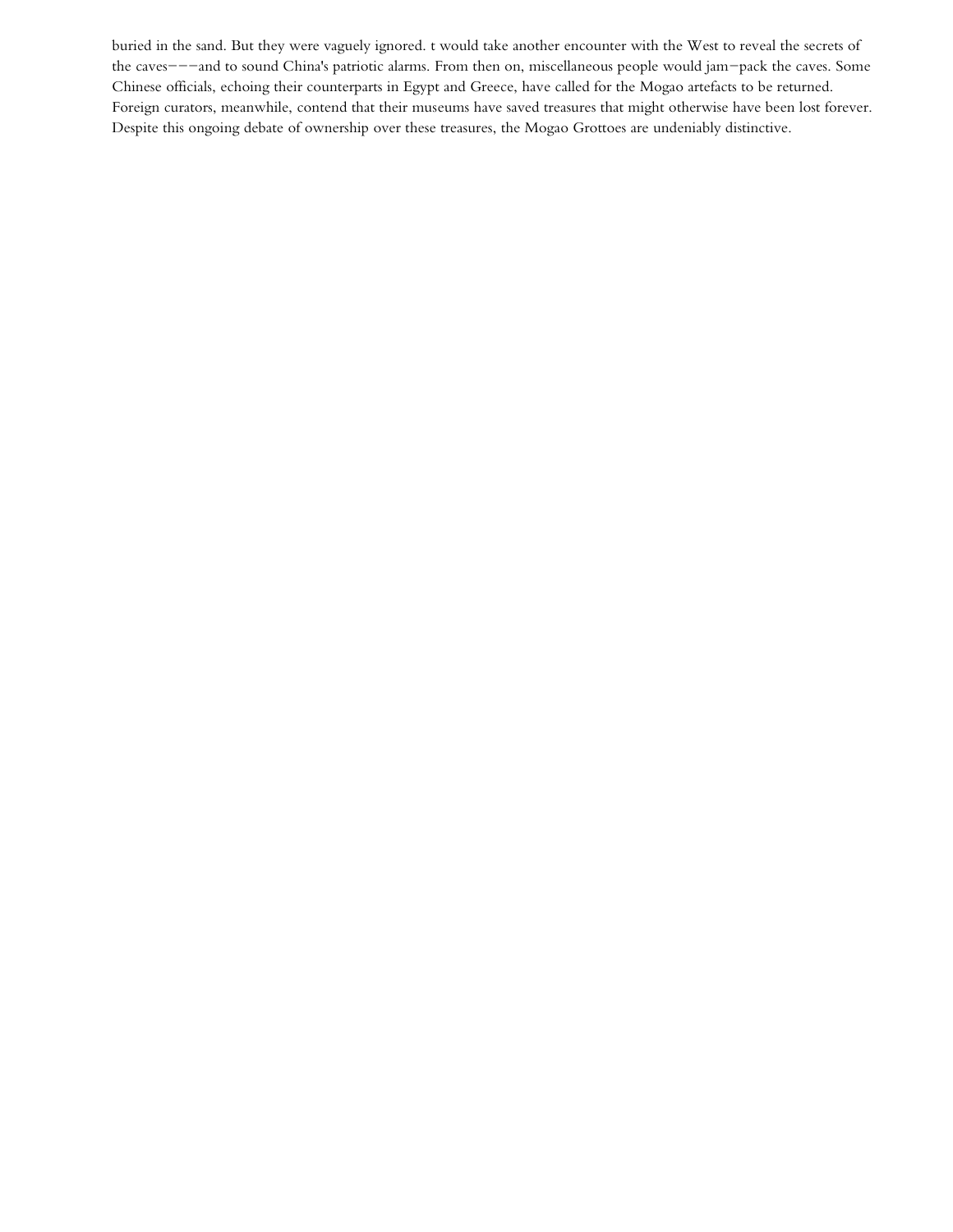buried in the sand. But they were vaguely ignored. t would take another encounter with the West to reveal the secrets of the caves---and to sound China's patriotic alarms. From then on, miscellaneous people would jam-pack the caves. Some Chinese officials, echoing their counterparts in Egypt and Greece, have called for the Mogao artefacts to be returned. Foreign curators, meanwhile, contend that their museums have saved treasures that might otherwise have been lost forever. Despite this ongoing debate of ownership over these treasures, the Mogao Grottoes are undeniably distinctive.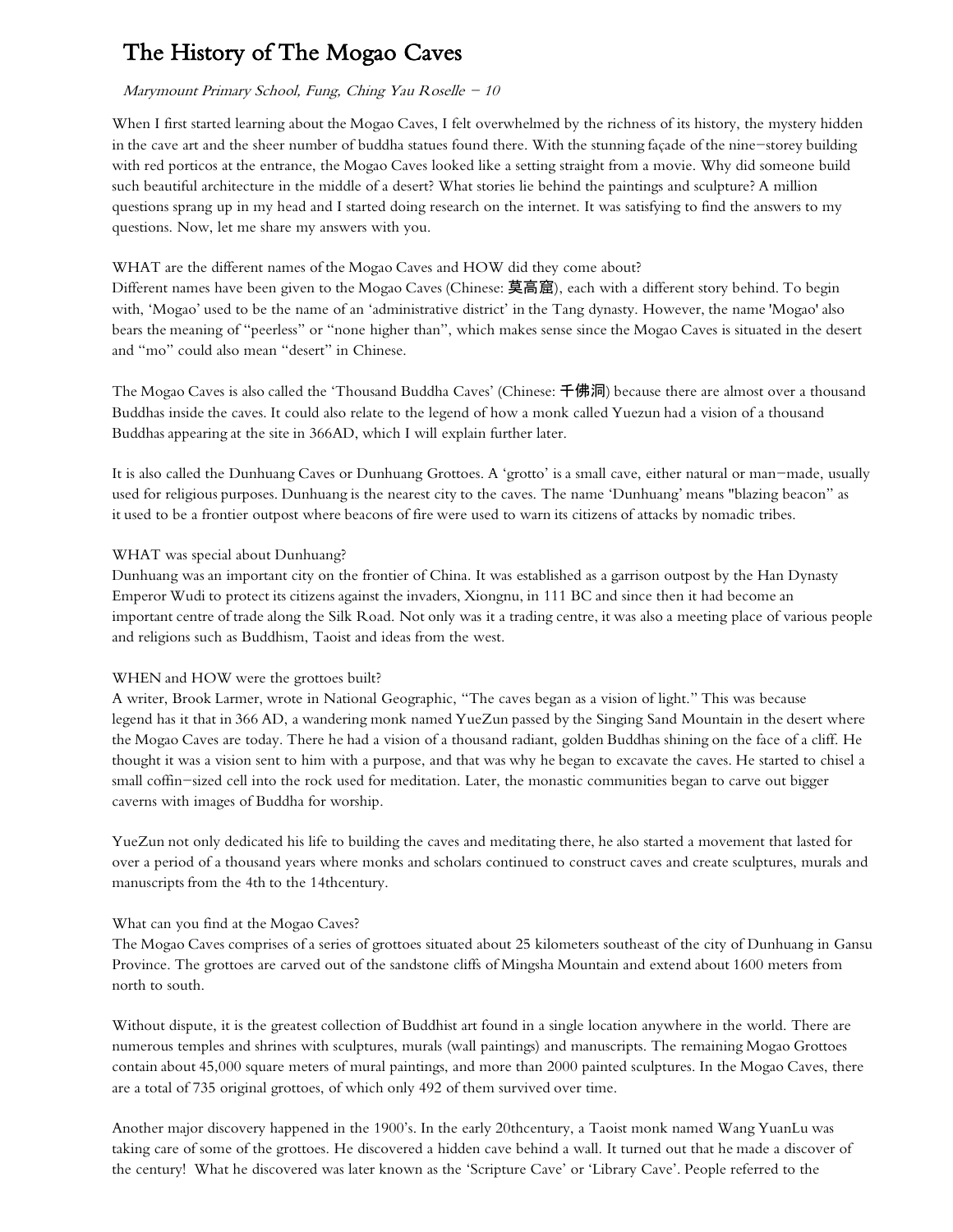# The History of The Mogao Caves

### Marymount Primary School, Fung, Ching Yau Roselle  $-10$

When I first started learning about the Mogao Caves, I felt overwhelmed by the richness of its history, the mystery hidden in the cave art and the sheer number of buddha statues found there. With the stunning façade of the nine-storey building with red porticos at the entrance, the Mogao Caves looked like a setting straight from a movie. Why did someone build such beautiful architecture in the middle of a desert? What stories lie behind the paintings and sculpture? A million questions sprang up in my head and I started doing research on the internet. It was satisfying to find the answers to my questions. Now, let me share my answers with you.

### WHAT are the different names of the Mogao Caves and HOW did they come about?

Different names have been given to the Mogao Caves (Chinese: 莫高窟), each with a different story behind. To begin with, 'Mogao' used to be the name of an 'administrative district' in the Tang dynasty. However, the name 'Mogao' also bears the meaning of "peerless" or "none higher than", which makes sense since the Mogao Caves is situated in the desert and "mo" could also mean "desert" in Chinese.

The Mogao Caves is also called the 'Thousand Buddha Caves' (Chinese: 千佛洞) because there are almost over a thousand Buddhas inside the caves. It could also relate to the legend of how a monk called Yuezun had a vision of a thousand Buddhas appearing at the site in 366AD, which I will explain further later.

It is also called the Dunhuang Caves or Dunhuang Grottoes. A 'grotto' is a small cave, either natural or man-made, usually used for religious purposes. Dunhuang is the nearest city to the caves. The name 'Dunhuang' means "blazing beacon" as it used to be a frontier outpost where beacons of fire were used to warn its citizens of attacks by nomadic tribes.

### WHAT was special about Dunhuang?

Dunhuang was an important city on the frontier of China. It was established as a garrison outpost by the Han Dynasty Emperor Wudi to protect its citizens against the invaders, Xiongnu, in 111 BC and since then it had become an important centre of trade along the Silk Road. Not only was it a trading centre, it was also a meeting place of various people and religions such as Buddhism, Taoist and ideas from the west.

## WHEN and HOW were the grottoes built?

A writer, Brook Larmer, wrote in National Geographic, "The caves began as a vision of light." This was because legend has it that in 366 AD, a wandering monk named YueZun passed by the Singing Sand Mountain in the desert where the Mogao Caves are today. There he had a vision of a thousand radiant, golden Buddhas shining on the face of a cliff. He thought it was a vision sent to him with a purpose, and that was why he began to excavate the caves. He started to chisel a small coffin-sized cell into the rock used for meditation. Later, the monastic communities began to carve out bigger caverns with images of Buddha for worship.

YueZun not only dedicated his life to building the caves and meditating there, he also started a movement that lasted for over a period of a thousand years where monks and scholars continued to construct caves and create sculptures, murals and manuscripts from the 4th to the 14thcentury.

## What can you find at the Mogao Caves?

The Mogao Caves comprises of a series of grottoes situated about 25 kilometers southeast of the city of Dunhuang in Gansu Province. The grottoes are carved out of the sandstone cliffs of Mingsha Mountain and extend about 1600 meters from north to south.

Without dispute, it is the greatest collection of Buddhist art found in a single location anywhere in the world. There are numerous temples and shrines with sculptures, murals (wall paintings) and manuscripts. The remaining Mogao Grottoes contain about 45,000 square meters of mural paintings, and more than 2000 painted sculptures. In the Mogao Caves, there are a total of 735 original grottoes, of which only 492 of them survived over time.

Another major discovery happened in the 1900's. In the early 20thcentury, a Taoist monk named Wang YuanLu was taking care of some of the grottoes. He discovered a hidden cave behind a wall. It turned out that he made a discover of the century! What he discovered was later known as the 'Scripture Cave' or 'Library Cave'. People referred to the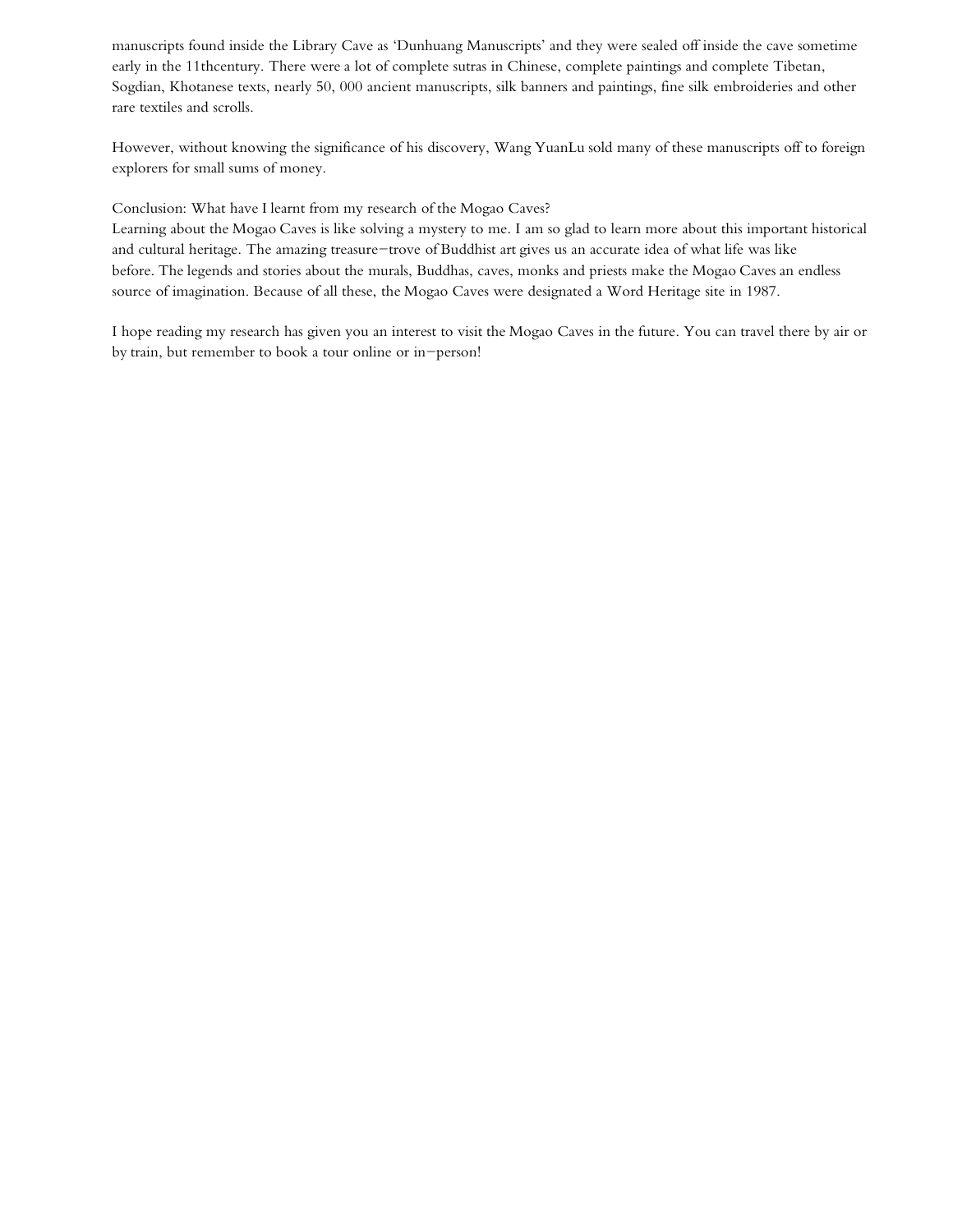manuscripts found inside the Library Cave as 'Dunhuang Manuscripts' and they were sealed off inside the cave sometime early in the 11thcentury. There were a lot of complete sutras in Chinese, complete paintings and complete Tibetan, Sogdian, Khotanese texts, nearly 50, 000 ancient manuscripts, silk banners and paintings, fine silk embroideries and other rare textiles and scrolls.

However, without knowing the significance of his discovery, Wang YuanLu sold many of these manuscripts off to foreign explorers for small sums of money.

Conclusion: What have I learnt from my research of the Mogao Caves?

Learning about the Mogao Caves is like solving a mystery to me. I am so glad to learn more about this important historical and cultural heritage. The amazing treasure-trove of Buddhist art gives us an accurate idea of what life was like before. The legends and stories about the murals, Buddhas, caves, monks and priests make the Mogao Caves an endless source of imagination. Because of all these, the Mogao Caves were designated a Word Heritage site in 1987.

I hope reading my research has given you an interest to visit the Mogao Caves in the future. You can travel there by air or by train, but remember to book a tour online or in-person!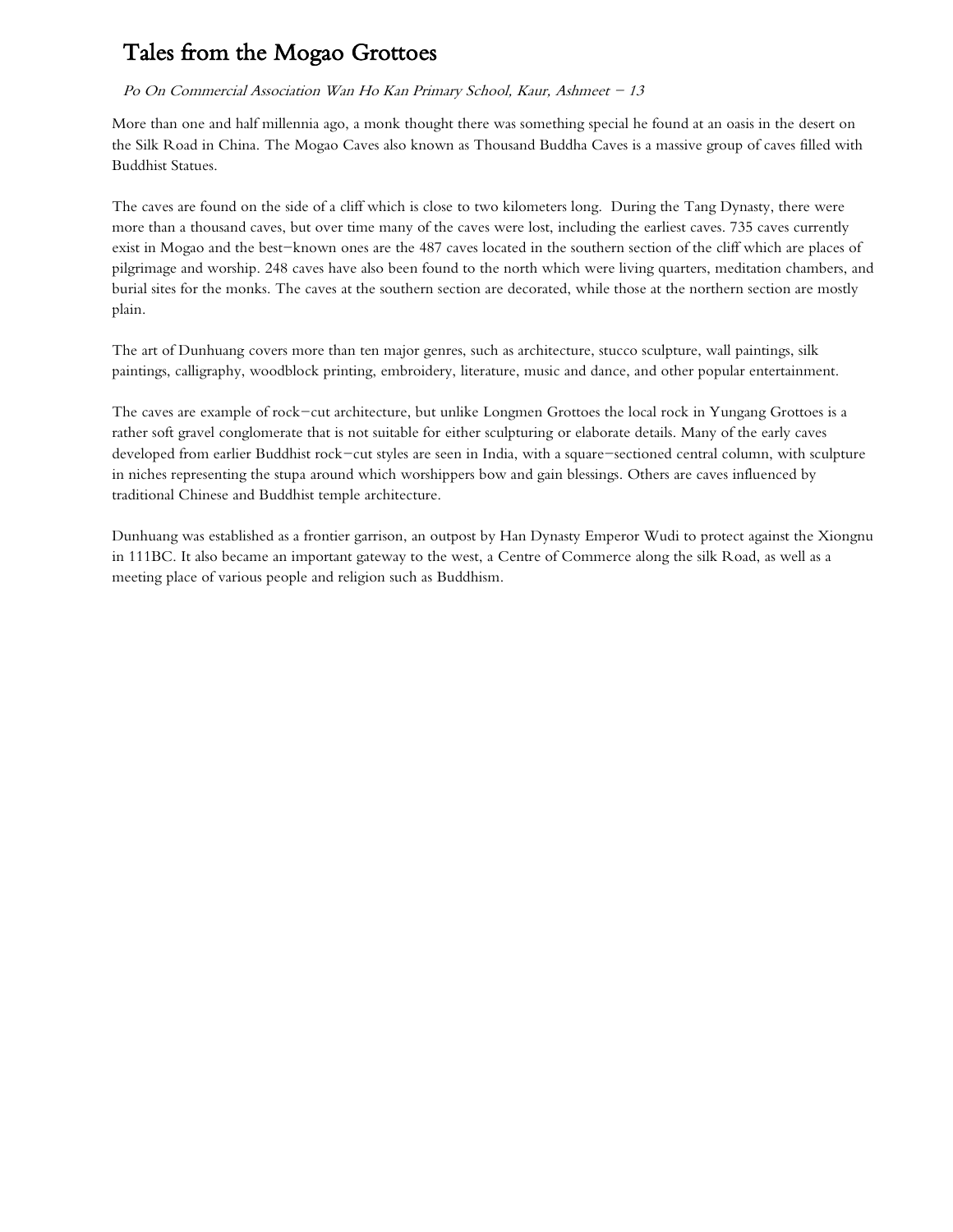# Tales from the Mogao Grottoes

## Po On Commercial Association Wan Ho Kan Primary School, Kaur, Ashmeet - 13

More than one and half millennia ago, a monk thought there was something special he found at an oasis in the desert on the Silk Road in China. The Mogao Caves also known as Thousand Buddha Caves is a massive group of caves filled with Buddhist Statues.

The caves are found on the side of a cliff which is close to two kilometers long. During the Tang Dynasty, there were more than a thousand caves, but over time many of the caves were lost, including the earliest caves. 735 caves currently exist in Mogao and the best-known ones are the 487 caves located in the southern section of the cliff which are places of pilgrimage and worship. 248 caves have also been found to the north which were living quarters, meditation chambers, and burial sites for the monks. The caves at the southern section are decorated, while those at the northern section are mostly plain.

The art of Dunhuang covers more than ten major genres, such as architecture, stucco sculpture, wall paintings, silk paintings, calligraphy, woodblock printing, embroidery, literature, music and dance, and other popular entertainment.

The caves are example of rock-cut architecture, but unlike Longmen Grottoes the local rock in Yungang Grottoes is a rather soft gravel conglomerate that is not suitable for either sculpturing or elaborate details. Many of the early caves developed from earlier Buddhist rock-cut styles are seen in India, with a square-sectioned central column, with sculpture in niches representing the stupa around which worshippers bow and gain blessings. Others are caves influenced by traditional Chinese and Buddhist temple architecture.

Dunhuang was established as a frontier garrison, an outpost by Han Dynasty Emperor Wudi to protect against the Xiongnu in 111BC. It also became an important gateway to the west, a Centre of Commerce along the silk Road, as well as a meeting place of various people and religion such as Buddhism.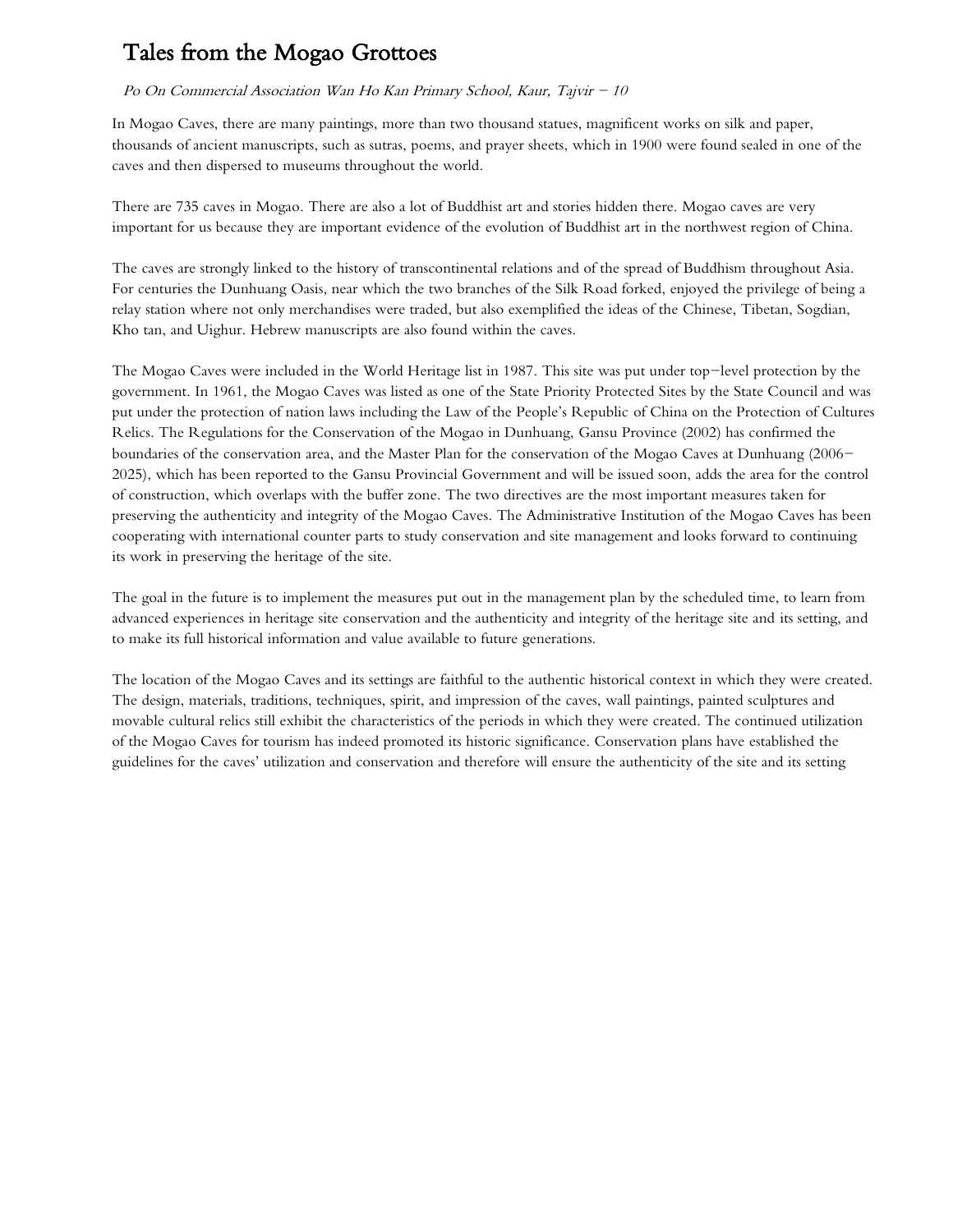# Tales from the Mogao Grottoes

### Po On Commercial Association Wan Ho Kan Primary School, Kaur, Tajvir  $-10$

In Mogao Caves, there are many paintings, more than two thousand statues, magnificent works on silk and paper, thousands of ancient manuscripts, such as sutras, poems, and prayer sheets, which in 1900 were found sealed in one of the caves and then dispersed to museums throughout the world.

There are 735 caves in Mogao. There are also a lot of Buddhist art and stories hidden there. Mogao caves are very important for us because they are important evidence of the evolution of Buddhist art in the northwest region of China.

The caves are strongly linked to the history of transcontinental relations and of the spread of Buddhism throughout Asia. For centuries the Dunhuang Oasis, near which the two branches of the Silk Road forked, enjoyed the privilege of being a relay station where not only merchandises were traded, but also exemplified the ideas of the Chinese, Tibetan, Sogdian, Kho tan, and Uighur. Hebrew manuscripts are also found within the caves.

The Mogao Caves were included in the World Heritage list in 1987. This site was put under top-level protection by the government. In 1961, the Mogao Caves was listed as one of the State Priority Protected Sites by the State Council and was put under the protection of nation laws including the Law of the People's Republic of China on the Protection of Cultures Relics. The Regulations for the Conservation of the Mogao in Dunhuang, Gansu Province (2002) has confirmed the boundaries of the conservation area, and the Master Plan for the conservation of the Mogao Caves at Dunhuang (2006- 2025), which has been reported to the Gansu Provincial Government and will be issued soon, adds the area for the control of construction, which overlaps with the buffer zone. The two directives are the most important measures taken for preserving the authenticity and integrity of the Mogao Caves. The Administrative Institution of the Mogao Caves has been cooperating with international counter parts to study conservation and site management and looks forward to continuing its work in preserving the heritage of the site.

The goal in the future is to implement the measures put out in the management plan by the scheduled time, to learn from advanced experiences in heritage site conservation and the authenticity and integrity of the heritage site and its setting, and to make its full historical information and value available to future generations.

The location of the Mogao Caves and its settings are faithful to the authentic historical context in which they were created. The design, materials, traditions, techniques, spirit, and impression of the caves, wall paintings, painted sculptures and movable cultural relics still exhibit the characteristics of the periods in which they were created. The continued utilization of the Mogao Caves for tourism has indeed promoted its historic significance. Conservation plans have established the guidelines for the caves' utilization and conservation and therefore will ensure the authenticity of the site and its setting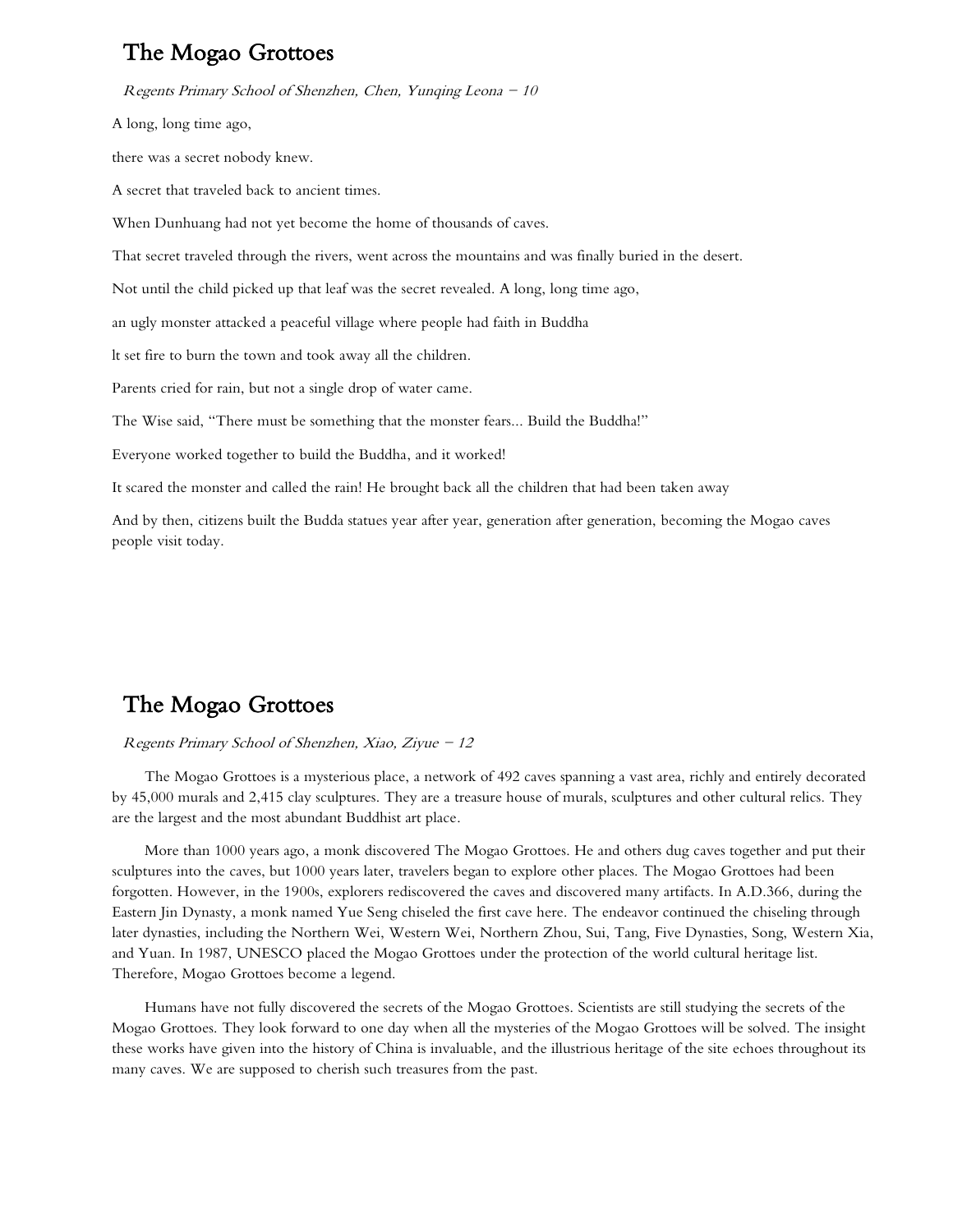## The Mogao Grottoes

Regents Primary School of Shenzhen, Chen, Yunqing Leona  $-10$ A long, long time ago, there was a secret nobody knew. A secret that traveled back to ancient times. When Dunhuang had not yet become the home of thousands of caves. That secret traveled through the rivers, went across the mountains and was finally buried in the desert. Not until the child picked up that leaf was the secret revealed. A long, long time ago, an ugly monster attacked a peaceful village where people had faith in Buddha lt set fire to burn the town and took away all the children. Parents cried for rain, but not a single drop of water came. The Wise said, "There must be something that the monster fears... Build the Buddha!" Everyone worked together to build the Buddha, and it worked! It scared the monster and called the rain! He brought back all the children that had been taken away

And by then, citizens built the Budda statues year after year, generation after generation, becoming the Mogao caves people visit today.

## The Mogao Grottoes

#### Regents Primary School of Shenzhen, Xiao, Ziyue  $-12$

The Mogao Grottoes is a mysterious place, a network of 492 caves spanning a vast area, richly and entirely decorated by 45,000 murals and 2,415 clay sculptures. They are a treasure house of murals, sculptures and other cultural relics. They are the largest and the most abundant Buddhist art place.

More than 1000 years ago, a monk discovered The Mogao Grottoes. He and others dug caves together and put their sculptures into the caves, but 1000 years later, travelers began to explore other places. The Mogao Grottoes had been forgotten. However, in the 1900s, explorers rediscovered the caves and discovered many artifacts. In A.D.366, during the Eastern Jin Dynasty, a monk named Yue Seng chiseled the first cave here. The endeavor continued the chiseling through later dynasties, including the Northern Wei, Western Wei, Northern Zhou, Sui, Tang, Five Dynasties, Song, Western Xia, and Yuan. In 1987, UNESCO placed the Mogao Grottoes under the protection of the world cultural heritage list. Therefore, Mogao Grottoes become a legend.

Humans have not fully discovered the secrets of the Mogao Grottoes. Scientists are still studying the secrets of the Mogao Grottoes. They look forward to one day when all the mysteries of the Mogao Grottoes will be solved. The insight these works have given into the history of China is invaluable, and the illustrious heritage of the site echoes throughout its many caves. We are supposed to cherish such treasures from the past.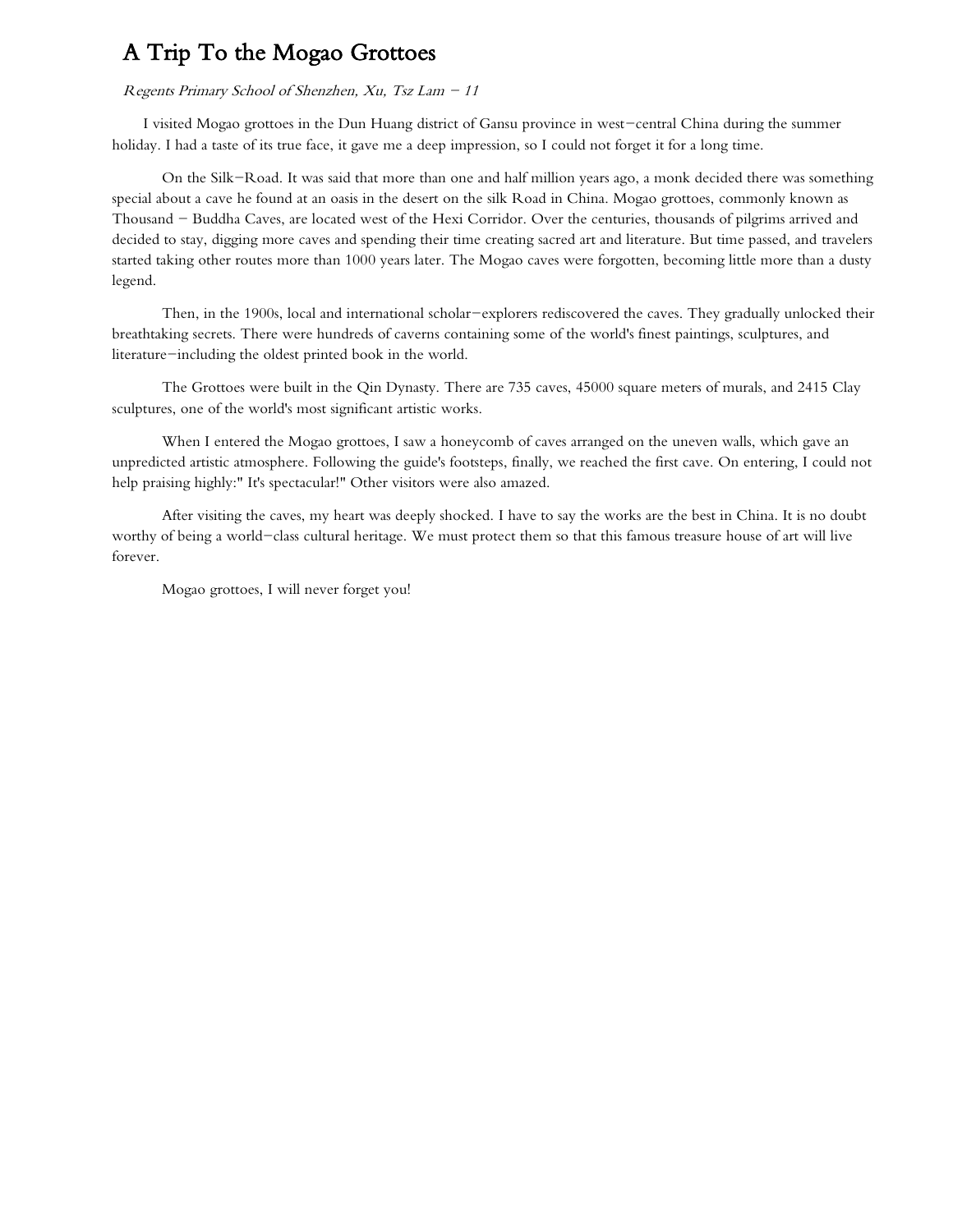## A Trip To the Mogao Grottoes

#### Regents Primary School of Shenzhen, Xu, Tsz Lam  $-11$

I visited Mogao grottoes in the Dun Huang district of Gansu province in west-central China during the summer holiday. I had a taste of its true face, it gave me a deep impression, so I could not forget it for a long time.

On the Silk-Road. It was said that more than one and half million years ago, a monk decided there was something special about a cave he found at an oasis in the desert on the silk Road in China. Mogao grottoes, commonly known as Thousand - Buddha Caves, are located west of the Hexi Corridor. Over the centuries, thousands of pilgrims arrived and decided to stay, digging more caves and spending their time creating sacred art and literature. But time passed, and travelers started taking other routes more than 1000 years later. The Mogao caves were forgotten, becoming little more than a dusty legend.

Then, in the 1900s, local and international scholar-explorers rediscovered the caves. They gradually unlocked their breathtaking secrets. There were hundreds of caverns containing some of the world's finest paintings, sculptures, and literature-including the oldest printed book in the world.

The Grottoes were built in the Qin Dynasty. There are 735 caves, 45000 square meters of murals, and 2415 Clay sculptures, one of the world's most significant artistic works.

When I entered the Mogao grottoes, I saw a honeycomb of caves arranged on the uneven walls, which gave an unpredicted artistic atmosphere. Following the guide's footsteps, finally, we reached the first cave. On entering, I could not help praising highly:" It's spectacular!" Other visitors were also amazed.

After visiting the caves, my heart was deeply shocked. I have to say the works are the best in China. It is no doubt worthy of being a world-class cultural heritage. We must protect them so that this famous treasure house of art will live forever.

Mogao grottoes, I will never forget you!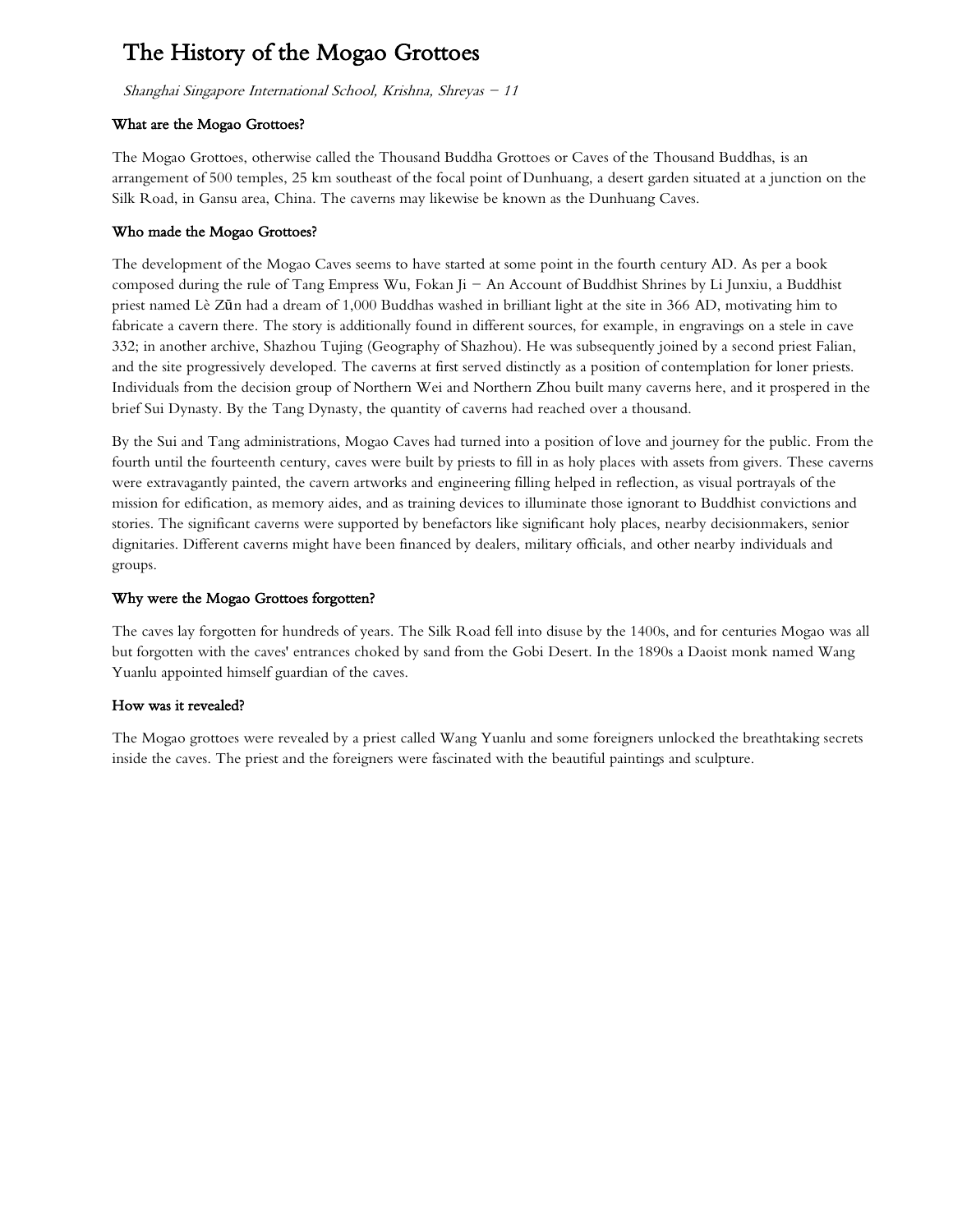# The History of the Mogao Grottoes

Shanghai Singapore International School, Krishna, Shreyas  $-11$ 

## What are the Mogao Grottoes?

The Mogao Grottoes, otherwise called the Thousand Buddha Grottoes or Caves of the Thousand Buddhas, is an arrangement of 500 temples, 25 km southeast of the focal point of Dunhuang, a desert garden situated at a junction on the Silk Road, in Gansu area, China. The caverns may likewise be known as the Dunhuang Caves.

## Who made the Mogao Grottoes?

The development of the Mogao Caves seems to have started at some point in the fourth century AD. As per a book composed during the rule of Tang Empress Wu, Fokan Ji  $-$  An Account of Buddhist Shrines by Li Junxiu, a Buddhist priest named Lè Zūn had a dream of 1,000 Buddhas washed in brilliant light at the site in 366 AD, motivating him to fabricate a cavern there. The story is additionally found in different sources, for example, in engravings on a stele in cave 332; in another archive, Shazhou Tujing (Geography of Shazhou). He was subsequently joined by a second priest Falian, and the site progressively developed. The caverns at first served distinctly as a position of contemplation for loner priests. Individuals from the decision group of Northern Wei and Northern Zhou built many caverns here, and it prospered in the brief Sui Dynasty. By the Tang Dynasty, the quantity of caverns had reached over a thousand.

By the Sui and Tang administrations, Mogao Caves had turned into a position of love and journey for the public. From the fourth until the fourteenth century, caves were built by priests to fill in as holy places with assets from givers. These caverns were extravagantly painted, the cavern artworks and engineering filling helped in reflection, as visual portrayals of the mission for edification, as memory aides, and as training devices to illuminate those ignorant to Buddhist convictions and stories. The significant caverns were supported by benefactors like significant holy places, nearby decisionmakers, senior dignitaries. Different caverns might have been financed by dealers, military officials, and other nearby individuals and groups.

## Why were the Mogao Grottoes forgotten?

The caves lay forgotten for hundreds of years. The Silk Road fell into disuse by the 1400s, and for centuries Mogao was all but forgotten with the caves' entrances choked by sand from the Gobi Desert. In the 1890s a Daoist monk named Wang Yuanlu appointed himself guardian of the caves.

## How was it revealed?

The Mogao grottoes were revealed by a priest called Wang Yuanlu and some foreigners unlocked the breathtaking secrets inside the caves. The priest and the foreigners were fascinated with the beautiful paintings and sculpture.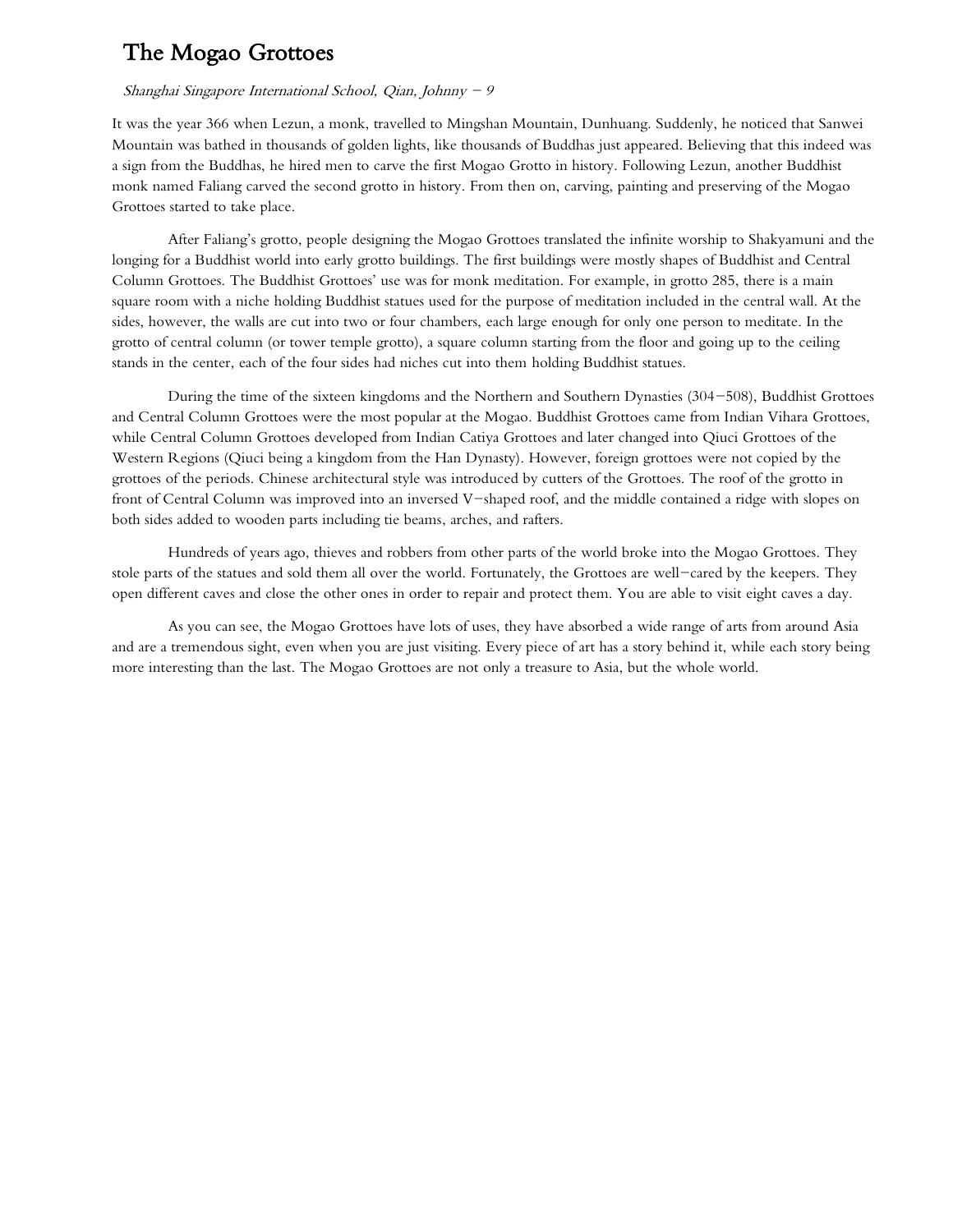## The Mogao Grottoes

### Shanghai Singapore International School, Qian, Johnny  $-9$

It was the year 366 when Lezun, a monk, travelled to Mingshan Mountain, Dunhuang. Suddenly, he noticed that Sanwei Mountain was bathed in thousands of golden lights, like thousands of Buddhas just appeared. Believing that this indeed was a sign from the Buddhas, he hired men to carve the first Mogao Grotto in history. Following Lezun, another Buddhist monk named Faliang carved the second grotto in history. From then on, carving, painting and preserving of the Mogao Grottoes started to take place.

After Faliang's grotto, people designing the Mogao Grottoes translated the infinite worship to Shakyamuni and the longing for a Buddhist world into early grotto buildings. The first buildings were mostly shapes of Buddhist and Central Column Grottoes. The Buddhist Grottoes' use was for monk meditation. For example, in grotto 285, there is a main square room with a niche holding Buddhist statues used for the purpose of meditation included in the central wall. At the sides, however, the walls are cut into two or four chambers, each large enough for only one person to meditate. In the grotto of central column (or tower temple grotto), a square column starting from the floor and going up to the ceiling stands in the center, each of the four sides had niches cut into them holding Buddhist statues.

During the time of the sixteen kingdoms and the Northern and Southern Dynasties (304-508), Buddhist Grottoes and Central Column Grottoes were the most popular at the Mogao. Buddhist Grottoes came from Indian Vihara Grottoes, while Central Column Grottoes developed from Indian Catiya Grottoes and later changed into Qiuci Grottoes of the Western Regions (Qiuci being a kingdom from the Han Dynasty). However, foreign grottoes were not copied by the grottoes of the periods. Chinese architectural style was introduced by cutters of the Grottoes. The roof of the grotto in front of Central Column was improved into an inversed V-shaped roof, and the middle contained a ridge with slopes on both sides added to wooden parts including tie beams, arches, and rafters.

Hundreds of years ago, thieves and robbers from other parts of the world broke into the Mogao Grottoes. They stole parts of the statues and sold them all over the world. Fortunately, the Grottoes are well-cared by the keepers. They open different caves and close the other ones in order to repair and protect them. You are able to visit eight caves a day.

As you can see, the Mogao Grottoes have lots of uses, they have absorbed a wide range of arts from around Asia and are a tremendous sight, even when you are just visiting. Every piece of art has a story behind it, while each story being more interesting than the last. The Mogao Grottoes are not only a treasure to Asia, but the whole world.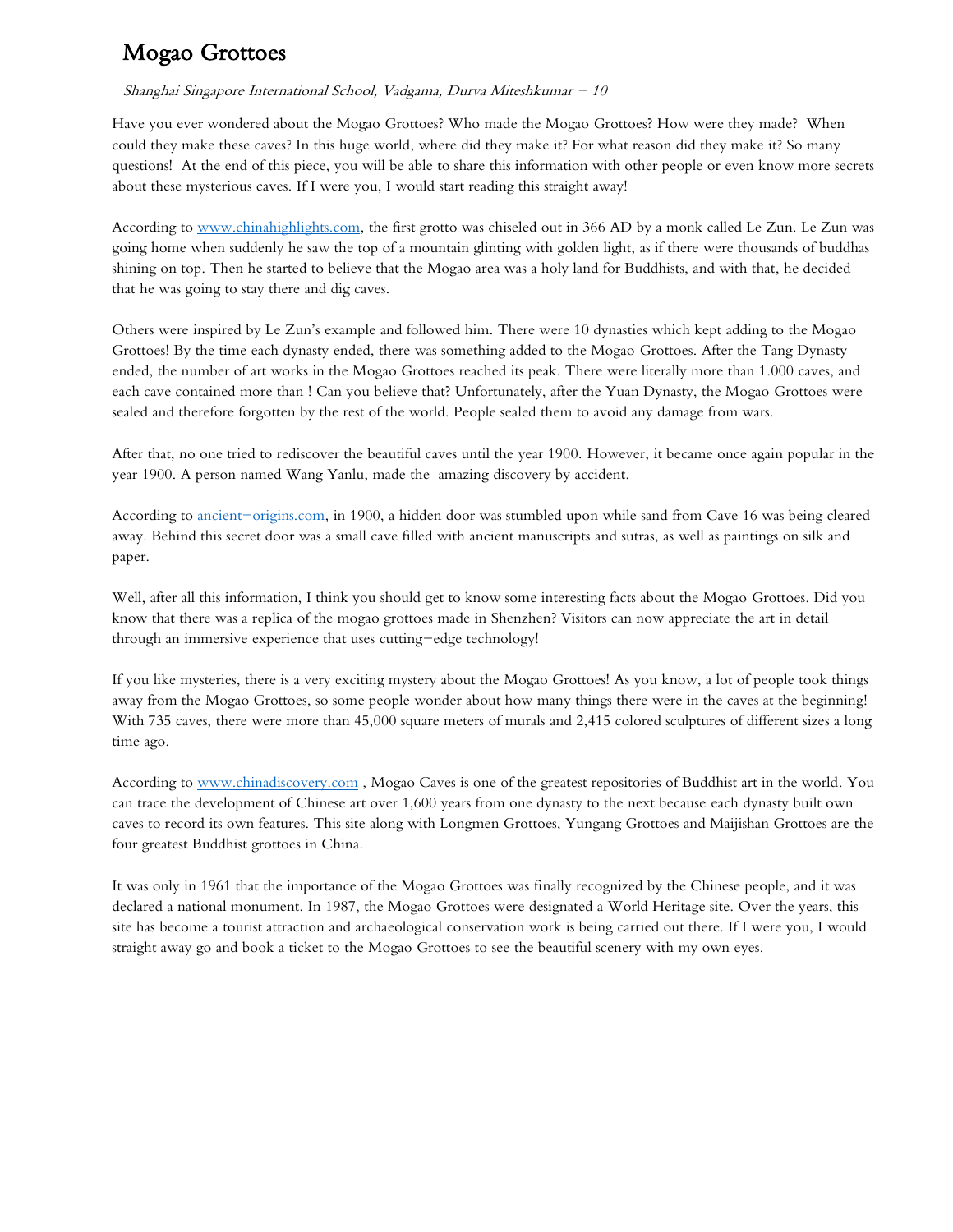# Mogao Grottoes

## Shanghai Singapore International School, Vadgama, Durva Miteshkumar  $-10$

Have you ever wondered about the Mogao Grottoes? Who made the Mogao Grottoes? How were they made? When could they make these caves? In this huge world, where did they make it? For what reason did they make it? So many questions! At the end of this piece, you will be able to share this information with other people or even know more secrets about these mysterious caves. If I were you, I would start reading this straight away!

According to [www.chinahighlights.com,](http://www.chinahighlights.com/) the first grotto was chiseled out in 366 AD by a monk called Le Zun. Le Zun was going home when suddenly he saw the top of a mountain glinting with golden light, as if there were thousands of buddhas shining on top. Then he started to believe that the Mogao area was a holy land for Buddhists, and with that, he decided that he was going to stay there and dig caves.

Others were inspired by Le Zun's example and followed him. There were 10 dynasties which kept adding to the Mogao Grottoes! By the time each dynasty ended, there was something added to the Mogao Grottoes. After the Tang Dynasty ended, the number of art works in the Mogao Grottoes reached its peak. There were literally more than 1.000 caves, and each cave contained more than ! Can you believe that? Unfortunately, after the Yuan Dynasty, the Mogao Grottoes were sealed and therefore forgotten by the rest of the world. People sealed them to avoid any damage from wars.

After that, no one tried to rediscover the beautiful caves until the year 1900. However, it became once again popular in the year 1900. A person named Wang Yanlu, made the amazing discovery by accident.

According to [ancient-origins.com,](http://ancient-origins.com/) in 1900, a hidden door was stumbled upon while sand from Cave 16 was being cleared away. Behind this secret door was a small cave filled with ancient manuscripts and sutras, as well as paintings on silk and paper.

Well, after all this information, I think you should get to know some interesting facts about the Mogao Grottoes. Did you know that there was a replica of the mogao grottoes made in Shenzhen? Visitors can now appreciate the art in detail through an immersive experience that uses cutting-edge technology!

If you like mysteries, there is a very exciting mystery about the Mogao Grottoes! As you know, a lot of people took things away from the Mogao Grottoes, so some people wonder about how many things there were in the caves at the beginning! With 735 caves, there were more than 45,000 square meters of murals and 2,415 colored sculptures of different sizes a long time ago.

According to [www.chinadiscovery.com](https://www.chinadiscovery.com/gansu/dunhuang/mogao-caves.html) , Mogao Caves is one of the greatest repositories of Buddhist art in the world. You can trace the development of Chinese art over 1,600 years from one dynasty to the next because each dynasty built own caves to record its own features. This site along with Longmen Grottoes, Yungang Grottoes and Maijishan Grottoes are the four greatest Buddhist grottoes in China.

It was only in 1961 that the importance of the Mogao Grottoes was finally recognized by the Chinese people, and it was declared a national monument. In 1987, the Mogao Grottoes were designated a World Heritage site. Over the years, this site has become a tourist attraction and archaeological conservation work is being carried out there. If I were you, I would straight away go and book a ticket to the Mogao Grottoes to see the beautiful scenery with my own eyes.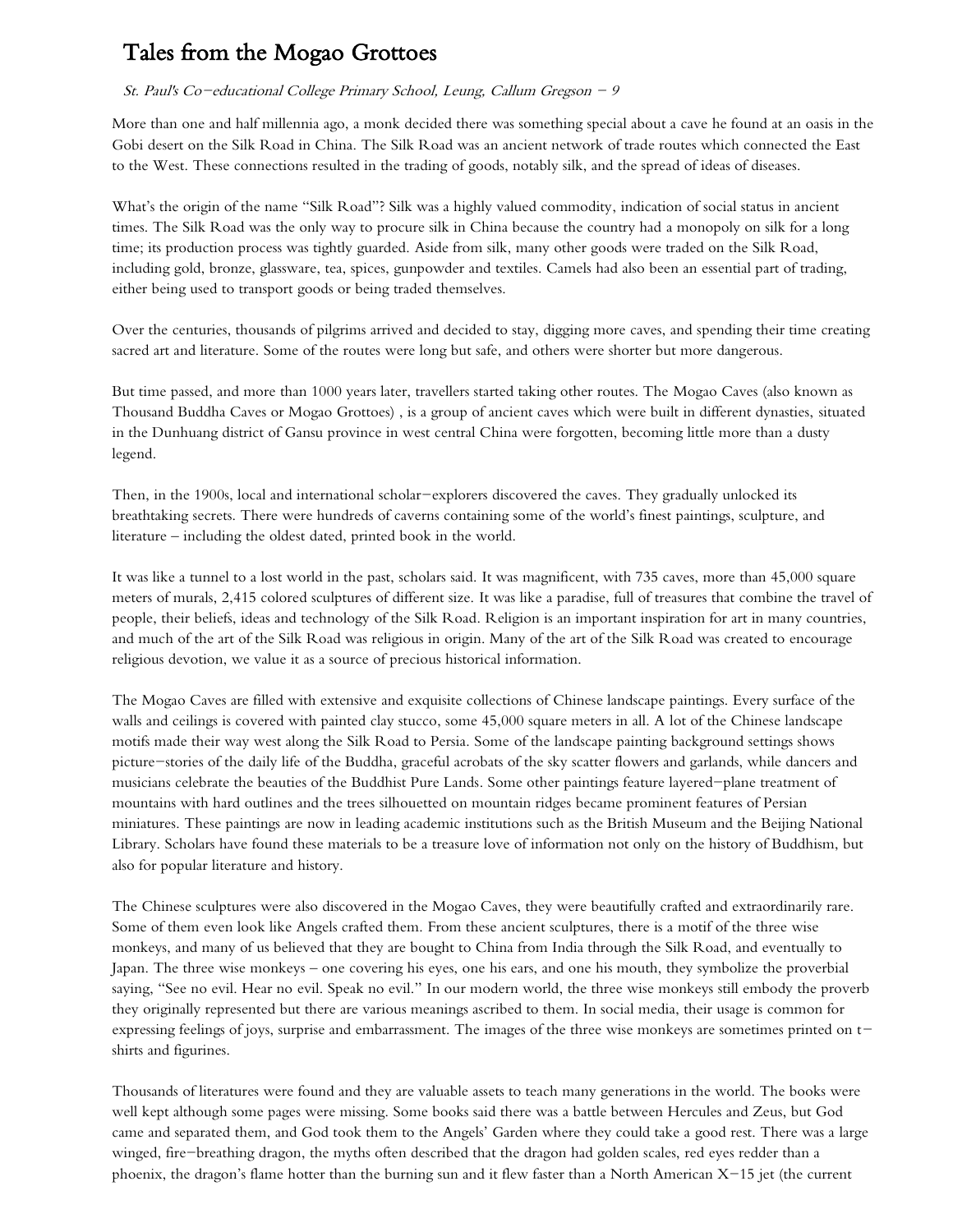# Tales from the Mogao Grottoes

### St. Paul's Co-educational College Primary School, Leung, Callum Gregson - 9

More than one and half millennia ago, a monk decided there was something special about a cave he found at an oasis in the Gobi desert on the Silk Road in China. The Silk Road was an ancient network of trade routes which connected the East to the West. These connections resulted in the trading of goods, notably silk, and the spread of ideas of diseases.

What's the origin of the name "Silk Road"? Silk was a highly valued commodity, indication of social status in ancient times. The Silk Road was the only way to procure silk in China because the country had a monopoly on silk for a long time; its production process was tightly guarded. Aside from silk, many other goods were traded on the Silk Road, including gold, bronze, glassware, tea, spices, gunpowder and textiles. Camels had also been an essential part of trading, either being used to transport goods or being traded themselves.

Over the centuries, thousands of pilgrims arrived and decided to stay, digging more caves, and spending their time creating sacred art and literature. Some of the routes were long but safe, and others were shorter but more dangerous.

But time passed, and more than 1000 years later, travellers started taking other routes. The Mogao Caves (also known as Thousand Buddha Caves or Mogao Grottoes) , is a group of ancient caves which were built in different dynasties, situated in the Dunhuang district of Gansu province in west central China were forgotten, becoming little more than a dusty legend.

Then, in the 1900s, local and international scholar-explorers discovered the caves. They gradually unlocked its breathtaking secrets. There were hundreds of caverns containing some of the world's finest paintings, sculpture, and literature – including the oldest dated, printed book in the world.

It was like a tunnel to a lost world in the past, scholars said. It was magnificent, with 735 caves, more than 45,000 square meters of murals, 2,415 colored sculptures of different size. It was like a paradise, full of treasures that combine the travel of people, their beliefs, ideas and technology of the Silk Road. Religion is an important inspiration for art in many countries, and much of the art of the Silk Road was religious in origin. Many of the art of the Silk Road was created to encourage religious devotion, we value it as a source of precious historical information.

The Mogao Caves are filled with extensive and exquisite collections of Chinese landscape paintings. Every surface of the walls and ceilings is covered with painted clay stucco, some 45,000 square meters in all. A lot of the Chinese landscape motifs made their way west along the Silk Road to Persia. Some of the landscape painting background settings shows picture-stories of the daily life of the Buddha, graceful acrobats of the sky scatter flowers and garlands, while dancers and musicians celebrate the beauties of the Buddhist Pure Lands. Some other paintings feature layered-plane treatment of mountains with hard outlines and the trees silhouetted on mountain ridges became prominent features of Persian miniatures. These paintings are now in leading academic institutions such as the British Museum and the Beijing National Library. Scholars have found these materials to be a treasure love of information not only on the history of Buddhism, but also for popular literature and history.

The Chinese sculptures were also discovered in the Mogao Caves, they were beautifully crafted and extraordinarily rare. Some of them even look like Angels crafted them. From these ancient sculptures, there is a motif of the three wise monkeys, and many of us believed that they are bought to China from India through the Silk Road, and eventually to Japan. The three wise monkeys – one covering his eyes, one his ears, and one his mouth, they symbolize the proverbial saying, "See no evil. Hear no evil. Speak no evil." In our modern world, the three wise monkeys still embody the proverb they originally represented but there are various meanings ascribed to them. In social media, their usage is common for expressing feelings of joys, surprise and embarrassment. The images of the three wise monkeys are sometimes printed on tshirts and figurines.

Thousands of literatures were found and they are valuable assets to teach many generations in the world. The books were well kept although some pages were missing. Some books said there was a battle between Hercules and Zeus, but God came and separated them, and God took them to the Angels' Garden where they could take a good rest. There was a large winged, fire-breathing dragon, the myths often described that the dragon had golden scales, red eyes redder than a phoenix, the dragon's flame hotter than the burning sun and it flew faster than a North American X-15 jet (the current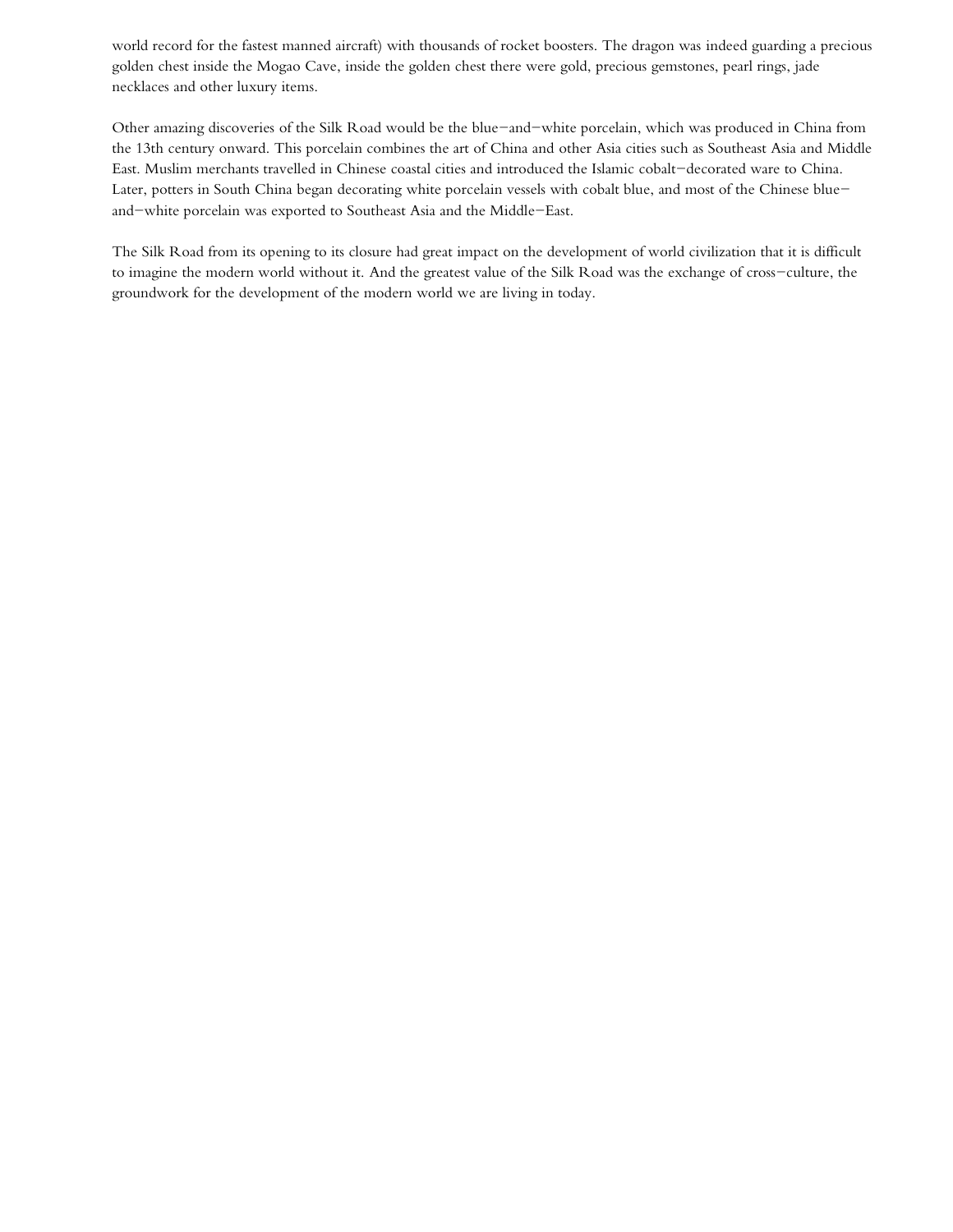world record for the fastest manned aircraft) with thousands of rocket boosters. The dragon was indeed guarding a precious golden chest inside the Mogao Cave, inside the golden chest there were gold, precious gemstones, pearl rings, jade necklaces and other luxury items.

Other amazing discoveries of the Silk Road would be the blue-and-white porcelain, which was produced in China from the 13th century onward. This porcelain combines the art of China and other Asia cities such as Southeast Asia and Middle East. Muslim merchants travelled in Chinese coastal cities and introduced the Islamic cobalt-decorated ware to China. Later, potters in South China began decorating white porcelain vessels with cobalt blue, and most of the Chinese blueand-white porcelain was exported to Southeast Asia and the Middle-East.

The Silk Road from its opening to its closure had great impact on the development of world civilization that it is difficult to imagine the modern world without it. And the greatest value of the Silk Road was the exchange of cross-culture, the groundwork for the development of the modern world we are living in today.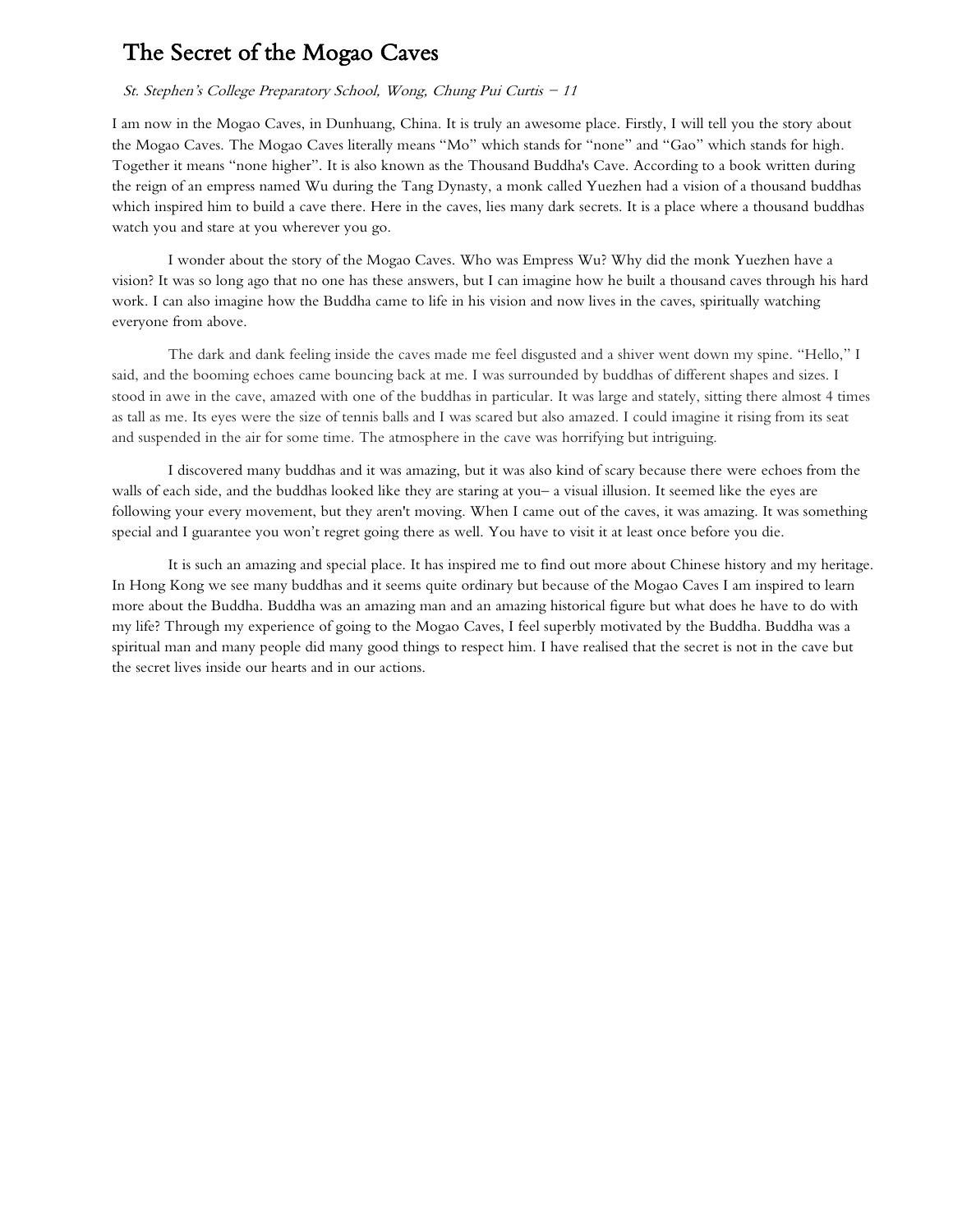## The Secret of the Mogao Caves

#### St. Stephen's College Preparatory School, Wong, Chung Pui Curtis - 11

I am now in the Mogao Caves, in Dunhuang, China. It is truly an awesome place. Firstly, I will tell you the story about the Mogao Caves. The Mogao Caves literally means "Mo" which stands for "none" and "Gao" which stands for high. Together it means "none higher". It is also known as the Thousand Buddha's Cave. According to a book written during the reign of an empress named Wu during the Tang Dynasty, a monk called Yuezhen had a vision of a thousand buddhas which inspired him to build a cave there. Here in the caves, lies many dark secrets. It is a place where a thousand buddhas watch you and stare at you wherever you go.

I wonder about the story of the Mogao Caves. Who was Empress Wu? Why did the monk Yuezhen have a vision? It was so long ago that no one has these answers, but I can imagine how he built a thousand caves through his hard work. I can also imagine how the Buddha came to life in his vision and now lives in the caves, spiritually watching everyone from above.

The dark and dank feeling inside the caves made me feel disgusted and a shiver went down my spine. "Hello," I said, and the booming echoes came bouncing back at me. I was surrounded by buddhas of different shapes and sizes. I stood in awe in the cave, amazed with one of the buddhas in particular. It was large and stately, sitting there almost 4 times as tall as me. Its eyes were the size of tennis balls and I was scared but also amazed. I could imagine it rising from its seat and suspended in the air for some time. The atmosphere in the cave was horrifying but intriguing.

I discovered many buddhas and it was amazing, but it was also kind of scary because there were echoes from the walls of each side, and the buddhas looked like they are staring at you– a visual illusion. It seemed like the eyes are following your every movement, but they aren't moving. When I came out of the caves, it was amazing. It was something special and I guarantee you won't regret going there as well. You have to visit it at least once before you die.

It is such an amazing and special place. It has inspired me to find out more about Chinese history and my heritage. In Hong Kong we see many buddhas and it seems quite ordinary but because of the Mogao Caves I am inspired to learn more about the Buddha. Buddha was an amazing man and an amazing historical figure but what does he have to do with my life? Through my experience of going to the Mogao Caves, I feel superbly motivated by the Buddha. Buddha was a spiritual man and many people did many good things to respect him. I have realised that the secret is not in the cave but the secret lives inside our hearts and in our actions.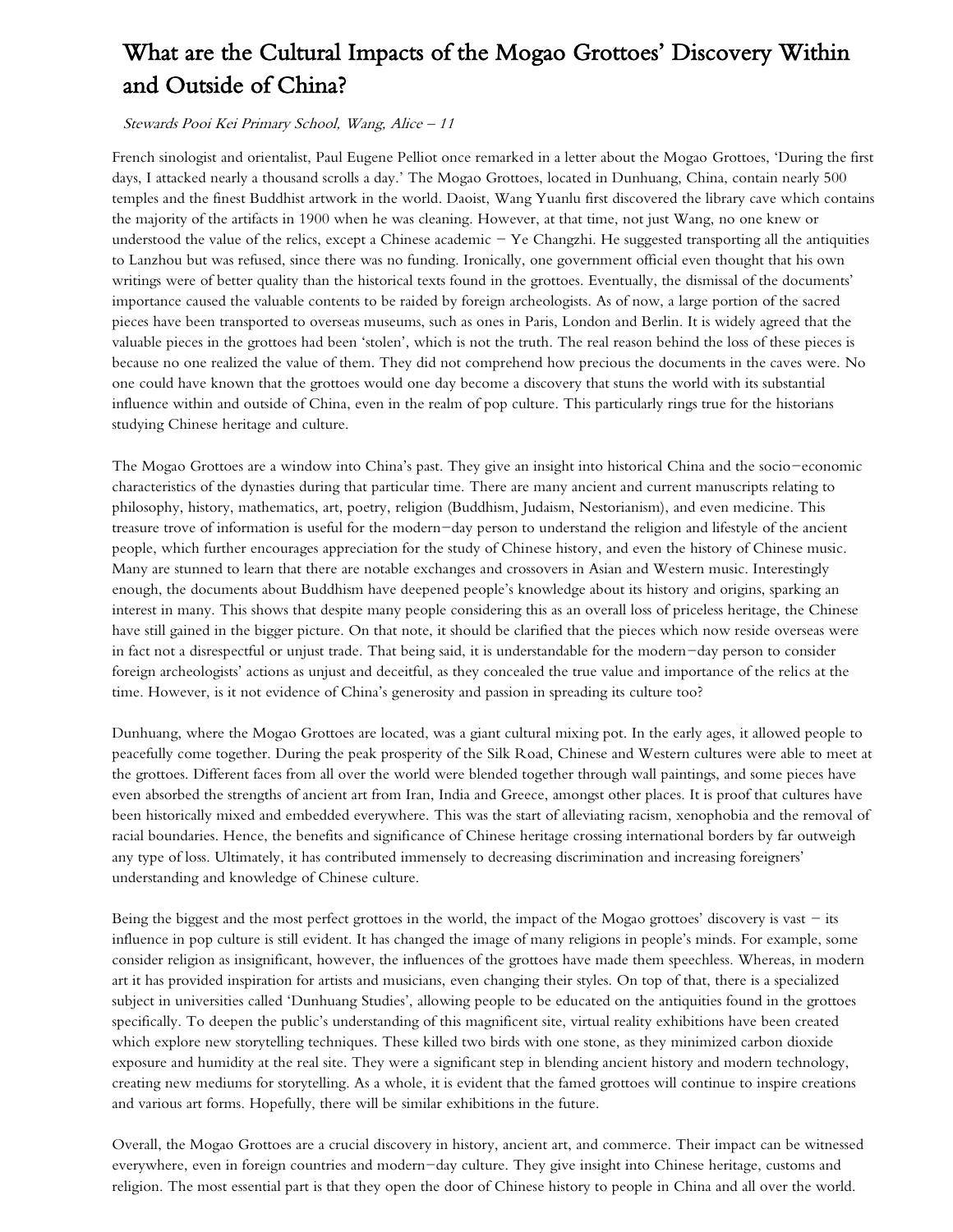# What are the Cultural Impacts of the Mogao Grottoes' Discovery Within and Outside of China?

#### Stewards Pooi Kei Primary School, Wang, Alice – 11

French sinologist and orientalist, Paul Eugene Pelliot once remarked in a letter about the Mogao Grottoes, 'During the first days, I attacked nearly a thousand scrolls a day.' The Mogao Grottoes, located in Dunhuang, China, contain nearly 500 temples and the finest Buddhist artwork in the world. Daoist, Wang Yuanlu first discovered the library cave which contains the majority of the artifacts in 1900 when he was cleaning. However, at that time, not just Wang, no one knew or understood the value of the relics, except a Chinese academic  $-$  Ye Changzhi. He suggested transporting all the antiquities to Lanzhou but was refused, since there was no funding. Ironically, one government official even thought that his own writings were of better quality than the historical texts found in the grottoes. Eventually, the dismissal of the documents' importance caused the valuable contents to be raided by foreign archeologists. As of now, a large portion of the sacred pieces have been transported to overseas museums, such as ones in Paris, London and Berlin. It is widely agreed that the valuable pieces in the grottoes had been 'stolen', which is not the truth. The real reason behind the loss of these pieces is because no one realized the value of them. They did not comprehend how precious the documents in the caves were. No one could have known that the grottoes would one day become a discovery that stuns the world with its substantial influence within and outside of China, even in the realm of pop culture. This particularly rings true for the historians studying Chinese heritage and culture.

The Mogao Grottoes are a window into China's past. They give an insight into historical China and the socio-economic characteristics of the dynasties during that particular time. There are many ancient and current manuscripts relating to philosophy, history, mathematics, art, poetry, religion (Buddhism, Judaism, Nestorianism), and even medicine. This treasure trove of information is useful for the modern-day person to understand the religion and lifestyle of the ancient people, which further encourages appreciation for the study of Chinese history, and even the history of Chinese music. Many are stunned to learn that there are notable exchanges and crossovers in Asian and Western music. Interestingly enough, the documents about Buddhism have deepened people's knowledge about its history and origins, sparking an interest in many. This shows that despite many people considering this as an overall loss of priceless heritage, the Chinese have still gained in the bigger picture. On that note, it should be clarified that the pieces which now reside overseas were in fact not a disrespectful or unjust trade. That being said, it is understandable for the modern-day person to consider foreign archeologists' actions as unjust and deceitful, as they concealed the true value and importance of the relics at the time. However, is it not evidence of China's generosity and passion in spreading its culture too?

Dunhuang, where the Mogao Grottoes are located, was a giant cultural mixing pot. In the early ages, it allowed people to peacefully come together. During the peak prosperity of the Silk Road, Chinese and Western cultures were able to meet at the grottoes. Different faces from all over the world were blended together through wall paintings, and some pieces have even absorbed the strengths of ancient art from Iran, India and Greece, amongst other places. It is proof that cultures have been historically mixed and embedded everywhere. This was the start of alleviating racism, xenophobia and the removal of racial boundaries. Hence, the benefits and significance of Chinese heritage crossing international borders by far outweigh any type of loss. Ultimately, it has contributed immensely to decreasing discrimination and increasing foreigners' understanding and knowledge of Chinese culture.

Being the biggest and the most perfect grottoes in the world, the impact of the Mogao grottoes' discovery is vast  $-$  its influence in pop culture is still evident. It has changed the image of many religions in people's minds. For example, some consider religion as insignificant, however, the influences of the grottoes have made them speechless. Whereas, in modern art it has provided inspiration for artists and musicians, even changing their styles. On top of that, there is a specialized subject in universities called 'Dunhuang Studies', allowing people to be educated on the antiquities found in the grottoes specifically. To deepen the public's understanding of this magnificent site, virtual reality exhibitions have been created which explore new storytelling techniques. These killed two birds with one stone, as they minimized carbon dioxide exposure and humidity at the real site. They were a significant step in blending ancient history and modern technology, creating new mediums for storytelling. As a whole, it is evident that the famed grottoes will continue to inspire creations and various art forms. Hopefully, there will be similar exhibitions in the future.

Overall, the Mogao Grottoes are a crucial discovery in history, ancient art, and commerce. Their impact can be witnessed everywhere, even in foreign countries and modern-day culture. They give insight into Chinese heritage, customs and religion. The most essential part is that they open the door of Chinese history to people in China and all over the world.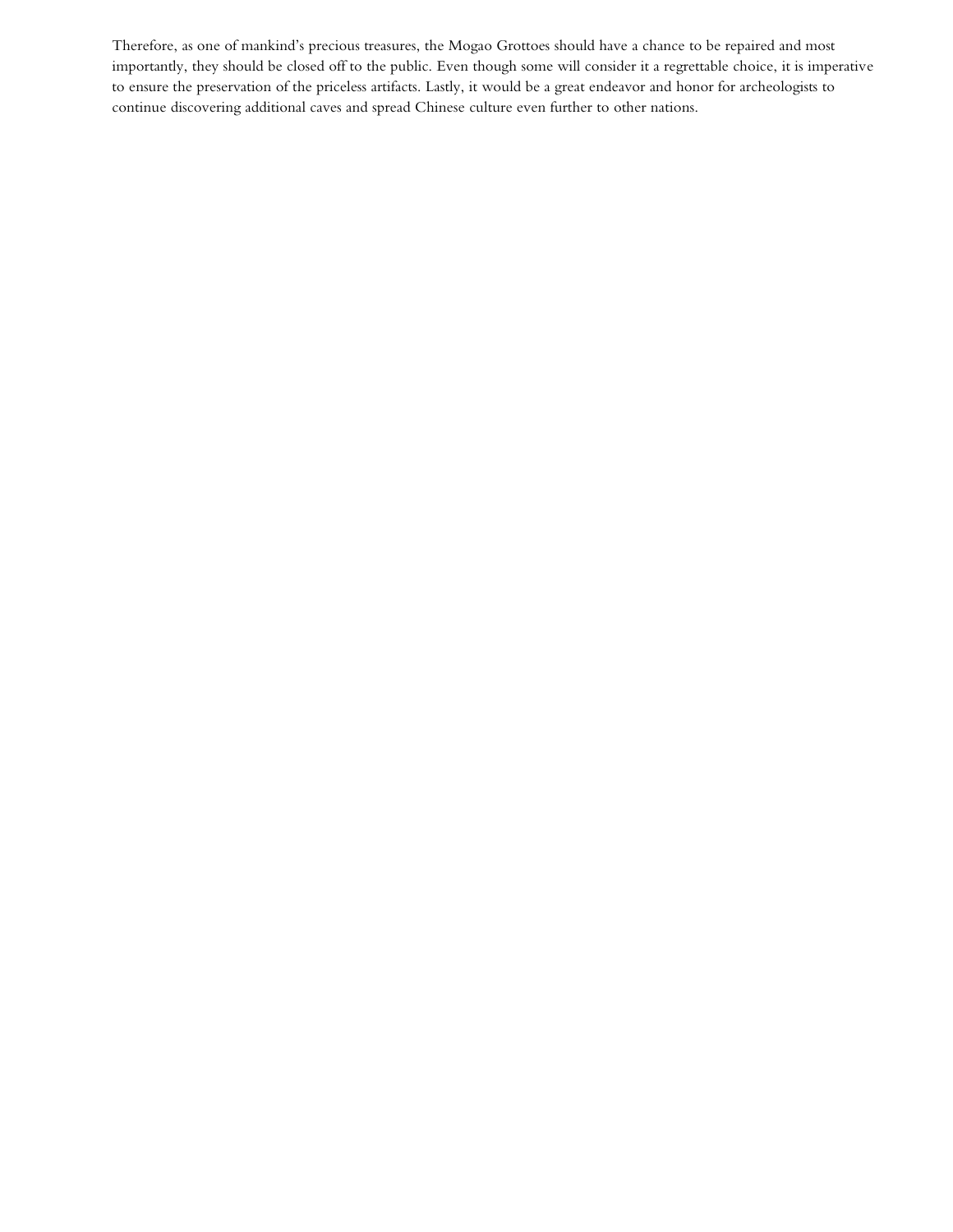Therefore, as one of mankind's precious treasures, the Mogao Grottoes should have a chance to be repaired and most importantly, they should be closed off to the public. Even though some will consider it a regrettable choice, it is imperative to ensure the preservation of the priceless artifacts. Lastly, it would be a great endeavor and honor for archeologists to continue discovering additional caves and spread Chinese culture even further to other nations.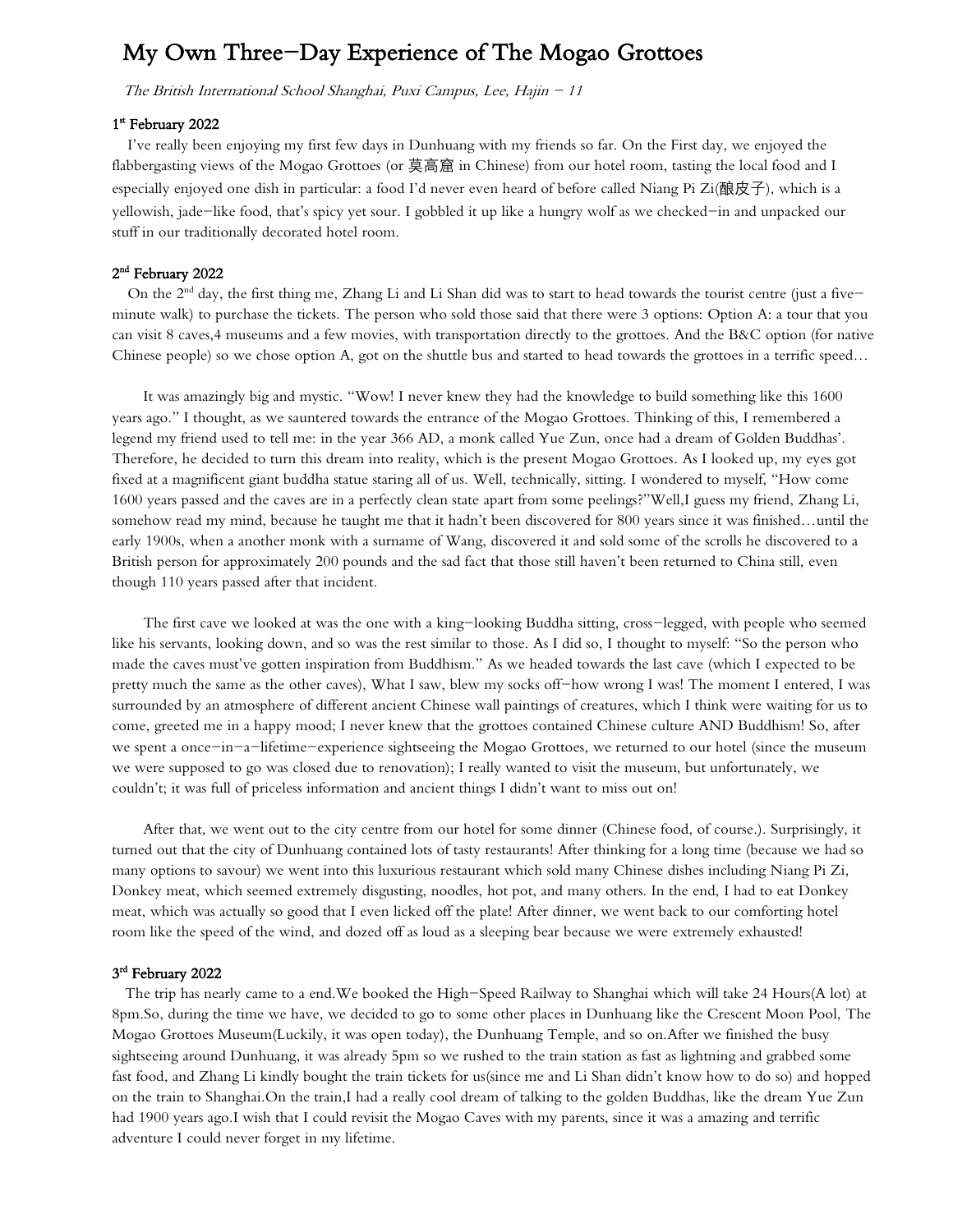## My Own Three-Day Experience of The Mogao Grottoes

The British International School Shanghai, Puxi Campus, Lee, Hajin - 11

#### 1<sup>st</sup> February 2022

I've really been enjoying my first few days in Dunhuang with my friends so far. On the First day, we enjoyed the flabbergasting views of the Mogao Grottoes (or 莫高窟 in Chinese) from our hotel room, tasting the local food and I especially enjoyed one dish in particular: a food I'd never even heard of before called Niang Pi Zi(酿皮子), which is a yellowish, jade-like food, that's spicy yet sour. I gobbled it up like a hungry wolf as we checked-in and unpacked our stuff in our traditionally decorated hotel room.

#### 2 nd February 2022

On the  $2<sup>nd</sup>$  day, the first thing me, Zhang Li and Li Shan did was to start to head towards the tourist centre (just a fiveminute walk) to purchase the tickets. The person who sold those said that there were 3 options: Option A: a tour that you can visit 8 caves,4 museums and a few movies, with transportation directly to the grottoes. And the B&C option (for native Chinese people) so we chose option A, got on the shuttle bus and started to head towards the grottoes in a terrific speed…

It was amazingly big and mystic. "Wow! I never knew they had the knowledge to build something like this 1600 years ago." I thought, as we sauntered towards the entrance of the Mogao Grottoes. Thinking of this, I remembered a legend my friend used to tell me: in the year 366 AD, a monk called Yue Zun, once had a dream of Golden Buddhas'. Therefore, he decided to turn this dream into reality, which is the present Mogao Grottoes. As I looked up, my eyes got fixed at a magnificent giant buddha statue staring all of us. Well, technically, sitting. I wondered to myself, "How come 1600 years passed and the caves are in a perfectly clean state apart from some peelings?"Well,I guess my friend, Zhang Li, somehow read my mind, because he taught me that it hadn't been discovered for 800 years since it was finished…until the early 1900s, when a another monk with a surname of Wang, discovered it and sold some of the scrolls he discovered to a British person for approximately 200 pounds and the sad fact that those still haven't been returned to China still, even though 110 years passed after that incident.

The first cave we looked at was the one with a king-looking Buddha sitting, cross-legged, with people who seemed like his servants, looking down, and so was the rest similar to those. As I did so, I thought to myself: "So the person who made the caves must've gotten inspiration from Buddhism." As we headed towards the last cave (which I expected to be pretty much the same as the other caves), What I saw, blew my socks off-how wrong I was! The moment I entered, I was surrounded by an atmosphere of different ancient Chinese wall paintings of creatures, which I think were waiting for us to come, greeted me in a happy mood; I never knew that the grottoes contained Chinese culture AND Buddhism! So, after we spent a once-in-a-lifetime-experience sightseeing the Mogao Grottoes, we returned to our hotel (since the museum we were supposed to go was closed due to renovation); I really wanted to visit the museum, but unfortunately, we couldn't; it was full of priceless information and ancient things I didn't want to miss out on!

After that, we went out to the city centre from our hotel for some dinner (Chinese food, of course.). Surprisingly, it turned out that the city of Dunhuang contained lots of tasty restaurants! After thinking for a long time (because we had so many options to savour) we went into this luxurious restaurant which sold many Chinese dishes including Niang Pi Zi, Donkey meat, which seemed extremely disgusting, noodles, hot pot, and many others. In the end, I had to eat Donkey meat, which was actually so good that I even licked off the plate! After dinner, we went back to our comforting hotel room like the speed of the wind, and dozed off as loud as a sleeping bear because we were extremely exhausted!

#### 3 rd February 2022

 The trip has nearly came to a end.We booked the High-Speed Railway to Shanghai which will take 24 Hours(A lot) at 8pm.So, during the time we have, we decided to go to some other places in Dunhuang like the Crescent Moon Pool, The Mogao Grottoes Museum(Luckily, it was open today), the Dunhuang Temple, and so on.After we finished the busy sightseeing around Dunhuang, it was already 5pm so we rushed to the train station as fast as lightning and grabbed some fast food, and Zhang Li kindly bought the train tickets for us(since me and Li Shan didn't know how to do so) and hopped on the train to Shanghai.On the train,I had a really cool dream of talking to the golden Buddhas, like the dream Yue Zun had 1900 years ago.I wish that I could revisit the Mogao Caves with my parents, since it was a amazing and terrific adventure I could never forget in my lifetime.